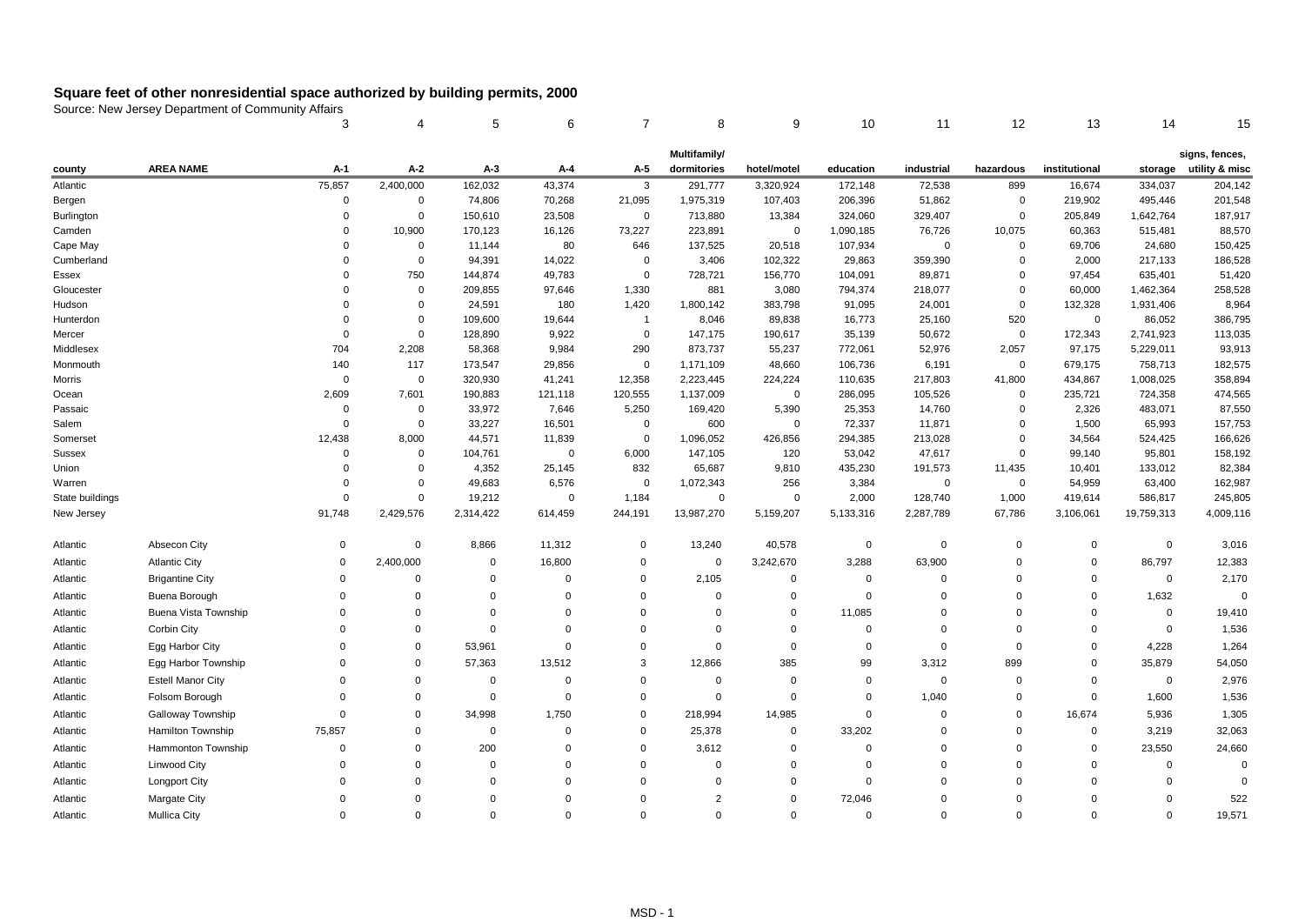|                  |                             | 3                    | 4                    | 5                | 6               | $\overline{7}$       | 8              | 9                    | 10               | 11               | 12            | 13             | 14                | 15                |
|------------------|-----------------------------|----------------------|----------------------|------------------|-----------------|----------------------|----------------|----------------------|------------------|------------------|---------------|----------------|-------------------|-------------------|
|                  |                             |                      |                      |                  |                 |                      | Multifamily/   |                      |                  |                  |               |                |                   | signs, fences,    |
| county           | <b>AREA NAME</b>            | A-1                  | A-2                  | $A-3$            | $A-4$           | A-5                  | dormitories    | hotel/motel          | education        | industrial       | hazardous     | institutional  | storage           | utility & misc    |
| Atlantic         |                             | 75,857               | 2,400,000            | 162,032          | 43,374          | 3                    | 291,777        | 3,320,924            | 172,148          | 72,538           | 899           | 16,674         | 334,037           | 204,142           |
| Bergen           |                             | $\pmb{0}$            | $\mathbf 0$          | 74,806           | 70,268          | 21,095               | 1,975,319      | 107,403              | 206,396          | 51,862           | 0             | 219,902        | 495,446           | 201,548           |
| Burlington       |                             | $\mathbf 0$          | $\Omega$             | 150,610          | 23,508          | $\Omega$             | 713,880        | 13,384               | 324,060          | 329,407          | $\mathbf{0}$  | 205,849        | 1,642,764         | 187,917           |
| Camden           |                             | $\mathbf 0$          | 10,900               | 170,123          | 16,126          | 73,227               | 223,891        | $\mathbf 0$          | 1,090,185        | 76,726           | 10,075        | 60,363         | 515,481           | 88,570            |
| Cape May         |                             | $\Omega$             | $\Omega$             | 11,144           | 80              | 646                  | 137,525        | 20,518               | 107,934          | $\mathbf 0$      | $\Omega$      | 69,706         | 24,680            | 150,425           |
| Cumberland       |                             | $\Omega$             | $\Omega$             | 94,391           | 14,022          | $\mathbf 0$          | 3,406          | 102,322              | 29,863           | 359,390          | $\Omega$      | 2,000          | 217,133           | 186,528           |
| Essex            |                             | $\Omega$             | 750                  | 144,874          | 49,783          | $\mathbf 0$          | 728,721        | 156,770              | 104,091          | 89,871           | $\Omega$      | 97,454         | 635,401           | 51,420            |
| Gloucester       |                             | $\Omega$             | $\mathbf 0$          | 209,855          | 97,646          | 1,330                | 881            | 3,080                | 794,374          | 218,077          | $\mathbf 0$   | 60,000         | 1,462,364         | 258,528           |
| Hudson           |                             | $\Omega$             | $\Omega$             | 24,591           | 180             | 1,420                | 1,800,142      | 383,798              | 91,095           | 24,001           | $\Omega$      | 132,328        | 1,931,406         | 8,964             |
| Hunterdon        |                             | $\mathbf 0$          | $\mathbf 0$          | 109,600          | 19,644          | $\overline{1}$       | 8,046          | 89,838               | 16,773           | 25,160           | 520           | $\mathbf 0$    | 86,052            | 386,795           |
| Mercer           |                             | $\mathbf 0$          | $\Omega$             | 128,890          | 9,922           | $\Omega$             | 147,175        | 190,617              | 35,139           | 50,672           | $\mathbf 0$   | 172,343        | 2,741,923         | 113,035           |
| Middlesex        |                             | 704                  | 2,208                | 58,368           | 9.984           | 290                  | 873,737        | 55,237               | 772,061          | 52,976           | 2,057         | 97,175         | 5,229,011         | 93,913            |
| Monmouth         |                             | 140                  | 117                  | 173,547          | 29,856          | $\mathbf 0$          | 1,171,109      | 48,660               | 106,736          | 6,191            | $\mathbf 0$   | 679,175        | 758,713           | 182,575           |
| Morris           |                             | $\Omega$             | $\Omega$             | 320,930          | 41,241          | 12,358               | 2,223,445      | 224,224              | 110,635          | 217,803          | 41,800        | 434,867        | 1,008,025         | 358,894           |
| Ocean            |                             | 2,609<br>$\mathbf 0$ | 7,601<br>$\mathbf 0$ | 190,883          | 121,118         | 120,555              | 1,137,009      | $\mathbf 0$          | 286,095          | 105,526          | 0<br>$\Omega$ | 235,721        | 724,358           | 474,565<br>87,550 |
| Passaic<br>Salem |                             | $\mathbf 0$          | $\mathbf 0$          | 33,972<br>33,227 | 7,646<br>16,501 | 5,250<br>$\mathbf 0$ | 169,420<br>600 | 5,390<br>$\mathbf 0$ | 25,353<br>72,337 | 14,760<br>11,871 | $\mathbf 0$   | 2,326<br>1,500 | 483,071<br>65,993 | 157,753           |
| Somerset         |                             | 12,438               | 8,000                | 44,571           | 11,839          | $\mathbf 0$          | 1,096,052      | 426,856              | 294,385          | 213,028          | $\mathbf 0$   | 34,564         | 524,425           | 166,626           |
| Sussex           |                             | $\mathbf 0$          | $\mathbf 0$          | 104,761          | $\overline{0}$  | 6,000                | 147,105        | 120                  | 53,042           | 47,617           | 0             | 99,140         | 95,801            | 158,192           |
| Union            |                             | $\Omega$             | $\Omega$             | 4,352            | 25,145          | 832                  | 65,687         | 9,810                | 435,230          | 191,573          | 11,435        | 10,401         | 133,012           | 82,384            |
| Warren           |                             | $\Omega$             | $\Omega$             | 49,683           | 6,576           | $\Omega$             | 1,072,343      | 256                  | 3,384            | $\mathbf 0$      | $\Omega$      | 54,959         | 63,400            | 162,987           |
| State buildings  |                             | $\mathbf 0$          | $\Omega$             | 19,212           | $\overline{0}$  | 1,184                | $\Omega$       | $\mathbf 0$          | 2,000            | 128,740          | 1,000         | 419,614        | 586,817           | 245,805           |
| New Jersey       |                             | 91,748               | 2,429,576            | 2,314,422        | 614,459         | 244,191              | 13,987,270     | 5,159,207            | 5,133,316        | 2,287,789        | 67,786        | 3,106,061      | 19,759,313        | 4,009,116         |
| Atlantic         | Absecon City                | $\mathbf 0$          | $\mathbf 0$          | 8,866            | 11,312          | $\Omega$             | 13,240         | 40,578               | $\mathbf 0$      | $\mathbf 0$      | 0             | $\Omega$       | $\Omega$          | 3,016             |
| Atlantic         | <b>Atlantic City</b>        | $\mathbf 0$          | 2,400,000            | 0                | 16,800          | $\mathbf 0$          | 0              | 3,242,670            | 3,288            | 63,900           | $\mathbf 0$   | $\mathbf 0$    | 86,797            | 12,383            |
| Atlantic         | <b>Brigantine City</b>      | $\Omega$             | $\mathbf 0$          | $\Omega$         | $\mathbf 0$     | $\Omega$             | 2,105          | 0                    | $\Omega$         | $\Omega$         | $\mathbf 0$   | $\Omega$       | $\Omega$          | 2,170             |
| Atlantic         | Buena Borough               | $\Omega$             | $\Omega$             | $\Omega$         | $\Omega$        | $\Omega$             | $\Omega$       | $\mathbf 0$          | $\Omega$         | $\Omega$         | $\Omega$      | $\Omega$       | 1,632             | $\Omega$          |
| Atlantic         | <b>Buena Vista Township</b> | $\Omega$             | $\Omega$             | $\mathbf 0$      | $\Omega$        | $\Omega$             | $\Omega$       | $\mathbf 0$          | 11,085           | $\Omega$         | $\Omega$      | $\Omega$       | $\Omega$          | 19,410            |
| Atlantic         | Corbin City                 | $\mathbf 0$          | $\Omega$             | $\mathbf 0$      | $\mathbf 0$     | $\Omega$             | $\mathbf 0$    | $\mathbf 0$          | $\Omega$         | $\Omega$         | $\mathbf 0$   | $\Omega$       | $\mathbf 0$       | 1,536             |
| Atlantic         | Egg Harbor City             | $\Omega$             | $\mathbf 0$          | 53,961           | $\Omega$        | $\Omega$             | $\Omega$       | $\mathbf 0$          | $\Omega$         | $\Omega$         | $\mathbf 0$   | $\Omega$       | 4,228             | 1,264             |
| Atlantic         | Egg Harbor Township         | $\Omega$             | 0                    | 57,363           | 13,512          | 3                    | 12,866         | 385                  | 99               | 3,312            | 899           | $\mathbf 0$    | 35,879            | 54,050            |
| Atlantic         | <b>Estell Manor City</b>    | $\Omega$             | $\Omega$             | $\mathbf 0$      | $\Omega$        | $\Omega$             | $\Omega$       | $\mathbf 0$          | $\Omega$         | $\mathbf 0$      | $\mathbf 0$   | $\Omega$       | $\mathbf 0$       | 2,976             |
| Atlantic         | Folsom Borough              | $\mathbf 0$          | $\mathbf 0$          | $\mathbf 0$      | $\mathbf 0$     | $\mathbf 0$          | $\mathbf 0$    | 0                    | $\overline{0}$   | 1,040            | 0             | $\mathbf 0$    | 1,600             | 1,536             |
| Atlantic         | <b>Galloway Township</b>    | $\Omega$             | $\Omega$             | 34,998           | 1,750           | $\mathbf 0$          | 218,994        | 14,985               | $\Omega$         | $\Omega$         | $\mathbf 0$   | 16,674         | 5,936             | 1,305             |
| Atlantic         | Hamilton Township           | 75,857               | $\mathbf 0$          | $\mathbf 0$      | 0               | $\mathbf 0$          | 25,378         | 0                    | 33,202           | $\Omega$         | $\mathbf 0$   | $\mathbf 0$    | 3,219             | 32,063            |
| Atlantic         | <b>Hammonton Township</b>   | $\Omega$             | $\Omega$             | 200              | $\Omega$        | $\Omega$             | 3,612          | $\mathbf 0$          | $\Omega$         | $\Omega$         | $\mathbf 0$   | $\Omega$       | 23,550            | 24,660            |
| Atlantic         | Linwood City                | $\mathbf 0$          | $\Omega$             | 0                | $\Omega$        | $\mathbf 0$          | $\mathbf 0$    | 0                    | $\Omega$         | $\Omega$         | $\mathbf 0$   | $\mathbf 0$    | $\Omega$          | $\Omega$          |
| Atlantic         | Longport City               | $\Omega$             | $\Omega$             | $\Omega$         | $\Omega$        | $\Omega$             | $\Omega$       | $\mathbf 0$          | $\Omega$         | $\Omega$         | $\Omega$      | $\Omega$       | $\Omega$          | $\Omega$          |
| Atlantic         | <b>Margate City</b>         | $\Omega$             | $\Omega$             | $\Omega$         | $\Omega$        | $\Omega$             | $\overline{2}$ | $\mathbf 0$          | 72,046           | $\Omega$         | $\Omega$      | $\Omega$       | $\Omega$          | 522               |
| Atlantic         | <b>Mullica City</b>         | $\Omega$             | $\Omega$             | $\Omega$         | $\mathbf 0$     | $\Omega$             | $\Omega$       | $\mathbf 0$          | $\mathbf 0$      | $\Omega$         | $\mathbf 0$   | $\Omega$       | $\Omega$          | 19,571            |
|                  |                             |                      |                      |                  |                 |                      |                |                      |                  |                  |               |                |                   |                   |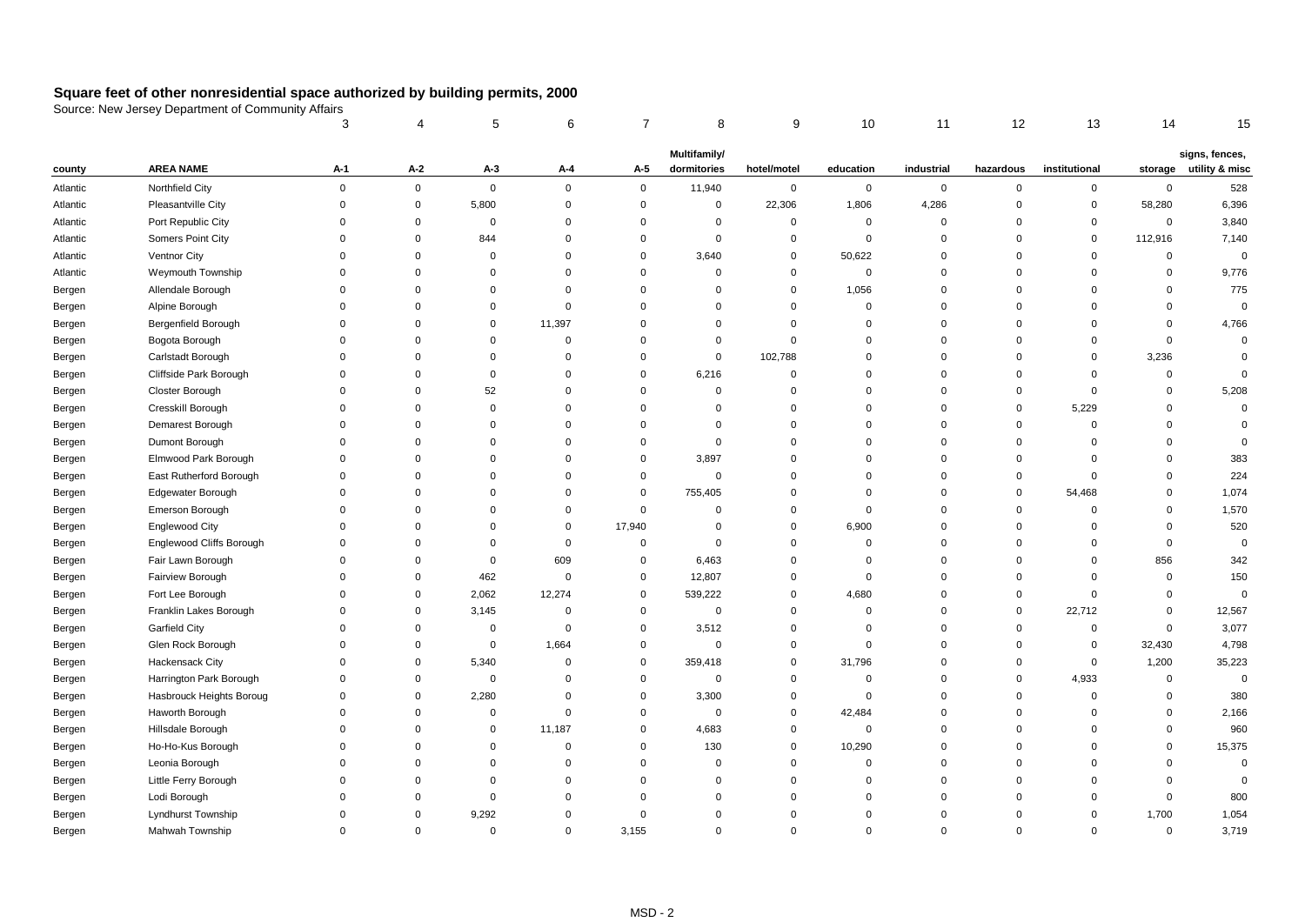|          |                            | 3              | 4           | 5           | 6           | 7           | 8              | 9           | 10          | 11          | 12          | 13            | 14          | 15             |
|----------|----------------------------|----------------|-------------|-------------|-------------|-------------|----------------|-------------|-------------|-------------|-------------|---------------|-------------|----------------|
|          |                            |                |             |             |             |             | Multifamily/   |             |             |             |             |               |             | signs, fences, |
| county   | <b>AREA NAME</b>           | A-1            | A-2         | $A-3$       | A-4         | A-5         | dormitories    | hotel/motel | education   | industrial  | hazardous   | institutional | storage     | utility & misc |
| Atlantic | Northfield City            | $\mathbf 0$    | $\mathbf 0$ | $\mathbf 0$ | $\mathbf 0$ | $\mathsf 0$ | 11,940         | $\pmb{0}$   | $\mathbf 0$ | $\mathbf 0$ | $\mathbf 0$ | $\mathbf 0$   | $\mathbf 0$ | 528            |
| Atlantic | Pleasantville City         | $\overline{0}$ | $\mathbf 0$ | 5,800       | $\mathbf 0$ | $\mathbf 0$ | $\mathbf 0$    | 22,306      | 1,806       | 4,286       | $\Omega$    | $\mathbf 0$   | 58,280      | 6,396          |
| Atlantic | Port Republic City         | $\overline{0}$ | $\Omega$    | 0           | $\mathbf 0$ | $\mathbf 0$ | $\mathbf{0}$   | $\mathbf 0$ | 0           | $\mathbf 0$ | $\Omega$    | $\mathbf 0$   | $\mathbf 0$ | 3,840          |
| Atlantic | Somers Point City          | $\mathbf 0$    | $\Omega$    | 844         | $\mathbf 0$ | $\mathbf 0$ | $\Omega$       | $\mathbf 0$ | $\mathbf 0$ | $\Omega$    | $\Omega$    | $\mathbf 0$   | 112,916     | 7,140          |
| Atlantic | Ventnor City               | $\Omega$       | $\Omega$    | $\mathbf 0$ | $\Omega$    | $\mathbf 0$ | 3,640          | $\mathbf 0$ | 50,622      | $\Omega$    | $\Omega$    | $\Omega$      | $\mathbf 0$ | $\mathbf 0$    |
| Atlantic | Weymouth Township          | $\mathbf 0$    | $\Omega$    | $\mathbf 0$ | $\mathbf 0$ | $\mathbf 0$ | 0              | $\mathbf 0$ | 0           | $\mathbf 0$ | $\Omega$    | $\mathbf 0$   | $\mathbf 0$ | 9,776          |
| Bergen   | Allendale Borough          | $\mathbf 0$    | $\Omega$    | $\mathbf 0$ | $\mathbf 0$ | $\mathbf 0$ | $\Omega$       | $\mathbf 0$ | 1,056       | $\mathbf 0$ | $\Omega$    | $\Omega$      | $\mathbf 0$ | 775            |
| Bergen   | Alpine Borough             | $\Omega$       | $\Omega$    | $\Omega$    | $\mathbf 0$ | $\mathbf 0$ | $\overline{0}$ | $\mathbf 0$ | $\mathbf 0$ | $\Omega$    | $\Omega$    | $\Omega$      | $\Omega$    | $\mathbf 0$    |
| Bergen   | <b>Bergenfield Borough</b> | $\mathbf 0$    | $\Omega$    | 0           | 11,397      | $\mathbf 0$ | $\Omega$       | $\mathbf 0$ | $\Omega$    | $\mathbf 0$ | $\Omega$    | $\Omega$      | $\mathbf 0$ | 4,766          |
| Bergen   | Bogota Borough             | $\mathbf 0$    | $\Omega$    | $\Omega$    | $\mathbf 0$ | $\Omega$    | $\Omega$       | $\mathbf 0$ | $\Omega$    | $\Omega$    | $\Omega$    | $\Omega$      | $\mathbf 0$ | $\mathsf 0$    |
| Bergen   | Carlstadt Borough          | $\Omega$       | $\Omega$    | $\mathbf 0$ | $\mathbf 0$ | $\Omega$    | $\Omega$       | 102,788     | $\Omega$    | $\Omega$    | $\Omega$    | $\Omega$      | 3,236       | $\mathbf 0$    |
| Bergen   | Cliffside Park Borough     | $\mathbf 0$    | $\Omega$    | $\mathbf 0$ | $\mathbf 0$ | $\mathbf 0$ | 6,216          | $\mathbf 0$ | $\Omega$    | $\Omega$    | $\Omega$    | $\Omega$      | $\mathbf 0$ | $\mathbf 0$    |
| Bergen   | Closter Borough            | $\mathbf 0$    | $\Omega$    | 52          | $\mathbf 0$ | 0           | 0              | $\mathbf 0$ | $\Omega$    | 0           | 0           | $\mathbf 0$   | $\mathbf 0$ | 5,208          |
| Bergen   | Cresskill Borough          | $\Omega$       | $\Omega$    | $\Omega$    | $\Omega$    | $\mathbf 0$ | $\Omega$       | $\mathbf 0$ | $\Omega$    | $\Omega$    | $\Omega$    | 5,229         | $\Omega$    | $\mathbf 0$    |
| Bergen   | Demarest Borough           | $\Omega$       | $\Omega$    | 0           | $\Omega$    | $\Omega$    | $\Omega$       | $\mathbf 0$ | $\Omega$    | $\Omega$    | $\Omega$    | $\mathbf 0$   | $\Omega$    | $\mathbf 0$    |
| Bergen   | Dumont Borough             | $\Omega$       | $\Omega$    | $\Omega$    | $\Omega$    | $\mathbf 0$ | $\Omega$       | $\mathbf 0$ | $\Omega$    | $\Omega$    | $\Omega$    | $\Omega$      | $\Omega$    | $\mathbf 0$    |
| Bergen   | Elmwood Park Borough       | $\Omega$       | $\Omega$    | $\Omega$    | $\Omega$    | $\mathbf 0$ | 3,897          | $\mathbf 0$ | $\Omega$    | $\Omega$    | $\Omega$    | $\Omega$      | $\Omega$    | 383            |
| Bergen   | East Rutherford Borough    | $\Omega$       | $\Omega$    | $\Omega$    | $\Omega$    | $\mathbf 0$ | $\Omega$       | $\mathbf 0$ | $\Omega$    | $\Omega$    | $\Omega$    | $\Omega$      | $\Omega$    | 224            |
| Bergen   | Edgewater Borough          | $\Omega$       | $\Omega$    | $\Omega$    | $\Omega$    | $\mathbf 0$ | 755,405        | $\mathbf 0$ | $\Omega$    | $\Omega$    | $\Omega$    | 54,468        | $\Omega$    | 1,074          |
| Bergen   | Emerson Borough            | $\Omega$       | $\Omega$    | $\Omega$    | $\mathbf 0$ | $\mathbf 0$ | $\Omega$       | $\mathbf 0$ | $\Omega$    | $\Omega$    | $\Omega$    | $\mathbf 0$   | $\Omega$    | 1,570          |
| Bergen   | <b>Englewood City</b>      | $\mathbf 0$    | $\Omega$    | $\mathbf 0$ | $\mathbf 0$ | 17,940      | $\mathbf 0$    | $\mathbf 0$ | 6,900       | $\mathbf 0$ | $\mathbf 0$ | $\mathbf 0$   | 0           | 520            |
| Bergen   | Englewood Cliffs Borough   | $\Omega$       | $\Omega$    | $\mathbf 0$ | $\mathbf 0$ | $\mathbf 0$ | $\mathbf 0$    | $\mathbf 0$ | $\mathbf 0$ | $\Omega$    | $\Omega$    | $\mathbf 0$   | $\mathbf 0$ | $\mathsf 0$    |
| Bergen   | Fair Lawn Borough          | $\mathbf 0$    | $\Omega$    | 0           | 609         | $\mathbf 0$ | 6,463          | $\mathbf 0$ | 0           | $\mathbf 0$ | $\Omega$    | $\mathbf 0$   | 856         | 342            |
| Bergen   | Fairview Borough           | $\Omega$       | $\Omega$    | 462         | $\mathbf 0$ | $\mathbf 0$ | 12,807         | $\mathbf 0$ | $\Omega$    | $\Omega$    | $\Omega$    | $\Omega$      | $\mathbf 0$ | 150            |
| Bergen   | Fort Lee Borough           | $\mathbf 0$    | $\mathbf 0$ | 2,062       | 12,274      | $\mathbf 0$ | 539,222        | $\mathbf 0$ | 4,680       | $\mathbf 0$ | $\Omega$    | $\mathbf 0$   | $\mathbf 0$ | $\mathbf 0$    |
| Bergen   | Franklin Lakes Borough     | $\mathbf 0$    | $\Omega$    | 3,145       | $\mathbf 0$ | 0           | $\mathbf 0$    | $\mathbf 0$ | 0           | $\Omega$    | $\Omega$    | 22,712        | $\Omega$    | 12,567         |
| Bergen   | <b>Garfield City</b>       | $\mathbf 0$    | $\Omega$    | 0           | $\mathbf 0$ | 0           | 3,512          | $\mathbf 0$ | $\Omega$    | $\Omega$    | $\Omega$    | 0             | $\mathbf 0$ | 3,077          |
| Bergen   | Glen Rock Borough          | $\Omega$       | $\Omega$    | $\mathbf 0$ | 1,664       | 0           | $\Omega$       | $\mathbf 0$ | $\Omega$    | $\Omega$    | $\Omega$    | 0             | 32,430      | 4,798          |
| Bergen   | Hackensack City            | $\Omega$       | $\mathbf 0$ | 5,340       | $\mathbf 0$ | 0           | 359,418        | $\mathbf 0$ | 31,796      | $\Omega$    | $\mathbf 0$ | $\mathbf 0$   | 1,200       | 35,223         |
| Bergen   | Harrington Park Borough    | $\Omega$       | $\Omega$    | 0           | $\mathbf 0$ | $\mathbf 0$ | $\mathbf 0$    | $\mathbf 0$ | $\Omega$    | $\Omega$    | $\Omega$    | 4,933         | $\mathbf 0$ | $\mathbf 0$    |
| Bergen   | Hasbrouck Heights Boroug   | $\Omega$       | $\mathbf 0$ | 2,280       | $\Omega$    | $\mathbf 0$ | 3,300          | $\mathbf 0$ | $\Omega$    | $\Omega$    | $\Omega$    | $\mathbf 0$   | $\Omega$    | 380            |
| Bergen   | Haworth Borough            | $\Omega$       | $\Omega$    | 0           | $\Omega$    | $\mathbf 0$ | $\Omega$       | $\mathbf 0$ | 42,484      | $\Omega$    | $\Omega$    | 0             | $\Omega$    | 2,166          |
| Bergen   | Hillsdale Borough          | $\mathbf 0$    | $\Omega$    | 0           | 11,187      | 0           | 4,683          | $\mathbf 0$ | 0           | 0           | $\mathbf 0$ | $\mathbf 0$   | 0           | 960            |
| Bergen   | Ho-Ho-Kus Borough          | $\mathbf 0$    | $\Omega$    | $\mathbf 0$ | $\mathbf 0$ | $\mathbf 0$ | 130            | $\mathbf 0$ | 10,290      | $\Omega$    | $\Omega$    | $\Omega$      | $\mathbf 0$ | 15,375         |
| Bergen   | Leonia Borough             | $\mathbf 0$    | $\Omega$    | 0           | $\mathbf 0$ | $\mathbf 0$ | $\mathbf 0$    | $\mathbf 0$ | 0           | $\mathbf 0$ | $\Omega$    | $\Omega$      | $\mathbf 0$ | $\mathbf 0$    |
| Bergen   | Little Ferry Borough       | $\Omega$       | $\Omega$    | $\mathbf 0$ | $\Omega$    | $\mathbf 0$ | $\Omega$       | $\mathbf 0$ | $\Omega$    | $\Omega$    | $\Omega$    | $\Omega$      | $\Omega$    | $\mathbf 0$    |
| Bergen   | Lodi Borough               | $\Omega$       | $\Omega$    | 0           | $\Omega$    | $\Omega$    | $\mathbf 0$    | $\mathbf 0$ | $\mathbf 0$ | $\mathbf 0$ | $\Omega$    | $\mathbf 0$   | $\mathbf 0$ | 800            |
| Bergen   | Lyndhurst Township         | $\Omega$       | $\Omega$    | 9,292       | $\Omega$    | $\Omega$    | $\Omega$       | $\mathbf 0$ | $\Omega$    | $\Omega$    | $\Omega$    | $\mathbf 0$   | 1,700       | 1,054          |
| Bergen   | Mahwah Township            | $\Omega$       | $\mathbf 0$ | 0           | $\mathbf 0$ | 3,155       | $\Omega$       | $\mathbf 0$ | $\mathbf 0$ | $\Omega$    | $\Omega$    | $\mathbf 0$   | $\mathbf 0$ | 3,719          |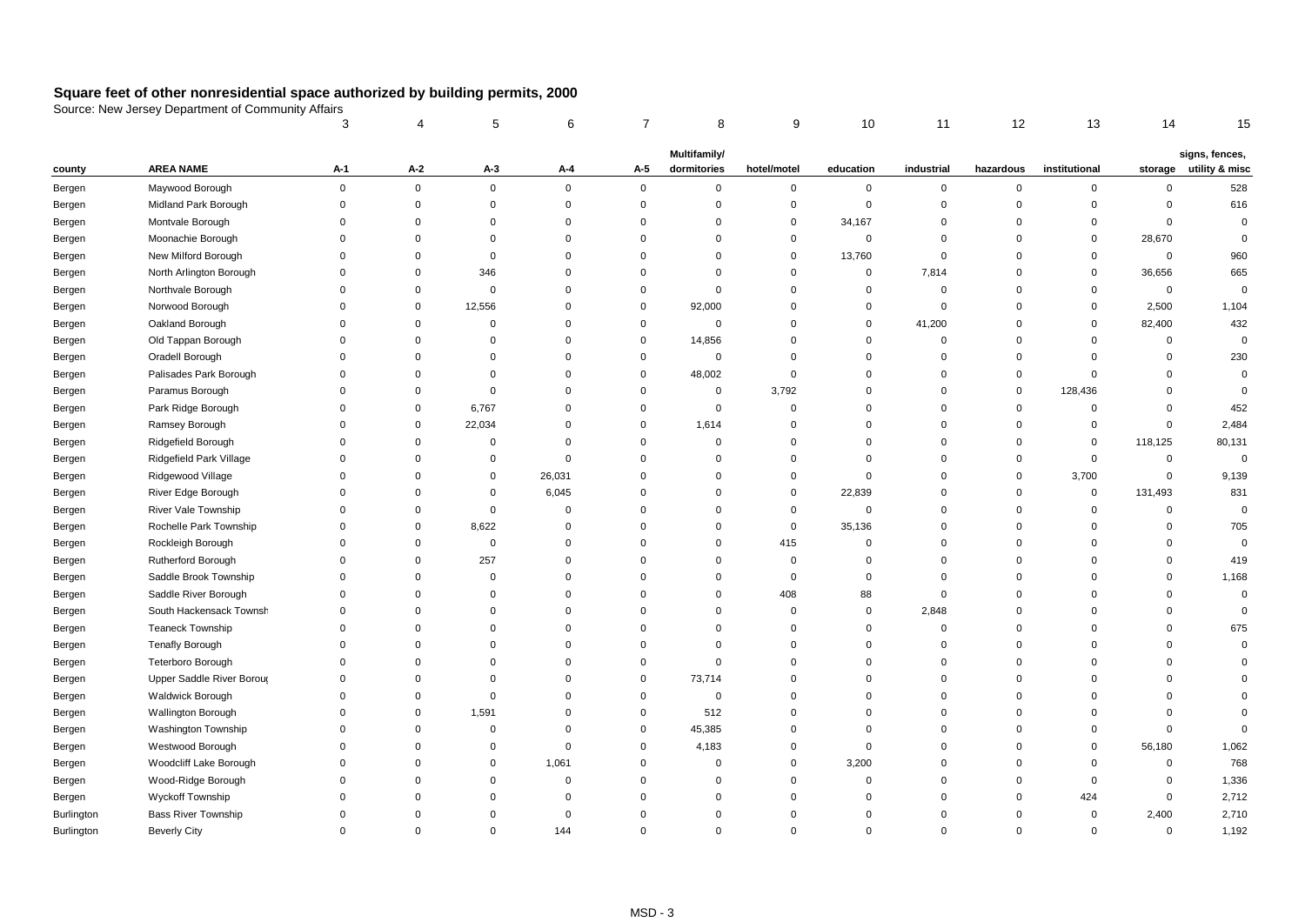|                   |                            |             |             | 5           | 6           | 7           | 8            | 9              | 10          | 11             | 12          | 13            | 14          | 15             |
|-------------------|----------------------------|-------------|-------------|-------------|-------------|-------------|--------------|----------------|-------------|----------------|-------------|---------------|-------------|----------------|
|                   |                            |             |             |             |             |             | Multifamily/ |                |             |                |             |               |             | signs, fences, |
| county            | <b>AREA NAME</b>           | A-1         | A-2         | $A-3$       | A-4         | A-5         | dormitories  | hotel/motel    | education   | industrial     | hazardous   | institutional | storage     | utility & misc |
| Bergen            | Maywood Borough            | $\mathbf 0$ | $\mathsf 0$ | 0           | $\mathbf 0$ | $\mathsf 0$ | $\mathbf 0$  | $\mathbf 0$    | $\mathbf 0$ | $\pmb{0}$      | $\mathsf 0$ | $\mathbf 0$   | $\mathbf 0$ | 528            |
| Bergen            | Midland Park Borough       | $\mathbf 0$ | $\mathsf 0$ | 0           | $\mathbf 0$ | $\mathsf 0$ | $\mathbf 0$  | $\mathsf 0$    | $\mathbf 0$ | $\mathbf 0$    | $\Omega$    | $\mathbf{0}$  | $\mathbf 0$ | 616            |
| Bergen            | Montvale Borough           | $\Omega$    | $\Omega$    | $\mathbf 0$ | $\mathbf 0$ | $\Omega$    | $\Omega$     | $\mathbf 0$    | 34,167      | $\Omega$       | $\Omega$    | $\mathbf 0$   | $\mathbf 0$ | $\mathbf 0$    |
| Bergen            | Moonachie Borough          | $\mathbf 0$ | $\Omega$    | $\mathbf 0$ | $\mathbf 0$ | $\Omega$    | $\Omega$     | $\mathbf 0$    | 0           | $\mathbf 0$    | $\mathbf 0$ | 0             | 28,670      | $\mathbf 0$    |
| Bergen            | New Milford Borough        | $\mathbf 0$ | $\Omega$    | $\mathbf 0$ | $\mathbf 0$ | $\Omega$    | $\Omega$     | $\mathbf 0$    | 13,760      | $\overline{0}$ | $\mathbf 0$ | 0             | $\mathbf 0$ | 960            |
| Bergen            | North Arlington Borough    | $\Omega$    | $\Omega$    | 346         | $\mathbf 0$ | $\Omega$    | $\Omega$     | $\mathbf 0$    | 0           | 7,814          | $\Omega$    | $\mathbf 0$   | 36,656      | 665            |
| Bergen            | Northvale Borough          | $\Omega$    | $\mathbf 0$ | $\Omega$    | $\mathbf 0$ | $\mathbf 0$ | $\Omega$     | $\mathbf 0$    | 0           | $\Omega$       | $\Omega$    | $\mathbf{0}$  | $\mathbf 0$ | $\mathbf 0$    |
| Bergen            | Norwood Borough            | $\Omega$    | $\mathbf 0$ | 12,556      | $\mathbf 0$ | $\mathbf 0$ | 92,000       | $\mathbf 0$    | $\Omega$    | $\Omega$       | $\Omega$    | $\mathbf 0$   | 2,500       | 1,104          |
| Bergen            | Oakland Borough            | $\Omega$    | $\Omega$    | $\Omega$    | $\mathbf 0$ | $\mathbf 0$ | $\mathbf 0$  | $\mathbf 0$    | 0           | 41,200         | $\Omega$    | $\Omega$      | 82,400      | 432            |
| Bergen            | Old Tappan Borough         | $\Omega$    | $\Omega$    | $\Omega$    | $\mathbf 0$ | $\mathbf 0$ | 14,856       | $\Omega$       | $\Omega$    | $\Omega$       | $\Omega$    | $\Omega$      | $\mathbf 0$ | $\mathbf 0$    |
| Bergen            | Oradell Borough            | $\Omega$    | $\Omega$    | $\Omega$    | $\mathbf 0$ | $\mathbf 0$ | $\mathbf 0$  | $\mathbf 0$    | $\Omega$    | $\Omega$       | $\Omega$    | $\Omega$      | $\mathbf 0$ | 230            |
| Bergen            | Palisades Park Borough     | $\Omega$    | $\Omega$    | $\Omega$    | $\mathbf 0$ | $\mathbf 0$ | 48,002       | $\Omega$       | $\Omega$    | $\Omega$       | $\Omega$    | $\Omega$      | $\Omega$    | $\mathbf 0$    |
| Bergen            | Paramus Borough            | $\Omega$    | $\Omega$    | $\Omega$    | $\mathbf 0$ | $\Omega$    | $\mathbf 0$  | 3,792          | $\Omega$    | 0              | $\mathbf 0$ | 128,436       | $\Omega$    | $\mathbf 0$    |
| Bergen            | Park Ridge Borough         | $\Omega$    | $\mathbf 0$ | 6,767       | $\mathbf 0$ | $\Omega$    | $\mathbf 0$  | $\Omega$       | $\Omega$    | $\Omega$       | $\Omega$    | $\mathbf 0$   | $\Omega$    | 452            |
| Bergen            | Ramsey Borough             | $\Omega$    | $\mathbf 0$ | 22,034      | $\mathbf 0$ | $\Omega$    | 1,614        | $\Omega$       | $\Omega$    | $\Omega$       | $\mathbf 0$ | $\mathbf 0$   | $\mathbf 0$ | 2,484          |
| Bergen            | Ridgefield Borough         | $\Omega$    | $\mathbf 0$ | $\Omega$    | $\mathbf 0$ | $\Omega$    | $\Omega$     | $\Omega$       | $\Omega$    | $\Omega$       | $\Omega$    | $\mathbf 0$   | 118,125     | 80,131         |
| Bergen            | Ridgefield Park Village    | $\Omega$    | $\Omega$    | $\Omega$    | $\mathbf 0$ | $\Omega$    | $\Omega$     | $\mathbf 0$    | $\Omega$    | $\Omega$       | $\mathbf 0$ | $\mathbf 0$   | $\mathbf 0$ | $\mathbf 0$    |
| Bergen            | Ridgewood Village          | $\Omega$    | $\Omega$    | $\Omega$    | 26,031      | $\Omega$    | $\Omega$     | $\mathbf 0$    | $\Omega$    | $\Omega$       | $\Omega$    | 3,700         | $\pmb{0}$   | 9,139          |
| Bergen            | River Edge Borough         | $\Omega$    | $\Omega$    | $\Omega$    | 6,045       | $\Omega$    | $\Omega$     | $\mathbf 0$    | 22,839      | $\Omega$       | $\Omega$    | $\mathbf 0$   | 131,493     | 831            |
| Bergen            | River Vale Township        | $\Omega$    | $\Omega$    | 0           | $\mathbf 0$ | $\Omega$    | $\Omega$     | $\mathbf 0$    | 0           | $\Omega$       | $\Omega$    | $\Omega$      | $\mathbf 0$ | $\mathbf 0$    |
| Bergen            | Rochelle Park Township     | $\mathbf 0$ | 0           | 8,622       | $\mathbf 0$ | 0           | 0            | $\mathbf 0$    | 35,136      | 0              | $\mathbf 0$ | $\mathbf 0$   | $\mathbf 0$ | 705            |
| Bergen            | Rockleigh Borough          | $\Omega$    | $\mathbf 0$ | $\mathbf 0$ | $\mathbf 0$ | $\Omega$    | $\mathbf 0$  | 415            | $\mathbf 0$ | $\Omega$       | $\Omega$    | $\mathbf 0$   | $\mathbf 0$ | $\mathbf 0$    |
| Bergen            | Rutherford Borough         | $\Omega$    | $\mathbf 0$ | 257         | $\mathbf 0$ | $\Omega$    | $\mathbf 0$  | $\mathbf 0$    | 0           | 0              | $\mathbf 0$ | $\Omega$      | $\mathbf 0$ | 419            |
| Bergen            | Saddle Brook Township      | $\Omega$    | $\mathbf 0$ | $\Omega$    | $\mathbf 0$ | $\Omega$    | $\Omega$     | $\mathbf 0$    | 0           | $\Omega$       | $\Omega$    | $\Omega$      | $\mathbf 0$ | 1,168          |
| Bergen            | Saddle River Borough       | $\mathbf 0$ | $\mathbf 0$ | $\Omega$    | $\mathbf 0$ | $\Omega$    | $\mathbf 0$  | 408            | 88          | $\mathbf 0$    | $\mathbf 0$ | $\Omega$      | 0           | $\mathbf 0$    |
| Bergen            | South Hackensack Townsh    | $\Omega$    | $\Omega$    | $\Omega$    | $\mathbf 0$ | $\Omega$    | $\mathbf 0$  | $\mathbf 0$    | 0           | 2,848          | $\Omega$    | $\Omega$      | $\mathbf 0$ | $\mathbf 0$    |
| Bergen            | <b>Teaneck Township</b>    | $\Omega$    | $\Omega$    | $\Omega$    | $\mathbf 0$ | $\Omega$    | $\mathbf 0$  | $\overline{0}$ | $\mathbf 0$ | $\mathbf 0$    | $\mathbf 0$ | $\Omega$      | $\mathbf 0$ | 675            |
| Bergen            | Tenafly Borough            | $\Omega$    | $\Omega$    | $\Omega$    | $\mathbf 0$ | $\Omega$    | $\Omega$     | $\mathbf 0$    | $\Omega$    | $\Omega$       | $\Omega$    | $\Omega$      | $\mathbf 0$ | $\mathbf 0$    |
| Bergen            | Teterboro Borough          | $\Omega$    | $\mathbf 0$ | $\mathbf 0$ | $\mathbf 0$ | $\mathbf 0$ | $\mathbf 0$  | $\mathbf 0$    | $\mathbf 0$ | $\mathbf 0$    | $\mathbf 0$ | $\mathbf 0$   | $\mathbf 0$ | $\Omega$       |
| Bergen            | Upper Saddle River Borous  | $\Omega$    | $\Omega$    | $\Omega$    | $\mathbf 0$ | $\mathbf 0$ | 73,714       | $\mathbf 0$    | $\mathbf 0$ | $\Omega$       | $\Omega$    | $\Omega$      | $\mathbf 0$ | $\Omega$       |
| Bergen            | Waldwick Borough           | $\Omega$    | $\mathbf 0$ | $\mathbf 0$ | $\mathbf 0$ | $\mathbf 0$ | $\mathbf 0$  | $\mathbf 0$    | $\mathbf 0$ | 0              | $\mathbf 0$ | $\mathbf 0$   | $\mathbf 0$ | $\Omega$       |
| Bergen            | Wallington Borough         | $\Omega$    | $\mathbf 0$ | 1,591       | $\mathbf 0$ | $\mathbf 0$ | 512          | $\mathbf 0$    | $\Omega$    | $\Omega$       | $\Omega$    | $\Omega$      | $\Omega$    | $\Omega$       |
| Bergen            | Washington Township        | $\Omega$    | $\mathbf 0$ | $\mathbf 0$ | $\mathbf 0$ | $\mathbf 0$ | 45,385       | $\mathbf 0$    | $\mathbf 0$ | $\mathbf 0$    | $\mathbf 0$ | $\Omega$      | $\mathbf 0$ | $\Omega$       |
| Bergen            | Westwood Borough           | $\Omega$    | $\Omega$    | $\Omega$    | $\mathbf 0$ | $\mathbf 0$ | 4,183        | $\mathbf 0$    | $\mathbf 0$ | $\Omega$       | $\Omega$    | $\mathbf 0$   | 56,180      | 1,062          |
| Bergen            | Woodcliff Lake Borough     | $\Omega$    | $\Omega$    | $\mathbf 0$ | 1,061       | $\Omega$    | $\mathbf 0$  | $\mathbf 0$    | 3,200       | 0              | $\mathbf 0$ | $\mathbf 0$   | $\mathbf 0$ | 768            |
| Bergen            | Wood-Ridge Borough         | $\Omega$    | $\Omega$    | $\Omega$    | $\mathbf 0$ | $\Omega$    | $\Omega$     | $\Omega$       | 0           | $\Omega$       | $\Omega$    | $\mathbf 0$   | $\Omega$    | 1,336          |
| Bergen            | Wyckoff Township           | $\Omega$    | $\Omega$    | $\mathbf 0$ | $\mathbf 0$ | $\Omega$    | $\mathbf 0$  | $\mathbf 0$    | $\Omega$    | $\mathbf 0$    | $\mathbf 0$ | 424           | $\mathbf 0$ | 2,712          |
| <b>Burlington</b> | <b>Bass River Township</b> | $\Omega$    | $\Omega$    | $\Omega$    | $\Omega$    | $\Omega$    | $\Omega$     | $\Omega$       | $\Omega$    | 0              | $\Omega$    | $\mathbf 0$   | 2,400       | 2,710          |
| <b>Burlington</b> | <b>Beverly City</b>        | $\mathbf 0$ | $\Omega$    | $\mathbf 0$ | 144         | $\Omega$    | $\Omega$     | $\Omega$       | $\mathbf 0$ | $\Omega$       | $\Omega$    | $\mathbf 0$   | $\mathbf 0$ | 1,192          |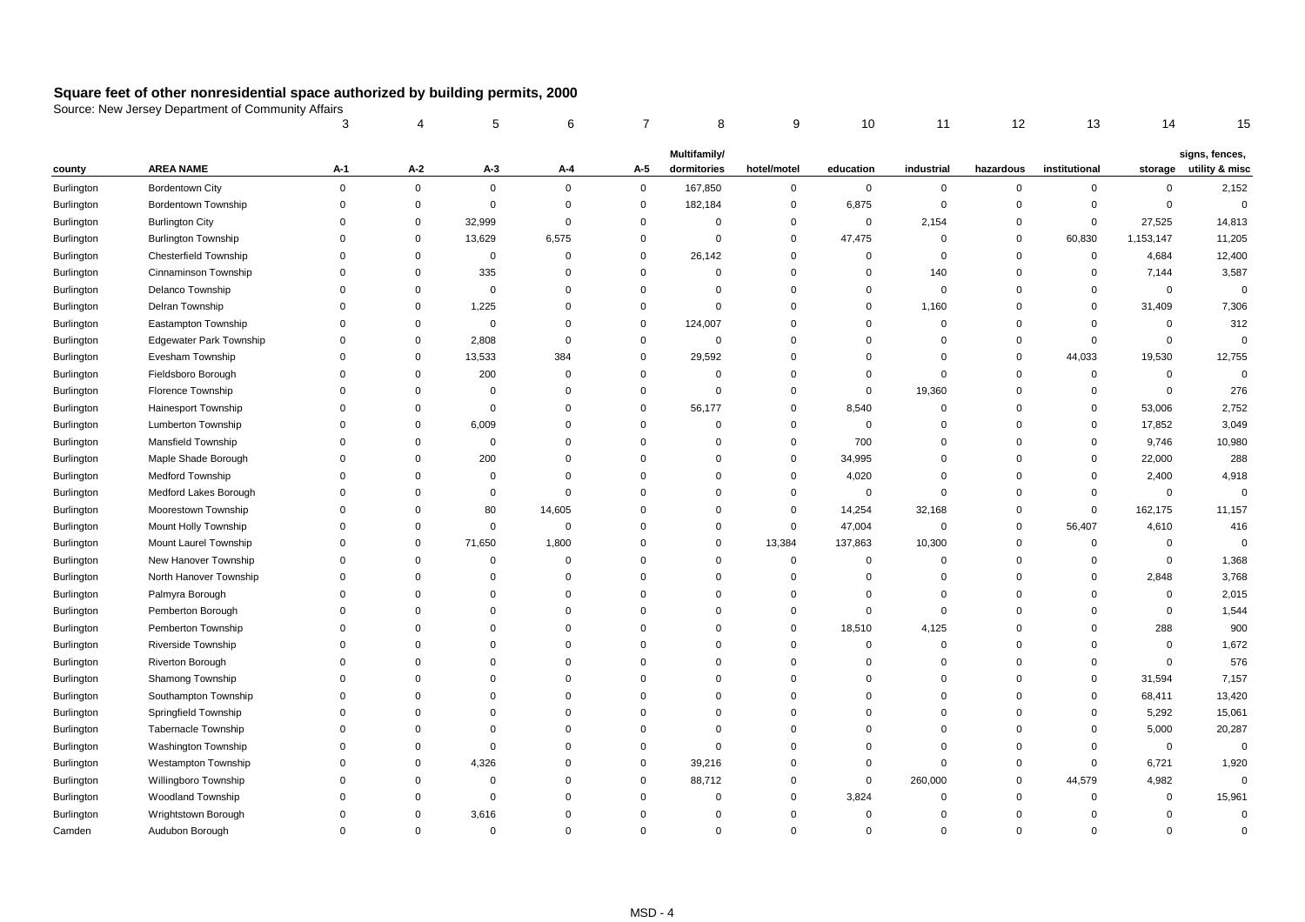|                   |                                | 3           |             | 5           | 6           |             | 8            | 9           | 10          | 11             | 12          | 13            | 14             | 15                     |
|-------------------|--------------------------------|-------------|-------------|-------------|-------------|-------------|--------------|-------------|-------------|----------------|-------------|---------------|----------------|------------------------|
|                   |                                |             |             |             |             |             | Multifamily/ |             |             |                |             |               |                | signs, fences,         |
| county            | <b>AREA NAME</b>               | A-1         | A-2         | $A-3$       | A-4         | $A-5$       | dormitories  | hotel/motel | education   | industrial     | hazardous   | institutional |                | storage utility & misc |
| Burlington        | <b>Bordentown City</b>         | $\mathbf 0$ | $\mathbf 0$ | $\mathbf 0$ | $\mathbf 0$ | $\mathbf 0$ | 167,850      | $\pmb{0}$   | $\mathbf 0$ | $\overline{0}$ | $\mathsf 0$ | $\mathbf 0$   | $\mathsf 0$    | 2,152                  |
| Burlington        | Bordentown Township            | $\mathbf 0$ | 0           | $\mathbf 0$ | $\mathbf 0$ | $\mathsf 0$ | 182,184      | $\mathbf 0$ | 6,875       | $\overline{0}$ | $\mathbf 0$ | 0             | $\mathsf 0$    | $\mathsf 0$            |
| Burlington        | <b>Burlington City</b>         | $\Omega$    | 0           | 32,999      | $\mathbf 0$ | $\mathbf 0$ | $\Omega$     | $\mathbf 0$ | $\mathbf 0$ | 2,154          | $\mathbf 0$ | $\mathbf 0$   | 27,525         | 14,813                 |
| Burlington        | <b>Burlington Township</b>     | $\mathbf 0$ | 0           | 13,629      | 6,575       | $\mathbf 0$ | $\mathbf 0$  | $\mathbf 0$ | 47,475      | $\overline{0}$ | $\mathsf 0$ | 60,830        | 1,153,147      | 11,205                 |
| Burlington        | Chesterfield Township          | $\mathbf 0$ | $\mathbf 0$ | $\mathbf 0$ | $\mathbf 0$ | $\mathbf 0$ | 26,142       | $\mathbf 0$ | $\mathbf 0$ | $\mathbf 0$    | $\Omega$    | $\mathbf 0$   | 4,684          | 12,400                 |
| Burlington        | Cinnaminson Township           | $\mathbf 0$ | $\Omega$    | 335         | $\mathbf 0$ | $\mathbf 0$ | $\mathbf 0$  | $\mathbf 0$ | $\mathbf 0$ | 140            | $\Omega$    | $\mathbf 0$   | 7,144          | 3,587                  |
| Burlington        | Delanco Township               | $\Omega$    | $\Omega$    | $\mathbf 0$ | $\mathbf 0$ | $\Omega$    | $\Omega$     | $\mathbf 0$ | $\mathbf 0$ | $\mathsf 0$    | $\mathbf 0$ | 0             | $\mathbf 0$    | $\mathsf 0$            |
| Burlington        | Delran Township                | $\Omega$    | $\Omega$    | 1,225       | $\mathbf 0$ | $\mathbf 0$ | $\Omega$     | $\mathbf 0$ | $\mathbf 0$ | 1,160          | $\Omega$    | $\mathbf 0$   | 31,409         | 7,306                  |
| Burlington        | Eastampton Township            | $\mathbf 0$ | $\Omega$    | $\mathbf 0$ | $\mathbf 0$ | $\mathsf 0$ | 124,007      | $\mathbf 0$ | $\Omega$    | $\overline{0}$ | $\Omega$    | $\mathbf 0$   | $\mathbf 0$    | 312                    |
| <b>Burlington</b> | <b>Edgewater Park Township</b> | $\mathbf 0$ | $\Omega$    | 2,808       | $\mathbf 0$ | $\mathsf 0$ | $\mathbf 0$  | $\mathbf 0$ | $\Omega$    | $\overline{0}$ | $\Omega$    | $\mathbf 0$   | $\mathbf 0$    | $\mathbf 0$            |
| Burlington        | Evesham Township               | $\mathbf 0$ | $\Omega$    | 13,533      | 384         | $\mathbf 0$ | 29,592       | $\mathbf 0$ | $\Omega$    | $\Omega$       | $\mathbf 0$ | 44,033        | 19,530         | 12,755                 |
| Burlington        | Fieldsboro Borough             | $\mathbf 0$ | $\Omega$    | 200         | $\mathbf 0$ | $\Omega$    | $\mathbf 0$  | $\mathbf 0$ | $\mathbf 0$ | $\mathbf 0$    | $\Omega$    | 0             | $\mathbf 0$    | $\Omega$               |
| Burlington        | Florence Township              | $\mathbf 0$ | $\Omega$    | $\mathbf 0$ | $\mathbf 0$ | $\mathbf 0$ | $\Omega$     | $\mathbf 0$ | $\mathbf 0$ | 19,360         | $\Omega$    | $\Omega$      | $\mathsf 0$    | 276                    |
| Burlington        | Hainesport Township            | $\Omega$    | $\Omega$    | $\Omega$    | $\mathbf 0$ | $\mathbf 0$ | 56,177       | $\mathbf 0$ | 8,540       | $\overline{0}$ | $\Omega$    | $\mathbf 0$   | 53,006         | 2,752                  |
| Burlington        | Lumberton Township             | $\Omega$    | $\Omega$    | 6,009       | $\mathbf 0$ | $\mathbf 0$ | $\Omega$     | $\mathbf 0$ | $\mathbf 0$ | $\Omega$       | $\Omega$    | 0             | 17,852         | 3,049                  |
| Burlington        | Mansfield Township             | $\Omega$    | $\Omega$    | $\Omega$    | $\mathbf 0$ | $\Omega$    | $\Omega$     | $\mathbf 0$ | 700         | $\Omega$       | $\Omega$    | $\mathbf 0$   | 9,746          | 10,980                 |
| Burlington        | Maple Shade Borough            | $\mathbf 0$ | $\Omega$    | 200         | $\mathbf 0$ | $\Omega$    | $\Omega$     | $\mathbf 0$ | 34,995      | 0              | $\Omega$    | 0             | 22,000         | 288                    |
| Burlington        | Medford Township               | $\Omega$    | $\Omega$    | $\Omega$    | $\mathbf 0$ | $\Omega$    | $\Omega$     | $\mathbf 0$ | 4,020       | $\Omega$       | $\Omega$    | $\Omega$      | 2,400          | 4,918                  |
| Burlington        | Medford Lakes Borough          | $\Omega$    | $\Omega$    | $\mathbf 0$ | $\mathbf 0$ | $\Omega$    | $\Omega$     | $\mathbf 0$ | $\mathbf 0$ | $\mathbf 0$    | $\Omega$    | $\Omega$      | $\mathbf 0$    | $\Omega$               |
| Burlington        | Moorestown Township            | $\Omega$    | $\Omega$    | 80          | 14,605      | $\Omega$    | $\Omega$     | $\mathbf 0$ | 14,254      | 32,168         | $\Omega$    | $\mathbf 0$   | 162,175        | 11,157                 |
| Burlington        | Mount Holly Township           | $\mathbf 0$ | $\Omega$    | 0           | $\mathbf 0$ | $\mathbf 0$ | $\Omega$     | $\mathbf 0$ | 47,004      | $\mathbf 0$    | $\mathbf 0$ | 56,407        | 4,610          | 416                    |
| Burlington        | Mount Laurel Township          | $\Omega$    | $\Omega$    | 71,650      | 1,800       | $\Omega$    | $\mathbf 0$  | 13,384      | 137,863     | 10,300         | $\Omega$    | $\mathbf 0$   | $\mathbf 0$    | $\Omega$               |
| Burlington        | New Hanover Township           | $\Omega$    | $\Omega$    | 0           | $\mathbf 0$ | $\Omega$    | $\Omega$     | $\mathbf 0$ | $\Omega$    | 0              | $\Omega$    | 0             | $\mathsf 0$    | 1,368                  |
| Burlington        | North Hanover Township         | $\Omega$    | $\Omega$    | $\Omega$    | $\mathbf 0$ | $\Omega$    | $\Omega$     | $\mathbf 0$ | $\mathbf 0$ | $\Omega$       | $\Omega$    | $\mathbf 0$   | 2,848          | 3,768                  |
| Burlington        | Palmyra Borough                | $\Omega$    | $\Omega$    | $\Omega$    | $\mathbf 0$ | $\Omega$    | $\Omega$     | $\mathbf 0$ | $\Omega$    | $\mathbf 0$    | $\Omega$    | $\Omega$      | $\mathbf 0$    | 2,015                  |
| Burlington        | Pemberton Borough              | $\Omega$    | $\Omega$    | $\Omega$    | $\Omega$    | $\Omega$    | $\Omega$     | $\mathbf 0$ | $\Omega$    | $\overline{0}$ | $\Omega$    | $\Omega$      | $\mathsf 0$    | 1,544                  |
| Burlington        | Pemberton Township             | $\Omega$    | $\Omega$    | $\Omega$    | $\Omega$    | $\Omega$    | $\Omega$     | $\mathbf 0$ | 18,510      | 4,125          | $\Omega$    | $\Omega$      | 288            | 900                    |
| Burlington        | Riverside Township             | $\Omega$    | $\Omega$    | $\Omega$    | $\Omega$    | $\Omega$    | $\Omega$     | $\mathbf 0$ | $\mathbf 0$ | $\Omega$       | $\Omega$    | $\Omega$      | $\overline{0}$ | 1,672                  |
| Burlington        | <b>Riverton Borough</b>        | $\Omega$    | $\Omega$    | 0           | $\mathbf 0$ | $\Omega$    | $\Omega$     | $\mathbf 0$ | $\Omega$    | 0              | $\Omega$    | $\mathbf 0$   | $\mathbf 0$    | 576                    |
| Burlington        | Shamong Township               | $\Omega$    | $\Omega$    | $\Omega$    | $\Omega$    | $\Omega$    | $\Omega$     | $\mathbf 0$ | $\Omega$    | $\Omega$       | $\Omega$    | 0             | 31,594         | 7,157                  |
| Burlington        | Southampton Township           | $\Omega$    | $\Omega$    | $\Omega$    | $\Omega$    | $\Omega$    | $\Omega$     | $\mathbf 0$ | $\Omega$    | $\Omega$       | $\Omega$    | 0             | 68,411         | 13,420                 |
| Burlington        | Springfield Township           | $\Omega$    | $\Omega$    | $\Omega$    | $\Omega$    | $\Omega$    | $\Omega$     | $\mathbf 0$ | $\Omega$    | $\Omega$       | $\Omega$    | 0             | 5,292          | 15,061                 |
| Burlington        | <b>Tabernacle Township</b>     | $\Omega$    | $\Omega$    | $\Omega$    | $\mathbf 0$ | $\Omega$    | $\Omega$     | $\mathbf 0$ | $\Omega$    | $\Omega$       | $\Omega$    | 0             | 5,000          | 20,287                 |
| Burlington        | Washington Township            | $\Omega$    | $\Omega$    | $\Omega$    | $\Omega$    | $\Omega$    | $\mathbf 0$  | $\mathbf 0$ | $\Omega$    | $\Omega$       | $\Omega$    | $\mathbf 0$   | $\mathbf 0$    | $\mathbf 0$            |
| Burlington        | Westampton Township            | $\Omega$    | $\Omega$    | 4,326       | $\Omega$    | $\mathbf 0$ | 39,216       | $\mathbf 0$ | $\Omega$    | $\mathbf 0$    | $\Omega$    | 0             | 6,721          | 1,920                  |
| Burlington        | Willingboro Township           | $\Omega$    | $\Omega$    | $\Omega$    | $\Omega$    | $\mathbf 0$ | 88,712       | $\mathbf 0$ | $\mathbf 0$ | 260,000        | $\Omega$    | 44,579        | 4,982          | $\Omega$               |
| Burlington        | Woodland Township              | $\Omega$    | $\Omega$    | $\mathbf 0$ | $\mathbf 0$ | $\Omega$    | $\Omega$     | $\mathbf 0$ | 3,824       | $\mathbf 0$    | $\Omega$    | $\mathbf 0$   | $\mathbf 0$    | 15,961                 |
| Burlington        | Wrightstown Borough            | $\Omega$    | $\Omega$    | 3,616       | $\Omega$    | $\Omega$    | $\Omega$     | $\mathbf 0$ | $\Omega$    | $\Omega$       | $\Omega$    | $\Omega$      | $\mathbf 0$    | $\mathbf 0$            |
| Camden            | Audubon Borough                | $\Omega$    | $\Omega$    | $\mathbf 0$ | $\mathbf 0$ | $\Omega$    | $\mathbf{0}$ | $\mathbf 0$ | $\Omega$    | $\Omega$       | $\Omega$    | $\mathbf 0$   | $\Omega$       | $\Omega$               |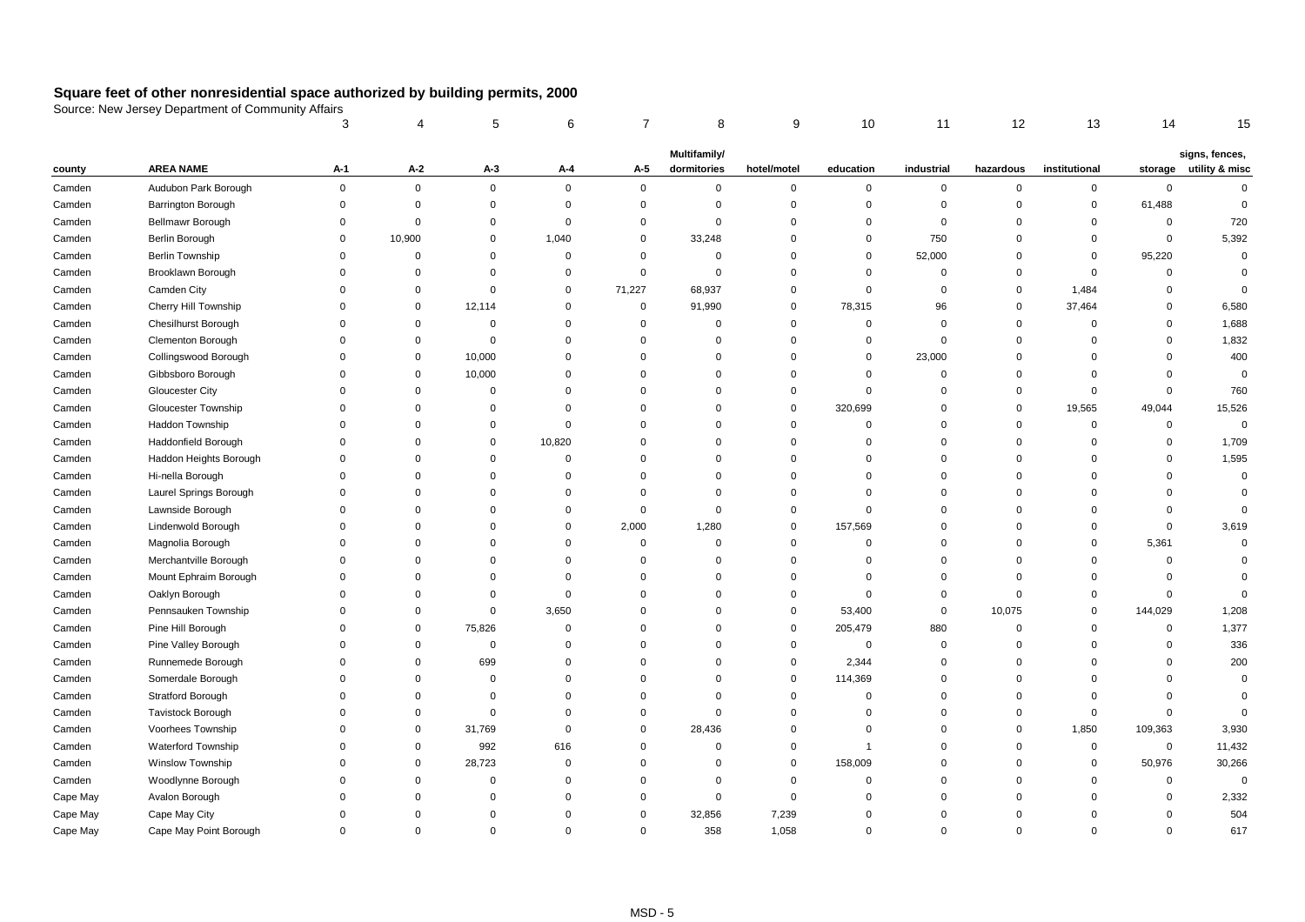|          |                            | 3              |             | 5           | 6           |             | 8              | 9           | 10             | 11          | 12          | 13            | 14          | 15                     |
|----------|----------------------------|----------------|-------------|-------------|-------------|-------------|----------------|-------------|----------------|-------------|-------------|---------------|-------------|------------------------|
|          |                            |                |             |             |             |             | Multifamily/   |             |                |             |             |               |             | signs, fences,         |
| county   | <b>AREA NAME</b>           | A-1            | $A-2$       | $A-3$       | A-4         | $A-5$       | dormitories    | hotel/motel | education      | industrial  | hazardous   | institutional |             | storage utility & misc |
| Camden   | Audubon Park Borough       | $\mathbf 0$    | $\mathsf 0$ | 0           | $\mathbf 0$ | $\mathsf 0$ | $\mathbf 0$    | $\mathbf 0$ | $\mathbf 0$    | $\mathbf 0$ | $\mathbf 0$ | $\mathbf 0$   | $\mathbf 0$ | $\mathbf 0$            |
| Camden   | <b>Barrington Borough</b>  | $\mathbf 0$    | $\mathbf 0$ | 0           | $\mathbf 0$ | $\mathbf 0$ | $\mathbf 0$    | $\mathbf 0$ | $\mathbf 0$    | $\mathbf 0$ | $\mathbf 0$ | $\mathbf 0$   | 61,488      | $\mathbf 0$            |
| Camden   | Bellmawr Borough           | $\mathbf 0$    | $\mathbf 0$ | $\mathbf 0$ | $\mathbf 0$ | $\mathbf 0$ | $\mathbf 0$    | $\mathbf 0$ | 0              | $\Omega$    | $\Omega$    | $\mathbf 0$   | $\mathbf 0$ | 720                    |
| Camden   | Berlin Borough             | $\mathbf 0$    | 10,900      | 0           | 1,040       | $\mathbf 0$ | 33,248         | $\mathbf 0$ | $\mathbf 0$    | 750         | $\mathbf 0$ | $\mathbf 0$   | $\mathbf 0$ | 5,392                  |
| Camden   | Berlin Township            | $\mathbf 0$    | $\mathbf 0$ | $\Omega$    | $\mathbf 0$ | $\mathbf 0$ | $\overline{0}$ | $\mathbf 0$ | 0              | 52,000      | $\Omega$    | $\mathbf 0$   | 95,220      | $\mathbf 0$            |
| Camden   | Brooklawn Borough          | $\mathbf 0$    | $\mathbf 0$ | $\Omega$    | $\mathbf 0$ | $\mathsf 0$ | $\mathbf 0$    | $\mathbf 0$ | $\mathbf 0$    | $\mathbf 0$ | $\Omega$    | $\mathbf 0$   | $\mathbf 0$ | $\mathbf 0$            |
| Camden   | Camden City                | $\Omega$       | $\Omega$    | $\Omega$    | $\mathbf 0$ | 71,227      | 68,937         | $\mathbf 0$ | 0              | $\mathbf 0$ | $\Omega$    | 1,484         | $\mathbf 0$ | $\mathbf 0$            |
| Camden   | Cherry Hill Township       | $\mathbf 0$    | $\mathbf 0$ | 12,114      | $\mathbf 0$ | $\mathbf 0$ | 91,990         | $\mathbf 0$ | 78,315         | 96          | $\mathbf 0$ | 37,464        | $\mathbf 0$ | 6,580                  |
| Camden   | <b>Chesilhurst Borough</b> | $\mathbf 0$    | $\Omega$    | $\mathbf 0$ | $\mathbf 0$ | $\mathbf 0$ | $\mathbf 0$    | $\Omega$    | $\mathbf 0$    | $\mathbf 0$ | $\mathbf 0$ | $\mathbf 0$   | $\mathbf 0$ | 1,688                  |
| Camden   | Clementon Borough          | $\overline{0}$ | $\mathbf 0$ | $\mathbf 0$ | $\mathbf 0$ | $\Omega$    | $\mathbf 0$    | $\mathbf 0$ | $\mathbf 0$    | $\mathbf 0$ | $\Omega$    | $\mathbf 0$   | $\mathbf 0$ | 1,832                  |
| Camden   | Collingswood Borough       | $\Omega$       | $\mathbf 0$ | 10,000      | $\mathbf 0$ | $\Omega$    | $\Omega$       | $\mathbf 0$ | 0              | 23,000      | $\Omega$    | $\Omega$      | $\mathbf 0$ | 400                    |
| Camden   | Gibbsboro Borough          | $\mathbf 0$    | $\mathbf 0$ | 10,000      | $\mathbf 0$ | $\mathbf 0$ | $\Omega$       | $\mathbf 0$ | 0              | $\mathbf 0$ | $\Omega$    | $\Omega$      | $\mathbf 0$ | $\mathbf 0$            |
| Camden   | <b>Gloucester City</b>     | $\Omega$       | $\mathbf 0$ | $\mathbf 0$ | $\mathbf 0$ | $\Omega$    | $\Omega$       | $\mathbf 0$ | $\Omega$       | $\Omega$    | $\Omega$    | $\Omega$      | $\mathbf 0$ | 760                    |
| Camden   | Gloucester Township        | $\Omega$       | $\Omega$    | $\Omega$    | $\mathbf 0$ | $\Omega$    | $\Omega$       | $\mathbf 0$ | 320,699        | $\Omega$    | $\Omega$    | 19,565        | 49,044      | 15,526                 |
| Camden   | Haddon Township            | $\Omega$       | $\Omega$    | $\Omega$    | $\mathbf 0$ | $\Omega$    | $\Omega$       | $\Omega$    | $\mathbf 0$    | $\Omega$    | $\Omega$    | $\mathbf 0$   | $\mathbf 0$ | $\mathbf 0$            |
| Camden   | Haddonfield Borough        | $\Omega$       | $\Omega$    | $\Omega$    | 10,820      | $\Omega$    | $\Omega$       | $\mathbf 0$ | $\Omega$       | $\Omega$    | $\Omega$    | $\Omega$      | $\Omega$    | 1,709                  |
| Camden   | Haddon Heights Borough     | $\Omega$       | $\Omega$    | $\Omega$    | $\mathbf 0$ | $\Omega$    | $\Omega$       | $\Omega$    | $\Omega$       | $\Omega$    | $\Omega$    | $\Omega$      | $\Omega$    | 1,595                  |
| Camden   | Hi-nella Borough           | $\Omega$       | $\Omega$    | $\Omega$    | $\mathbf 0$ | $\Omega$    | $\Omega$       | $\Omega$    | $\Omega$       | $\Omega$    | $\Omega$    | $\Omega$      | $\Omega$    | $\mathsf 0$            |
| Camden   | Laurel Springs Borough     | $\Omega$       | $\Omega$    | $\Omega$    | $\mathbf 0$ | $\Omega$    | $\Omega$       | $\mathbf 0$ | $\Omega$       | $\Omega$    | $\Omega$    | $\Omega$      | $\Omega$    | $\mathbf 0$            |
| Camden   | Lawnside Borough           | $\Omega$       | $\Omega$    | $\Omega$    | $\mathbf 0$ | $\mathbf 0$ | $\Omega$       | $\mathbf 0$ | $\Omega$       | $\Omega$    | $\Omega$    | $\Omega$      | $\Omega$    | $\mathbf 0$            |
| Camden   | Lindenwold Borough         | $\Omega$       | $\Omega$    | $\Omega$    | $\mathbf 0$ | 2,000       | 1,280          | 0           | 157,569        | $\Omega$    | $\Omega$    | $\Omega$      | $\mathbf 0$ | 3,619                  |
| Camden   | Magnolia Borough           | $\Omega$       | $\Omega$    | $\Omega$    | $\mathbf 0$ | 0           | 0              | $\Omega$    | $\mathbf 0$    | $\Omega$    | $\Omega$    | $\mathbf 0$   | 5,361       | $\mathbf 0$            |
| Camden   | Merchantville Borough      | $\Omega$       | $\Omega$    | $\Omega$    | $\mathbf 0$ | 0           | 0              | $\Omega$    | $\Omega$       | $\Omega$    | $\Omega$    | $\Omega$      | $\mathbf 0$ | 0                      |
| Camden   | Mount Ephraim Borough      | $\Omega$       | $\Omega$    | $\Omega$    | $\mathbf 0$ | $\Omega$    | $\Omega$       | $\mathbf 0$ | $\Omega$       | $\Omega$    | $\Omega$    | $\Omega$      | $\Omega$    | $\Omega$               |
| Camden   | Oaklyn Borough             | $\Omega$       | $\Omega$    | $\Omega$    | $\mathbf 0$ | $\Omega$    | $\Omega$       | 0           | $\Omega$       | $\Omega$    | $\Omega$    | $\Omega$      | $\mathbf 0$ | $\mathbf 0$            |
| Camden   | Pennsauken Township        | $\Omega$       | $\Omega$    | $\Omega$    | 3,650       | $\Omega$    | $\Omega$       | $\mathbf 0$ | 53,400         | $\Omega$    | 10,075      | $\Omega$      | 144,029     | 1,208                  |
| Camden   | Pine Hill Borough          | $\Omega$       | $\mathbf 0$ | 75,826      | $\mathbf 0$ | $\Omega$    | $\Omega$       | $\mathbf 0$ | 205,479        | 880         | $\mathbf 0$ | $\Omega$      | $\mathbf 0$ | 1,377                  |
| Camden   | Pine Valley Borough        | $\Omega$       | 0           | $\Omega$    | $\mathbf 0$ | $\Omega$    | $\Omega$       | $\mathbf 0$ | $\mathbf 0$    | $\Omega$    | $\Omega$    | $\Omega$      | $\Omega$    | 336                    |
| Camden   | Runnemede Borough          | $\Omega$       | $\mathbf 0$ | 699         | $\mathbf 0$ | $\Omega$    | 0              | $\mathbf 0$ | 2,344          | $\Omega$    | $\Omega$    | $\Omega$      | $\mathbf 0$ | 200                    |
| Camden   | Somerdale Borough          | $\Omega$       | $\Omega$    | $\Omega$    | $\mathbf 0$ | $\Omega$    | $\Omega$       | $\mathbf 0$ | 114,369        | $\Omega$    | $\Omega$    | $\Omega$      | $\Omega$    | $\mathbf 0$            |
| Camden   | Stratford Borough          | $\Omega$       | $\Omega$    | $\mathbf 0$ | $\mathbf 0$ | $\Omega$    | 0              | $\mathbf 0$ | $\mathbf 0$    | $\Omega$    | $\Omega$    | $\Omega$      | $\mathbf 0$ | $\mathbf 0$            |
| Camden   | <b>Tavistock Borough</b>   | $\Omega$       | $\Omega$    | $\Omega$    | $\mathbf 0$ | $\mathbf 0$ | $\Omega$       | $\mathbf 0$ | 0              | $\Omega$    | $\Omega$    | 0             | $\mathbf 0$ | $\mathbf 0$            |
| Camden   | Voorhees Township          | $\Omega$       | $\mathbf 0$ | 31,769      | $\mathbf 0$ | 0           | 28,436         | $\mathbf 0$ | $\mathbf 0$    | $\Omega$    | 0           | 1,850         | 109,363     | 3,930                  |
| Camden   | Waterford Township         | $\Omega$       | $\mathbf 0$ | 992         | 616         | $\Omega$    | $\Omega$       | $\mathbf 0$ | $\overline{1}$ | $\Omega$    | $\Omega$    | $\mathbf 0$   | $\mathbf 0$ | 11,432                 |
| Camden   | Winslow Township           | $\Omega$       | $\mathbf 0$ | 28,723      | $\mathbf 0$ | $\Omega$    | 0              | $\mathbf 0$ | 158,009        | $\Omega$    | $\mathbf 0$ | $\mathbf 0$   | 50,976      | 30,266                 |
| Camden   | Woodlynne Borough          | $\Omega$       | $\Omega$    | $\Omega$    | $\mathbf 0$ | $\Omega$    | $\Omega$       | $\mathbf 0$ | 0              | $\Omega$    | $\Omega$    | $\Omega$      | $\mathbf 0$ | $\mathbf 0$            |
| Cape May | Avalon Borough             | $\Omega$       | $\Omega$    | $\Omega$    | $\mathbf 0$ | $\Omega$    | $\mathbf 0$    | $\mathbf 0$ | $\Omega$       | 0           | $\Omega$    | $\Omega$      | $\mathbf 0$ | 2,332                  |
| Cape May | Cape May City              | $\Omega$       | $\Omega$    | $\Omega$    | $\mathbf 0$ | $\Omega$    | 32,856         | 7,239       | $\Omega$       | $\Omega$    | $\Omega$    | $\Omega$      | 0           | 504                    |
| Cape May | Cape May Point Borough     | $\Omega$       | $\Omega$    | $\mathbf 0$ | $\mathbf 0$ | $\Omega$    | 358            | 1,058       | $\mathbf 0$    | $\Omega$    | $\Omega$    | $\Omega$      | $\Omega$    | 617                    |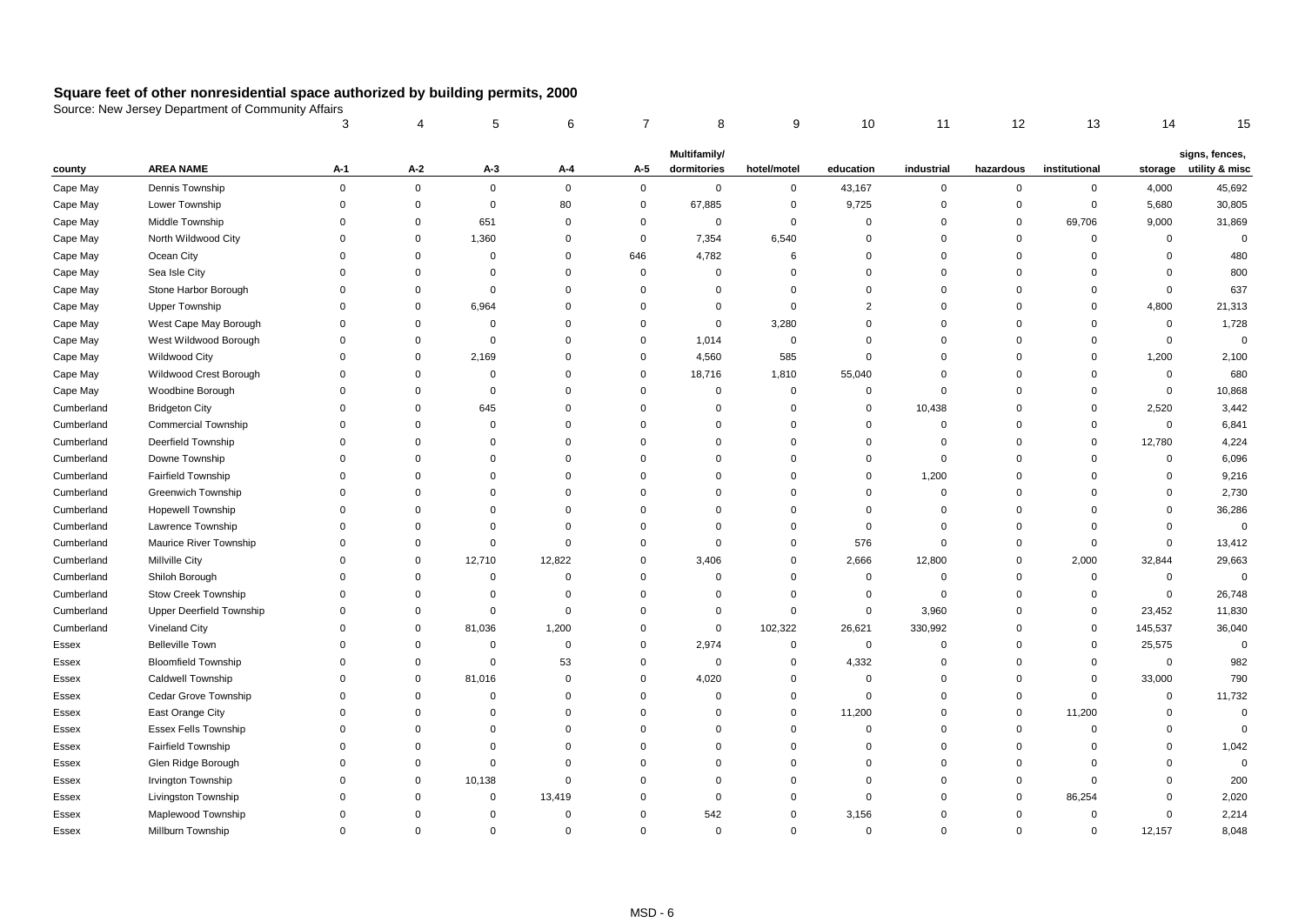|            |                                 | 3           | 4           | 5           | 6           | 7           | 8            | 9           | 10             | 11          | 12          | 13            | 14          | 15             |
|------------|---------------------------------|-------------|-------------|-------------|-------------|-------------|--------------|-------------|----------------|-------------|-------------|---------------|-------------|----------------|
|            |                                 |             |             |             |             |             | Multifamily/ |             |                |             |             |               |             | signs, fences, |
| county     | <b>AREA NAME</b>                | $A-1$       | A-2         | $A-3$       | A-4         | A-5         | dormitories  | hotel/motel | education      | industrial  | hazardous   | institutional | storage     | utility & misc |
| Cape May   | Dennis Township                 | $\mathbf 0$ | $\mathbf 0$ | $\mathsf 0$ | $\mathbf 0$ | $\mathbf 0$ | $\mathbf 0$  | $\mathbf 0$ | 43,167         | 0           | $\pmb{0}$   | $\mathbf 0$   | 4,000       | 45,692         |
| Cape May   | Lower Township                  | $\Omega$    | $\mathbf 0$ | $\mathbf 0$ | 80          | $\mathbf 0$ | 67,885       | $\mathbf 0$ | 9,725          | $\mathbf 0$ | $\mathbf 0$ | $\mathbf 0$   | 5,680       | 30,805         |
| Cape May   | Middle Township                 | $\Omega$    | $\mathbf 0$ | 651         | $\mathbf 0$ | $\mathbf 0$ | $\mathbf 0$  | $\mathbf 0$ | $\Omega$       | $\mathbf 0$ | $\mathbf 0$ | 69,706        | 9,000       | 31,869         |
| Cape May   | North Wildwood City             | $\Omega$    | $\mathbf 0$ | 1,360       | $\Omega$    | $\mathbf 0$ | 7,354        | 6,540       | $\Omega$       | $\mathbf 0$ | $\mathbf 0$ | $\Omega$      | $\mathbf 0$ | $\mathbf 0$    |
| Cape May   | Ocean City                      | $\Omega$    | $\mathbf 0$ | $\mathbf 0$ | $\Omega$    | 646         | 4,782        | 6           | $\Omega$       | $\mathbf 0$ | $\Omega$    | $\Omega$      | $\mathbf 0$ | 480            |
| Cape May   | Sea Isle City                   | $\Omega$    | $\Omega$    | $\mathbf 0$ | $\Omega$    | $\Omega$    | $\mathbf 0$  | $\Omega$    | $\Omega$       | $\Omega$    | $\Omega$    | $\Omega$      | $\Omega$    | 800            |
| Cape May   | Stone Harbor Borough            | $\Omega$    | $\mathbf 0$ | $\mathbf 0$ | $\Omega$    | $\mathbf 0$ | $\mathbf 0$  | $\mathbf 0$ | $\Omega$       | $\Omega$    | $\Omega$    | $\Omega$      | 0           | 637            |
| Cape May   | <b>Upper Township</b>           | $\Omega$    | $\mathbf 0$ | 6,964       | $\Omega$    | $\Omega$    | $\mathbf 0$  | $\mathbf 0$ | $\overline{2}$ | $\Omega$    | $\Omega$    | $\Omega$      | 4,800       | 21,313         |
| Cape May   | West Cape May Borough           | $\Omega$    | 0           | 0           | $\Omega$    | $\Omega$    | $\mathbf 0$  | 3,280       | $\Omega$       | $\Omega$    | $\Omega$    | $\Omega$      | 0           | 1,728          |
| Cape May   | West Wildwood Borough           | 0           | $\mathbf 0$ | $\mathsf 0$ | $\mathbf 0$ | $\mathbf 0$ | 1,014        | $\mathbf 0$ | $\Omega$       | $\Omega$    | $\mathbf 0$ | $\Omega$      | 0           | $\mathbf 0$    |
| Cape May   | Wildwood City                   | $\Omega$    | $\mathbf 0$ | 2,169       | $\mathbf 0$ | $\mathbf 0$ | 4,560        | 585         | $\Omega$       | $\Omega$    | $\mathbf 0$ | $\Omega$      | 1,200       | 2,100          |
| Cape May   | Wildwood Crest Borough          | $\Omega$    | $\Omega$    | $\mathbf 0$ | $\Omega$    | $\mathbf 0$ | 18,716       | 1,810       | 55,040         | $\Omega$    | $\Omega$    | $\Omega$      | 0           | 680            |
| Cape May   | Woodbine Borough                | $\mathbf 0$ | 0           | $\mathbf 0$ | $\mathbf 0$ | 0           | $\mathbf 0$  | $\mathbf 0$ | $\Omega$       | 0           | $\mathbf 0$ | $\Omega$      | $\mathbf 0$ | 10,868         |
| Cumberland | <b>Bridgeton City</b>           | $\Omega$    | $\Omega$    | 645         | $\mathbf 0$ | $\Omega$    | $\mathbf 0$  | $\mathbf 0$ | $\Omega$       | 10,438      | $\Omega$    | $\Omega$      | 2,520       | 3,442          |
| Cumberland | <b>Commercial Township</b>      | $\Omega$    | $\mathbf 0$ | $\mathbf 0$ | $\mathbf 0$ | $\mathbf 0$ | $\Omega$     | $\mathbf 0$ | $\Omega$       | 0           | $\mathbf 0$ | $\Omega$      | $\mathbf 0$ | 6,841          |
| Cumberland | Deerfield Township              | $\Omega$    | $\mathbf 0$ | $\Omega$    | $\Omega$    | $\Omega$    | $\Omega$     | $\mathbf 0$ | $\Omega$       | $\Omega$    | $\Omega$    | $\Omega$      | 12,780      | 4,224          |
| Cumberland | Downe Township                  | $\Omega$    | $\Omega$    | $\mathbf 0$ | $\mathbf 0$ | $\Omega$    | $\Omega$     | $\mathbf 0$ | $\Omega$       | 0           | $\mathbf 0$ | $\Omega$      | 0           | 6,096          |
| Cumberland | Fairfield Township              | $\Omega$    | $\Omega$    | $\Omega$    | $\mathbf 0$ | $\Omega$    | $\Omega$     | $\mathbf 0$ | $\Omega$       | 1,200       | $\Omega$    | $\Omega$      | $\Omega$    | 9,216          |
| Cumberland | <b>Greenwich Township</b>       | $\Omega$    | $\mathbf 0$ | $\Omega$    | $\mathbf 0$ | $\Omega$    | $\Omega$     | $\mathbf 0$ | $\Omega$       | 0           | $\Omega$    | $\Omega$      | 0           | 2,730          |
| Cumberland | <b>Hopewell Township</b>        | $\Omega$    | $\mathbf 0$ | $\Omega$    | $\Omega$    | $\Omega$    | $\Omega$     | $\mathbf 0$ | $\Omega$       | $\Omega$    | $\Omega$    | $\Omega$      | $\mathbf 0$ | 36,286         |
| Cumberland | Lawrence Township               | $\Omega$    | $\mathbf 0$ | 0           | $\mathbf 0$ | $\mathbf 0$ | 0            | $\mathbf 0$ | $\Omega$       | 0           | $\Omega$    | $\Omega$      | 0           | $\Omega$       |
| Cumberland | Maurice River Township          | $\Omega$    | $\mathbf 0$ | $\mathbf 0$ | $\Omega$    | $\Omega$    | $\mathbf 0$  | $\mathbf 0$ | 576            | $\Omega$    | $\Omega$    | $\Omega$      | 0           | 13,412         |
| Cumberland | Millville City                  | $\Omega$    | $\mathbf 0$ | 12,710      | 12,822      | $\mathbf 0$ | 3,406        | $\mathbf 0$ | 2,666          | 12,800      | $\Omega$    | 2,000         | 32,844      | 29,663         |
| Cumberland | Shiloh Borough                  | $\Omega$    | $\mathbf 0$ | $\mathbf 0$ | $\Omega$    | $\Omega$    | $\mathbf 0$  | $\mathbf 0$ | $\Omega$       | $\mathbf 0$ | $\Omega$    | $\mathbf 0$   | 0           | $\Omega$       |
| Cumberland | <b>Stow Creek Township</b>      | $\Omega$    | $\mathbf 0$ | $\mathbf 0$ | $\mathbf 0$ | $\mathbf 0$ | $\mathbf 0$  | $\mathbf 0$ | $\mathbf 0$    | 0           | $\Omega$    | $\Omega$      | $\mathbf 0$ | 26,748         |
| Cumberland | <b>Upper Deerfield Township</b> | $\Omega$    | $\mathbf 0$ | $\mathbf 0$ | $\mathbf 0$ | $\Omega$    | $\mathbf 0$  | $\mathbf 0$ | $\mathbf 0$    | 3,960       | $\Omega$    | $\mathbf 0$   | 23,452      | 11,830         |
| Cumberland | Vineland City                   | $\Omega$    | $\mathbf 0$ | 81,036      | 1,200       | $\Omega$    | $\mathbf 0$  | 102,322     | 26,621         | 330,992     | $\Omega$    | $\mathbf 0$   | 145,537     | 36,040         |
| Essex      | <b>Belleville Town</b>          | $\Omega$    | $\mathbf 0$ | $\mathbf 0$ | $\mathbf 0$ | $\Omega$    | 2,974        | $\mathbf 0$ | $\mathbf 0$    | 0           | $\Omega$    | 0             | 25,575      | $\Omega$       |
| Essex      | <b>Bloomfield Township</b>      | $\mathbf 0$ | $\mathbf 0$ | $\mathbf 0$ | 53          | 0           | $\mathbf 0$  | $\mathbf 0$ | 4,332          | 0           | $\mathbf 0$ | $\mathbf 0$   | 0           | 982            |
| Essex      | Caldwell Township               | $\mathbf 0$ | $\mathbf 0$ | 81,016      | $\mathbf 0$ | $\mathbf 0$ | 4,020        | $\mathbf 0$ | $\Omega$       | 0           | $\mathbf 0$ | 0             | 33,000      | 790            |
| Essex      | Cedar Grove Township            | $\mathbf 0$ | $\mathbf 0$ | $\mathbf 0$ | $\mathbf 0$ | $\mathbf 0$ | $\mathbf 0$  | $\mathbf 0$ | $\Omega$       | 0           | $\mathbf 0$ | $\mathbf 0$   | 0           | 11,732         |
| Essex      | East Orange City                | $\Omega$    | $\mathbf 0$ | $\Omega$    | $\mathbf 0$ | $\mathbf 0$ | $\mathbf 0$  | $\mathbf 0$ | 11,200         | 0           | $\mathbf 0$ | 11,200        | 0           | $\mathbf 0$    |
| Essex      | <b>Essex Fells Township</b>     | $\mathbf 0$ | $\mathbf 0$ | $\mathbf 0$ | $\mathbf 0$ | $\mathbf 0$ | $\mathbf 0$  | $\mathbf 0$ | $\Omega$       | 0           | $\mathbf 0$ | $\Omega$      | 0           | $\Omega$       |
| Essex      | Fairfield Township              | $\Omega$    | $\mathbf 0$ | $\mathbf 0$ | $\mathbf 0$ | $\Omega$    | $\Omega$     | $\mathbf 0$ | $\Omega$       | 0           | $\mathbf 0$ | $\Omega$      | 0           | 1,042          |
| Essex      | Glen Ridge Borough              | $\Omega$    | $\mathbf 0$ | $\mathsf 0$ | $\mathbf 0$ | $\Omega$    | $\mathbf 0$  | $\mathbf 0$ | $\Omega$       | $\mathbf 0$ | $\mathbf 0$ | $\Omega$      | $\mathbf 0$ | $\mathbf 0$    |
| Essex      | Irvington Township              | $\Omega$    | $\mathbf 0$ | 10,138      | $\mathbf 0$ | $\Omega$    | $\Omega$     | $\Omega$    | $\Omega$       | $\mathbf 0$ | $\mathbf 0$ | $\Omega$      | $\mathbf 0$ | 200            |
| Essex      | Livingston Township             | $\Omega$    | 0           | $\mathsf 0$ | 13,419      | $\Omega$    | $\mathsf 0$  | $\mathbf 0$ | $\Omega$       | 0           | $\mathbf 0$ | 86,254        | 0           | 2,020          |
| Essex      | Maplewood Township              | $\Omega$    | $\Omega$    | $\mathbf 0$ | $\mathbf 0$ | $\Omega$    | 542          | $\mathbf 0$ | 3,156          | 0           | $\mathbf 0$ | $\Omega$      | 0           | 2,214          |
| Essex      | Millburn Township               | $\Omega$    | $\Omega$    | $\mathbf 0$ | $\Omega$    | $\mathbf 0$ | $\mathbf 0$  | $\mathbf 0$ | $\mathbf 0$    | $\mathbf 0$ | $\Omega$    | $\Omega$      | 12,157      | 8,048          |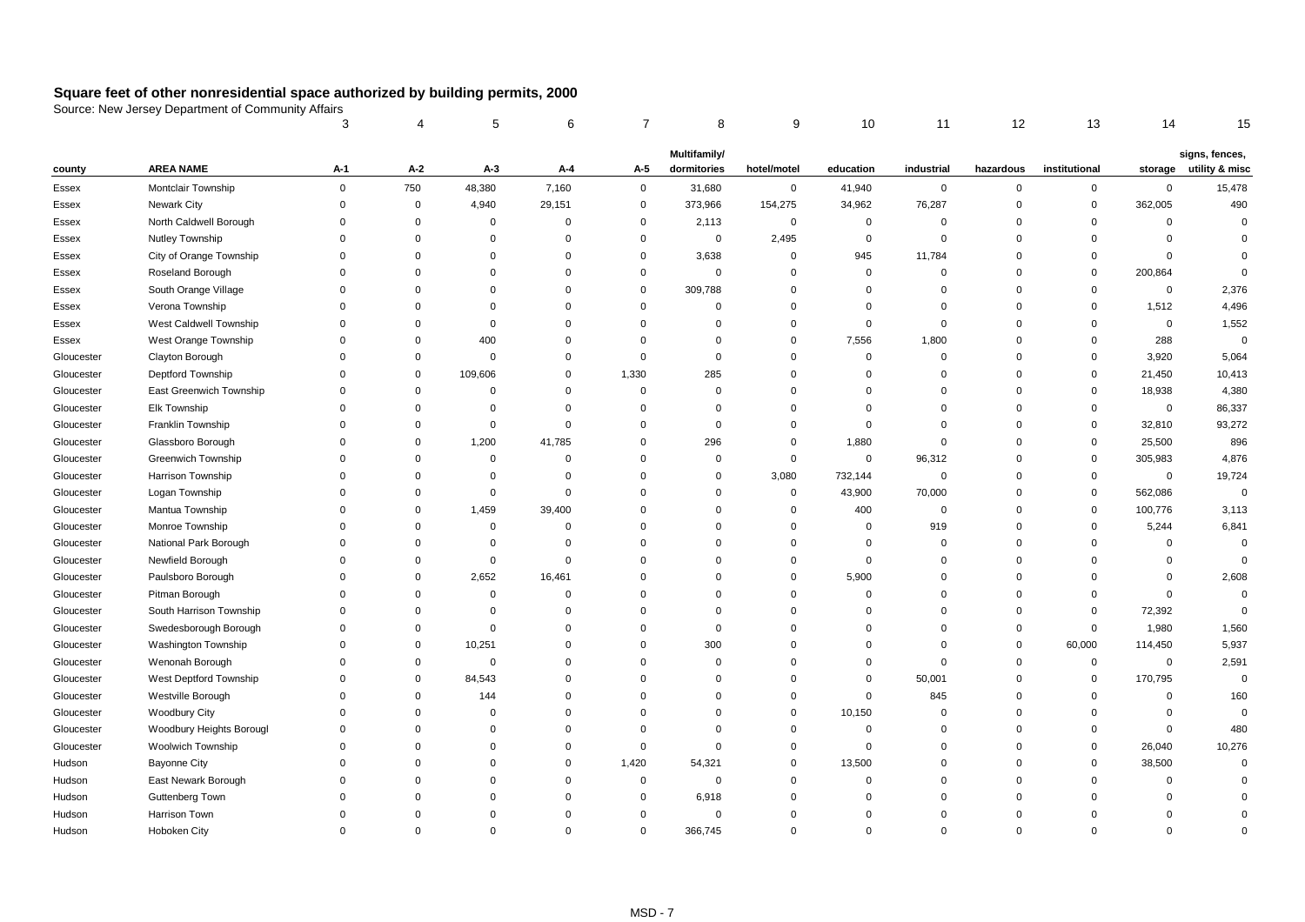|            |                           | 3           | 4           | 5           | 6              | 7           | 8            | 9           | 10             | 11          | 12          | 13            | 14             | 15             |
|------------|---------------------------|-------------|-------------|-------------|----------------|-------------|--------------|-------------|----------------|-------------|-------------|---------------|----------------|----------------|
|            |                           |             |             |             |                |             | Multifamily/ |             |                |             |             |               |                | signs, fences, |
| county     | <b>AREA NAME</b>          | A-1         | A-2         | $A-3$       | A-4            | A-5         | dormitories  | hotel/motel | education      | industrial  | hazardous   | institutional | storage        | utility & misc |
| Essex      | Montclair Township        | $\mathbf 0$ | 750         | 48,380      | 7,160          | $\mathbf 0$ | 31,680       | $\pmb{0}$   | 41,940         | $\mathbf 0$ | $\mathbf 0$ | $\mathbf 0$   | $\pmb{0}$      | 15,478         |
| Essex      | Newark City               | $\mathbf 0$ | $\mathbf 0$ | 4,940       | 29,151         | 0           | 373,966      | 154,275     | 34,962         | 76,287      | $\Omega$    | $\mathbf 0$   | 362,005        | 490            |
| Essex      | North Caldwell Borough    | $\mathbf 0$ | $\Omega$    | $\mathbf 0$ | $\overline{0}$ | 0           | 2,113        | $\mathbf 0$ | $\mathbf 0$    | $\mathbf 0$ | $\Omega$    | $\mathbf 0$   | $\mathbf 0$    | $\Omega$       |
| Essex      | Nutley Township           | $\mathbf 0$ | $\mathbf 0$ | $\mathbf 0$ | $\overline{0}$ | $\Omega$    | $\mathbf 0$  | 2,495       | $\mathbf 0$    | $\mathbf 0$ | $\mathbf 0$ | $\Omega$      | $\overline{0}$ | $\Omega$       |
| Essex      | City of Orange Township   | $\mathbf 0$ | $\Omega$    | $\mathbf 0$ | $\overline{0}$ | $\Omega$    | 3,638        | $\mathbf 0$ | 945            | 11,784      | $\Omega$    | $\mathbf 0$   | $\overline{0}$ | $\Omega$       |
| Essex      | Roseland Borough          | $\mathbf 0$ | $\Omega$    | $\mathbf 0$ | $\overline{0}$ | 0           | $\mathbf 0$  | $\mathbf 0$ | $\mathbf 0$    | $\mathbf 0$ | $\Omega$    | $\mathbf 0$   | 200,864        | $\Omega$       |
| Essex      | South Orange Village      | $\Omega$    | $\Omega$    | $\mathbf 0$ | $\mathbf 0$    | 0           | 309,788      | $\mathbf 0$ | $\mathbf 0$    | $\Omega$    | $\mathbf 0$ | $\mathbf 0$   | $\mathbf 0$    | 2,376          |
| Essex      | Verona Township           | $\mathbf 0$ | $\Omega$    | $\mathbf 0$ | $\overline{0}$ | $\mathbf 0$ | $\mathbf 0$  | $\mathbf 0$ | $\Omega$       | $\mathbf 0$ | $\mathbf 0$ | $\mathbf 0$   | 1,512          | 4,496          |
| Essex      | West Caldwell Township    | $\Omega$    | $\Omega$    | $\mathbf 0$ | $\overline{0}$ | $\Omega$    | $\mathbf 0$  | $\mathbf 0$ | $\mathbf 0$    | 0           | $\Omega$    | $\Omega$      | $\mathbf 0$    | 1,552          |
| Essex      | West Orange Township      | $\mathbf 0$ | $\mathbf 0$ | 400         | $\overline{0}$ | $\Omega$    | $\mathbf 0$  | $\mathbf 0$ | 7,556          | 1,800       | $\Omega$    | $\mathbf 0$   | 288            | $\mathbf 0$    |
| Gloucester | Clayton Borough           | $\Omega$    | $\mathbf 0$ | $\mathbf 0$ | $\mathbf 0$    | $\Omega$    | $\mathbf 0$  | $\mathbf 0$ | $\mathbf 0$    | $\mathbf 0$ | $\mathbf 0$ | $\mathbf 0$   | 3,920          | 5,064          |
| Gloucester | Deptford Township         | $\mathbf 0$ | $\mathbf 0$ | 109,606     | $\mathbf 0$    | 1,330       | 285          | $\mathbf 0$ | $\mathbf 0$    | $\mathbf 0$ | $\mathbf 0$ | $\mathbf 0$   | 21,450         | 10,413         |
| Gloucester | East Greenwich Township   | $\mathbf 0$ | $\Omega$    | $\mathbf 0$ | $\mathbf 0$    | $\Omega$    | $\mathbf 0$  | $\mathbf 0$ | $\Omega$       | $\Omega$    | $\Omega$    | $\mathbf 0$   | 18,938         | 4,380          |
| Gloucester | Elk Township              | $\mathbf 0$ | $\Omega$    | $\mathbf 0$ | $\mathbf 0$    | $\Omega$    | $\mathbf 0$  | $\mathbf 0$ | $\Omega$       | $\Omega$    | $\Omega$    | $\mathbf 0$   | $\mathbf 0$    | 86,337         |
| Gloucester | Franklin Township         | $\Omega$    | $\mathbf 0$ | $\mathbf 0$ | $\mathbf 0$    | $\Omega$    | $\mathbf 0$  | $\mathbf 0$ | $\mathbf 0$    | $\Omega$    | $\Omega$    | $\mathbf 0$   | 32,810         | 93,272         |
| Gloucester | Glassboro Borough         | $\mathbf 0$ | $\mathbf 0$ | 1,200       | 41,785         | $\Omega$    | 296          | $\mathbf 0$ | 1,880          | $\mathbf 0$ | $\Omega$    | $\mathbf 0$   | 25,500         | 896            |
| Gloucester | <b>Greenwich Township</b> | $\mathbf 0$ | $\Omega$    | $\mathbf 0$ | $\mathbf 0$    | $\Omega$    | $\mathbf 0$  | $\mathbf 0$ | $\mathbf 0$    | 96,312      | $\Omega$    | $\mathbf 0$   | 305,983        | 4,876          |
| Gloucester | Harrison Township         | $\mathbf 0$ | $\Omega$    | $\mathbf 0$ | $\mathbf 0$    | $\Omega$    | $\mathbf 0$  | 3,080       | 732,144        | $\mathbf 0$ | $\Omega$    | $\mathbf 0$   | $\pmb{0}$      | 19,724         |
| Gloucester | Logan Township            | $\Omega$    | $\Omega$    | $\mathbf 0$ | $\mathbf 0$    | $\Omega$    | $\mathbf 0$  | $\mathbf 0$ | 43,900         | 70,000      | $\Omega$    | $\mathbf 0$   | 562,086        | $\mathbf 0$    |
| Gloucester | Mantua Township           | $\mathbf 0$ | $\mathbf 0$ | 1,459       | 39,400         | $\Omega$    | $\mathbf 0$  | $\mathbf 0$ | 400            | $\mathbf 0$ | $\Omega$    | $\mathbf 0$   | 100,776        | 3,113          |
| Gloucester | Monroe Township           | $\mathbf 0$ | $\Omega$    | $\mathbf 0$ | $\mathbf 0$    | $\Omega$    | $\Omega$     | $\mathbf 0$ | $\overline{0}$ | 919         | $\Omega$    | $\mathbf 0$   | 5,244          | 6,841          |
| Gloucester | National Park Borough     | $\mathbf 0$ | $\Omega$    | $\Omega$    | $\mathbf 0$    | $\Omega$    | $\Omega$     | $\mathbf 0$ | $\Omega$       | $\mathbf 0$ | $\Omega$    | $\Omega$      | $\overline{0}$ | $\mathbf 0$    |
| Gloucester | Newfield Borough          | $\Omega$    | $\mathbf 0$ | $\mathbf 0$ | $\overline{0}$ | $\Omega$    | $\Omega$     | $\mathbf 0$ | $\Omega$       | $\Omega$    | $\Omega$    | $\Omega$      | $\mathbf 0$    | $\mathbf 0$    |
| Gloucester | Paulsboro Borough         | $\Omega$    | $\mathbf 0$ | 2,652       | 16,461         | $\Omega$    | $\Omega$     | $\mathbf 0$ | 5,900          | $\Omega$    | $\Omega$    | $\Omega$      | $\mathbf 0$    | 2,608          |
| Gloucester | Pitman Borough            | $\mathbf 0$ | $\Omega$    | $\mathbf 0$ | $\mathbf 0$    | $\Omega$    | 0            | $\mathbf 0$ | $\overline{0}$ | $\Omega$    | $\Omega$    | $\Omega$      | $\mathsf 0$    | $\mathbf 0$    |
| Gloucester | South Harrison Township   | $\Omega$    | $\Omega$    | $\Omega$    | $\overline{0}$ | $\Omega$    | $\Omega$     | $\mathbf 0$ | $\Omega$       | $\Omega$    | $\Omega$    | $\mathbf{0}$  | 72,392         | $\mathbf 0$    |
| Gloucester | Swedesborough Borough     | $\Omega$    | $\mathbf 0$ | $\mathbf 0$ | $\overline{0}$ | $\Omega$    | $\mathbf 0$  | $\mathbf 0$ | $\Omega$       | $\Omega$    | $\mathbf 0$ | $\mathbf 0$   | 1,980          | 1,560          |
| Gloucester | Washington Township       | $\Omega$    | $\mathbf 0$ | 10,251      | $\Omega$       | $\Omega$    | 300          | $\mathbf 0$ | $\Omega$       | $\Omega$    | $\mathbf 0$ | 60,000        | 114,450        | 5,937          |
| Gloucester | Wenonah Borough           | $\mathbf 0$ | $\mathbf 0$ | 0           | $\mathbf 0$    | $\Omega$    | $\mathbf 0$  | $\mathbf 0$ | 0              | 0           | 0           | 0             | $\mathbf 0$    | 2,591          |
| Gloucester | West Deptford Township    | $\mathbf 0$ | $\mathbf 0$ | 84,543      | $\Omega$       | $\Omega$    | $\Omega$     | $\Omega$    | 0              | 50,001      | $\Omega$    | 0             | 170,795        | $\mathbf 0$    |
| Gloucester | Westville Borough         | $\mathbf 0$ | $\mathbf 0$ | 144         | $\mathbf 0$    | $\Omega$    | $\Omega$     | $\mathbf 0$ | 0              | 845         | $\Omega$    | $\Omega$      | $\mathbf 0$    | 160            |
| Gloucester | <b>Woodbury City</b>      | $\Omega$    | $\Omega$    | $\mathbf 0$ | $\Omega$       | $\Omega$    | $\Omega$     | $\mathbf 0$ | 10,150         | $\Omega$    | $\Omega$    | $\Omega$      | 0              | $\Omega$       |
| Gloucester | Woodbury Heights Borougl  | 0           | $\Omega$    | 0           | $\mathbf 0$    | $\Omega$    | $\mathbf 0$  | $\mathbf 0$ | 0              | 0           | $\Omega$    | $\Omega$      | $\mathbf 0$    | 480            |
| Gloucester | Woolwich Township         | $\mathbf 0$ | $\Omega$    | $\Omega$    | $\mathbf 0$    | $\Omega$    | $\Omega$     | $\mathbf 0$ | $\mathbf 0$    | $\Omega$    | $\Omega$    | 0             | 26,040         | 10,276         |
| Hudson     | <b>Bayonne City</b>       | $\Omega$    | $\Omega$    | $\mathbf 0$ | $\overline{0}$ | 1,420       | 54,321       | $\mathbf 0$ | 13,500         | 0           | $\Omega$    | $\mathbf 0$   | 38,500         | $\Omega$       |
| Hudson     | East Newark Borough       | $\Omega$    | $\Omega$    | $\mathbf 0$ | $\Omega$       | 0           | $\mathbf 0$  | $\mathbf 0$ | $\mathbf 0$    | $\Omega$    | $\mathbf 0$ | $\Omega$      | $\mathbf 0$    |                |
| Hudson     | Guttenberg Town           | $\Omega$    | $\Omega$    | 0           | $\Omega$       | 0           | 6,918        | $\mathbf 0$ | $\Omega$       | 0           | $\Omega$    | $\Omega$      | 0              | $\Omega$       |
| Hudson     | Harrison Town             | $\Omega$    | $\Omega$    | 0           | $\Omega$       | $\Omega$    | $\mathbf 0$  | $\Omega$    | $\Omega$       | $\Omega$    | $\Omega$    | $\Omega$      | $\Omega$       | $\Omega$       |
| Hudson     | Hoboken City              | $\Omega$    | $\Omega$    | $\mathbf 0$ | $\Omega$       | $\Omega$    | 366,745      | $\mathbf 0$ | $\Omega$       | $\Omega$    | $\Omega$    | $\Omega$      | $\Omega$       | $\Omega$       |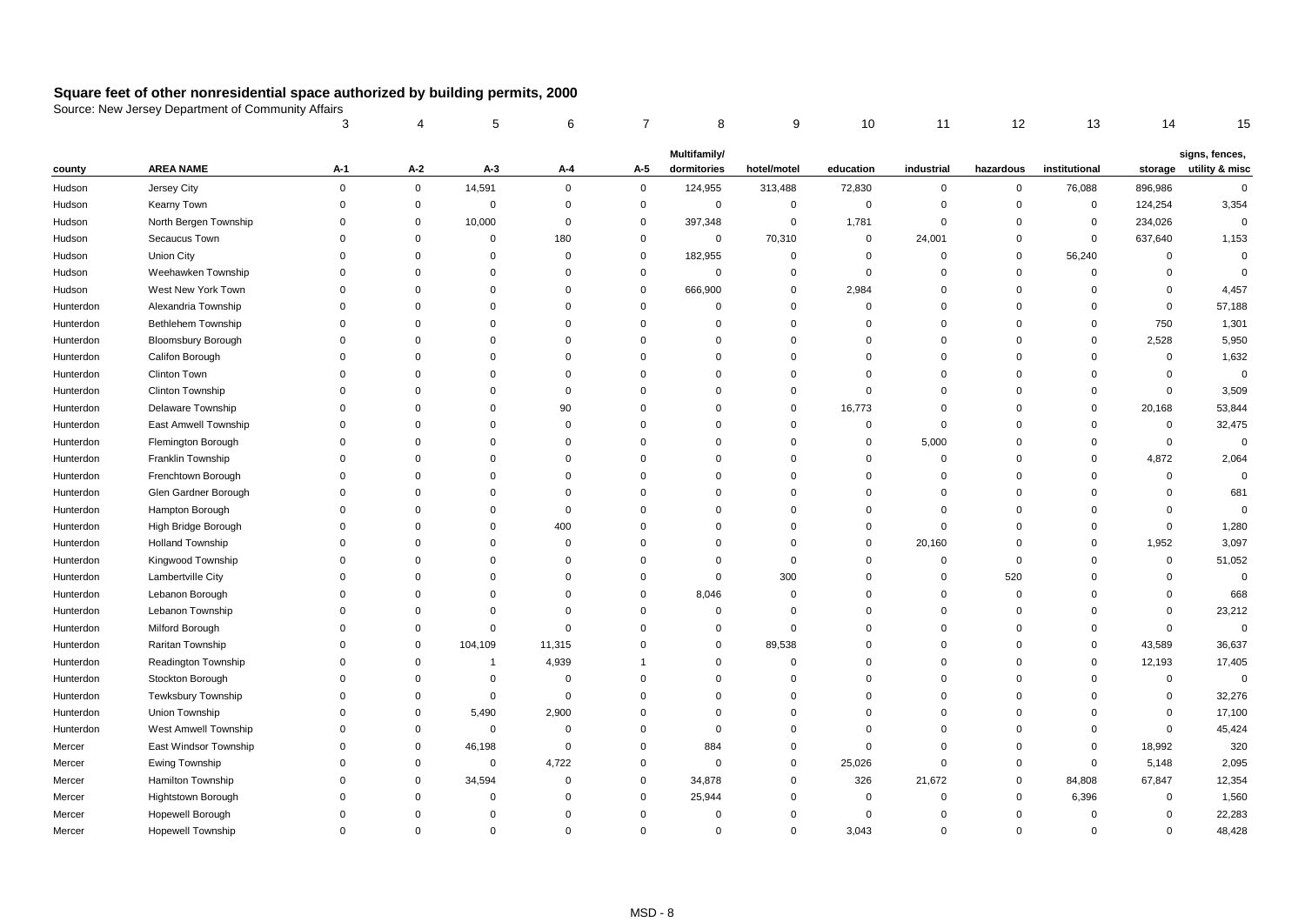|           |                           | 3           |             | 5              | 6           | 7           | 8            | 9              | 10          | 11          | 12          | 13            | 14          | 15             |
|-----------|---------------------------|-------------|-------------|----------------|-------------|-------------|--------------|----------------|-------------|-------------|-------------|---------------|-------------|----------------|
|           |                           |             |             |                |             |             | Multifamily/ |                |             |             |             |               |             | signs, fences, |
| county    | <b>AREA NAME</b>          | $A-1$       | A-2         | $A-3$          | A-4         | A-5         | dormitories  | hotel/motel    | education   | industrial  | hazardous   | institutional | storage     | utility & misc |
| Hudson    | Jersey City               | $\mathbf 0$ | $\mathbf 0$ | 14,591         | $\mathbf 0$ | $\mathbf 0$ | 124,955      | 313,488        | 72,830      | 0           | $\mathbf 0$ | 76,088        | 896,986     | $\mathbf 0$    |
| Hudson    | Kearny Town               | $\Omega$    | $\mathbf 0$ | $\mathbf 0$    | $\Omega$    | $\mathbf 0$ | $\mathsf 0$  | $\pmb{0}$      | $\mathbf 0$ | $\Omega$    | $\mathbf 0$ | $\mathbf 0$   | 124,254     | 3,354          |
| Hudson    | North Bergen Township     | 0           | $\Omega$    | 10,000         | $\mathbf 0$ | $\mathbf 0$ | 397,348      | $\mathbf 0$    | 1,781       | $\Omega$    | $\mathbf 0$ | $\mathbf 0$   | 234,026     | $\mathbf 0$    |
| Hudson    | Secaucus Town             | $\Omega$    | $\Omega$    | $\mathbf 0$    | 180         | $\mathbf 0$ | $\mathbf 0$  | 70,310         | $\mathbf 0$ | 24,001      | $\mathbf 0$ | $\mathbf 0$   | 637,640     | 1,153          |
| Hudson    | <b>Union City</b>         | $\Omega$    | $\Omega$    | $\mathbf 0$    | $\Omega$    | $\mathbf 0$ | 182,955      | $\mathbf 0$    | $\mathbf 0$ | $\Omega$    | $\mathbf 0$ | 56,240        | $\mathbf 0$ | $\mathbf 0$    |
| Hudson    | Weehawken Township        | $\Omega$    | $\Omega$    | $\mathbf 0$    | 0           | $\mathbf 0$ | $\mathbf 0$  | $\mathbf 0$    | $\mathbf 0$ | $\Omega$    | $\mathbf 0$ | $\mathbf 0$   | $\mathbf 0$ | $\mathbf 0$    |
| Hudson    | West New York Town        | $\Omega$    | $\Omega$    | $\mathbf 0$    | $\Omega$    | $\mathbf 0$ | 666,900      | $\overline{0}$ | 2,984       | $\Omega$    | $\mathbf 0$ | $\Omega$      | $\mathbf 0$ | 4,457          |
| Hunterdon | Alexandria Township       | $\Omega$    | $\Omega$    | $\Omega$       | $\Omega$    | $\mathbf 0$ | $\mathbf 0$  | $\overline{0}$ | $\mathbf 0$ | $\Omega$    | $\mathbf 0$ | $\Omega$      | $\mathbf 0$ | 57,188         |
| Hunterdon | Bethlehem Township        | $\Omega$    | $\Omega$    | $\mathbf 0$    | $\Omega$    | $\Omega$    | 0            | $\overline{0}$ | $\mathbf 0$ | $\Omega$    | $\mathbf 0$ | $\Omega$      | 750         | 1,301          |
| Hunterdon | <b>Bloomsbury Borough</b> | $\Omega$    | $\Omega$    | $\Omega$       | $\Omega$    | $\Omega$    | $\Omega$     | $\mathbf 0$    | $\Omega$    | $\Omega$    | $\Omega$    | $\Omega$      | 2,528       | 5,950          |
| Hunterdon | Califon Borough           | $\Omega$    | $\Omega$    | $\mathbf 0$    | $\Omega$    | $\mathbf 0$ | $\mathbf 0$  | $\overline{0}$ | $\Omega$    | $\Omega$    | $\mathbf 0$ | $\Omega$      | $\mathbf 0$ | 1,632          |
| Hunterdon | Clinton Town              | $\Omega$    | $\Omega$    | $\Omega$       | $\Omega$    | $\Omega$    | $\mathbf 0$  | $\overline{0}$ | $\Omega$    | $\Omega$    | $\mathbf 0$ | $\Omega$      | $\mathbf 0$ | $\mathbf 0$    |
| Hunterdon | Clinton Township          | $\Omega$    | $\Omega$    | 0              | $\mathbf 0$ | $\Omega$    | $\mathbf 0$  | $\mathbf 0$    | $\mathbf 0$ | $\Omega$    | 0           | $\Omega$      | $\mathbf 0$ | 3,509          |
| Hunterdon | Delaware Township         | $\Omega$    | $\Omega$    | $\Omega$       | 90          | $\Omega$    | $\Omega$     | $\mathbf 0$    | 16,773      | $\Omega$    | $\mathbf 0$ | $\Omega$      | 20,168      | 53,844         |
| Hunterdon | East Amwell Township      | $\Omega$    | $\Omega$    | $\Omega$       | $\Omega$    | $\Omega$    | $\Omega$     | $\overline{0}$ | $\mathbf 0$ | $\Omega$    | $\mathbf 0$ | $\Omega$      | $\mathbf 0$ | 32,475         |
| Hunterdon | Flemington Borough        | $\Omega$    | $\Omega$    | $\Omega$       | $\Omega$    | $\Omega$    | $\Omega$     | $\overline{0}$ | $\mathbf 0$ | 5,000       | $\mathbf 0$ | $\Omega$      | $\mathbf 0$ | $\Omega$       |
| Hunterdon | Franklin Township         | $\Omega$    | $\Omega$    | $\Omega$       | $\Omega$    | $\Omega$    | $\Omega$     | $\overline{0}$ | $\Omega$    | $\Omega$    | $\mathbf 0$ | $\Omega$      | 4,872       | 2,064          |
| Hunterdon | Frenchtown Borough        | O           | $\Omega$    | $\Omega$       | $\Omega$    | $\Omega$    | $\Omega$     | $\Omega$       | $\Omega$    | $\Omega$    | $\mathbf 0$ | $\Omega$      | $\mathbf 0$ | $\Omega$       |
| Hunterdon | Glen Gardner Borough      | $\Omega$    | $\Omega$    | $\Omega$       | $\Omega$    | $\Omega$    | $\Omega$     | $\Omega$       | $\Omega$    | $\Omega$    | $\mathbf 0$ | $\Omega$      | $\Omega$    | 681            |
| Hunterdon | Hampton Borough           | $\Omega$    | $\Omega$    | $\Omega$       | $\mathbf 0$ | $\Omega$    | $\Omega$     | $\overline{0}$ | $\mathbf 0$ | $\Omega$    | $\mathbf 0$ | $\Omega$      | $\mathbf 0$ | $\Omega$       |
| Hunterdon | High Bridge Borough       | $\mathbf 0$ | $\mathbf 0$ | $\mathbf 0$    | 400         | $\Omega$    | $\mathbf 0$  | $\overline{0}$ | $\mathbf 0$ | $\mathbf 0$ | $\mathbf 0$ | $\Omega$      | $\mathbf 0$ | 1,280          |
| Hunterdon | <b>Holland Township</b>   | $\Omega$    | $\Omega$    | $\mathbf 0$    | $\mathbf 0$ | $\Omega$    | $\mathbf 0$  | $\overline{0}$ | $\mathbf 0$ | 20,160      | $\mathbf 0$ | $\mathbf 0$   | 1,952       | 3,097          |
| Hunterdon | Kingwood Township         | $\Omega$    | $\Omega$    | $\Omega$       | $\mathbf 0$ | $\mathbf 0$ | $\mathbf 0$  | $\mathbf 0$    | $\Omega$    | $\mathbf 0$ | $\mathbf 0$ | $\Omega$      | $\mathbf 0$ | 51,052         |
| Hunterdon | Lambertville City         | $\Omega$    | $\Omega$    | $\Omega$       | $\Omega$    | $\mathbf 0$ | $\mathbf 0$  | 300            | $\Omega$    | $\Omega$    | 520         | $\Omega$      | $\mathbf 0$ | $\Omega$       |
| Hunterdon | Lebanon Borough           | $\Omega$    | $\Omega$    | $\mathbf 0$    | $\mathbf 0$ | $\mathbf 0$ | 8,046        | $\mathbf 0$    | $\Omega$    | $\Omega$    | $\mathbf 0$ | $\Omega$      | $\mathbf 0$ | 668            |
| Hunterdon | Lebanon Township          | $\Omega$    | $\Omega$    | $\Omega$       | 0           | $\Omega$    | $\mathbf 0$  | $\Omega$       | $\Omega$    | $\Omega$    | $\mathbf 0$ | $\Omega$      | $\mathbf 0$ | 23,212         |
| Hunterdon | Milford Borough           | $\Omega$    | $\Omega$    | $\mathbf 0$    | $\mathbf 0$ | $\Omega$    | $\Omega$     | $\overline{0}$ | $\Omega$    | $\mathbf 0$ | $\mathbf 0$ | $\Omega$      | $\mathbf 0$ | $\mathsf 0$    |
| Hunterdon | Raritan Township          | $\Omega$    | $\Omega$    | 104,109        | 11,315      | $\Omega$    | $\mathbf 0$  | 89,538         | $\Omega$    | $\Omega$    | $\mathbf 0$ | $\mathbf 0$   | 43,589      | 36,637         |
| Hunterdon | Readington Township       | $\Omega$    | $\mathbf 0$ | $\overline{1}$ | 4,939       |             | $\mathbf 0$  | $\mathbf 0$    | $\Omega$    | $\Omega$    | $\mathbf 0$ | $\mathbf 0$   | 12,193      | 17,405         |
| Hunterdon | Stockton Borough          | $\Omega$    | $\Omega$    | $\mathbf 0$    | $^{\circ}$  | $\Omega$    | $\mathbf 0$  | $\Omega$       | $\Omega$    | $\Omega$    | $\mathbf 0$ | $\Omega$      | $\mathbf 0$ | $\mathbf 0$    |
| Hunterdon | Tewksbury Township        | $\Omega$    | $\Omega$    | $\mathbf 0$    | $\mathbf 0$ | $\Omega$    | $\Omega$     | $\Omega$       | $\Omega$    | $\Omega$    | $\mathbf 0$ | $\Omega$      | $\Omega$    | 32,276         |
| Hunterdon | Union Township            | $\Omega$    | $\Omega$    | 5,490          | 2,900       | $\Omega$    | $\Omega$     | $\Omega$       | $\Omega$    | $\Omega$    | $\mathbf 0$ | $\Omega$      | $\mathbf 0$ | 17,100         |
| Hunterdon | West Amwell Township      | $\mathbf 0$ | $\mathbf 0$ | $\mathbf 0$    | $\mathbf 0$ | $\mathbf 0$ | $\mathbf 0$  | $\mathbf 0$    | $\mathbf 0$ | $\Omega$    | $\mathbf 0$ | 0             | $\mathbf 0$ | 45,424         |
| Mercer    | East Windsor Township     | $\mathbf 0$ | $\Omega$    | 46,198         | $\mathbf 0$ | $\mathbf 0$ | 884          | $\overline{0}$ | $\mathbf 0$ | $\Omega$    | $\mathbf 0$ | $\mathbf 0$   | 18,992      | 320            |
| Mercer    | Ewing Township            | $\Omega$    | $\mathbf 0$ | $\mathbf 0$    | 4,722       | $\mathbf 0$ | $\mathbf 0$  | $\overline{0}$ | 25,026      | $\mathbf 0$ | $\mathbf 0$ | $\mathbf 0$   | 5,148       | 2,095          |
| Mercer    | <b>Hamilton Township</b>  | $\Omega$    | $\Omega$    | 34,594         | $\mathbf 0$ | $\mathbf 0$ | 34,878       | $\overline{0}$ | 326         | 21,672      | $\mathbf 0$ | 84,808        | 67,847      | 12,354         |
| Mercer    | <b>Hightstown Borough</b> | $\mathbf 0$ | $\mathbf 0$ | $\mathbf 0$    | $\mathbf 0$ | $\mathbf 0$ | 25,944       | $\mathbf 0$    | $\mathbf 0$ | $\mathbf 0$ | $\mathbf 0$ | 6,396         | $\mathbf 0$ | 1,560          |
| Mercer    | Hopewell Borough          | $\Omega$    | $\Omega$    | $\mathbf 0$    | $\Omega$    | $\mathbf 0$ | $\mathbf 0$  | $\Omega$       | $\mathbf 0$ | $\Omega$    | $\mathbf 0$ | $\Omega$      | $\mathbf 0$ | 22,283         |
| Mercer    | <b>Hopewell Township</b>  | $\Omega$    | $\Omega$    | $\Omega$       | $\Omega$    | $\mathbf 0$ | $\mathbf 0$  | $\Omega$       | 3,043       | $\Omega$    | $\mathbf 0$ | $\mathbf 0$   | $\Omega$    | 48,428         |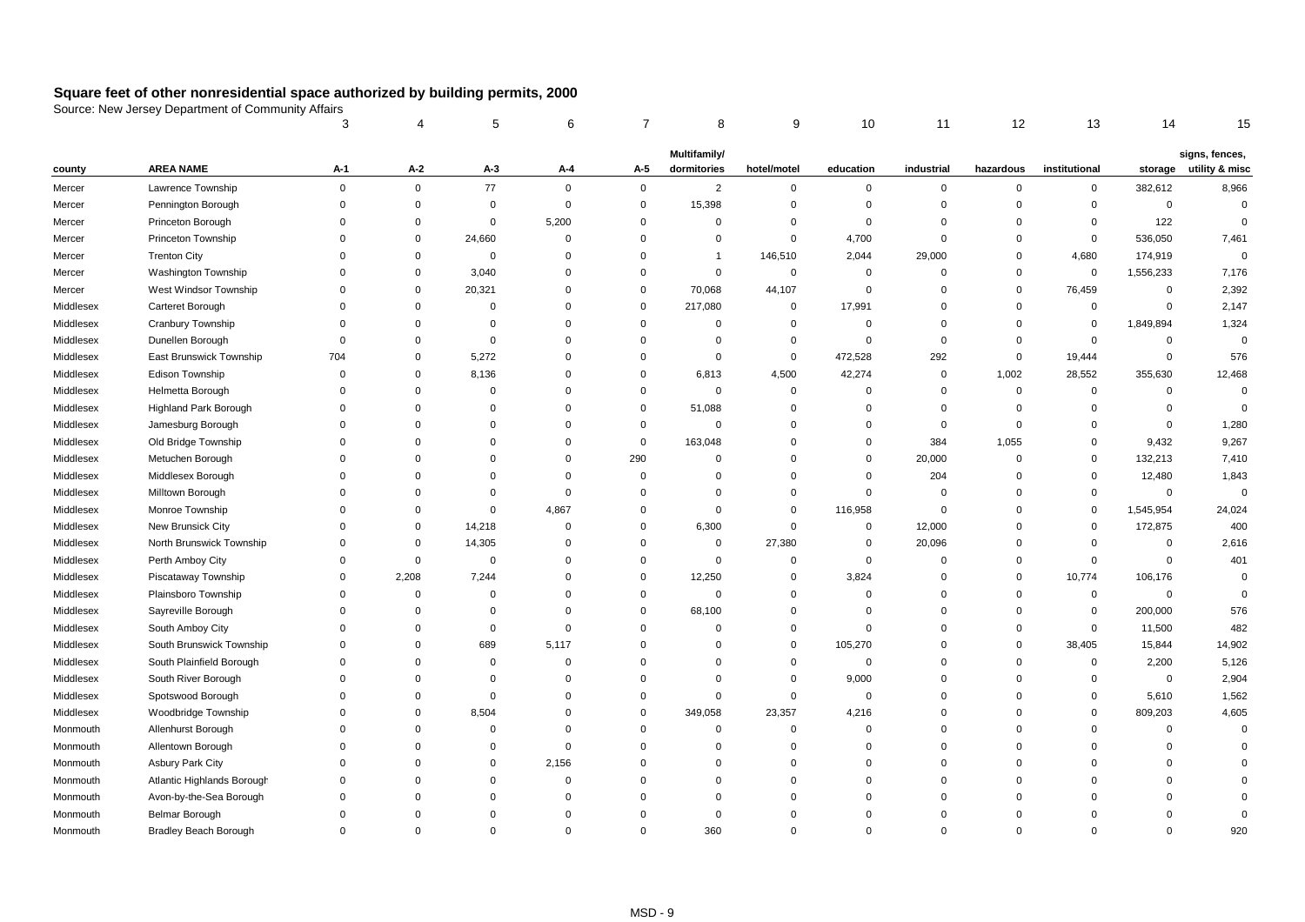|           |                              | 3              |             | 5           | 6              |              | 8              | 9              | 10          | 11          | 12          | 13            | 14          | 15                     |
|-----------|------------------------------|----------------|-------------|-------------|----------------|--------------|----------------|----------------|-------------|-------------|-------------|---------------|-------------|------------------------|
|           |                              |                |             |             |                |              | Multifamily/   |                |             |             |             |               |             | signs, fences,         |
| county    | <b>AREA NAME</b>             | A-1            | A-2         | $A-3$       | A-4            | A-5          | dormitories    | hotel/motel    | education   | industrial  | hazardous   | institutional |             | storage utility & misc |
| Mercer    | Lawrence Township            | $\mathbf 0$    | $\mathbf 0$ | 77          | $\mathbf 0$    | $\mathsf 0$  | $\overline{2}$ | $\pmb{0}$      | 0           | $\mathbf 0$ | $\mathbf 0$ | 0             | 382,612     | 8,966                  |
| Mercer    | Pennington Borough           | $\mathbf 0$    | $\mathbf 0$ | $\mathbf 0$ | $\mathbf 0$    | $\mathbf 0$  | 15,398         | $\mathbf 0$    | $\Omega$    | $\mathbf 0$ | $\mathbf 0$ | 0             | $\mathbf 0$ | $\mathbf 0$            |
| Mercer    | Princeton Borough            | $\mathbf 0$    | $\mathbf 0$ | $\mathsf 0$ | 5,200          | $\mathbf 0$  | $\mathbf 0$    | $\mathbf 0$    | $\Omega$    | $\mathbf 0$ | $\Omega$    | $\mathbf 0$   | 122         | $\mathbf 0$            |
| Mercer    | Princeton Township           | $\mathbf 0$    | $\mathbf 0$ | 24,660      | $\mathbf 0$    | $\mathbf 0$  | $\mathbf 0$    | $\mathbf 0$    | 4,700       | $\mathbf 0$ | $\mathbf 0$ | 0             | 536,050     | 7,461                  |
| Mercer    | <b>Trenton City</b>          | $\mathbf 0$    | $\Omega$    | $\mathsf 0$ | $\overline{0}$ | $\Omega$     | $\mathbf{1}$   | 146,510        | 2,044       | 29,000      | $\mathbf 0$ | 4,680         | 174,919     | $\mathbf 0$            |
| Mercer    | Washington Township          | $\mathbf 0$    | $\mathbf 0$ | 3,040       | $\mathbf 0$    | $\mathbf 0$  | $\mathsf 0$    | $\mathbf 0$    | $\mathbf 0$ | $\mathbf 0$ | $\mathbf 0$ | $\mathbf 0$   | 1,556,233   | 7,176                  |
| Mercer    | West Windsor Township        | $\overline{0}$ | $\mathbf 0$ | 20,321      | $\mathbf 0$    | $\mathbf 0$  | 70,068         | 44,107         | $\Omega$    | $\mathbf 0$ | $\mathbf 0$ | 76,459        | 0           | 2,392                  |
| Middlesex | Carteret Borough             | $\overline{0}$ | $\Omega$    | $\mathbf 0$ | $\mathbf 0$    | $\mathbf 0$  | 217,080        | $\pmb{0}$      | 17,991      | $\mathbf 0$ | $\mathbf 0$ | $\mathbf 0$   | 0           | 2,147                  |
| Middlesex | Cranbury Township            | $\mathbf 0$    | $\Omega$    | $\mathbf 0$ | $\overline{0}$ | $\Omega$     | $\mathbf 0$    | $\mathbf 0$    | $\Omega$    | $\mathbf 0$ | $\mathbf 0$ | $\mathbf 0$   | 1,849,894   | 1,324                  |
| Middlesex | Dunellen Borough             | $\mathbf 0$    | $\Omega$    | $\mathsf 0$ | $\mathbf 0$    | $\Omega$     | $\mathsf 0$    | $\mathbf 0$    | $\mathbf 0$ | $\mathbf 0$ | $\mathbf 0$ | $\mathbf 0$   | 0           | $\mathbf 0$            |
| Middlesex | East Brunswick Township      | 704            | $\Omega$    | 5,272       | $\pmb{0}$      | $\Omega$     | $\mathsf 0$    | $\pmb{0}$      | 472,528     | 292         | $\mathbf 0$ | 19,444        | $\mathbf 0$ | 576                    |
| Middlesex | <b>Edison Township</b>       | $\mathbf 0$    | $\Omega$    | 8,136       | $\mathbf 0$    | $\mathbf 0$  | 6,813          | 4,500          | 42,274      | $\mathbf 0$ | 1,002       | 28,552        | 355,630     | 12,468                 |
| Middlesex | Helmetta Borough             | $\mathbf 0$    | $\Omega$    | $\mathbf 0$ | $\overline{0}$ | $\Omega$     | $\mathsf 0$    | $\mathbf 0$    | $\Omega$    | $\mathbf 0$ | $\mathbf 0$ | $\mathbf 0$   | 0           | $\mathbf 0$            |
| Middlesex | Highland Park Borough        | $\Omega$       | $\Omega$    | $\Omega$    | $\Omega$       | $\Omega$     | 51,088         | $\mathbf 0$    | $\Omega$    | $\Omega$    | $\mathbf 0$ | $\Omega$      | $\Omega$    | $\mathbf 0$            |
| Middlesex | Jamesburg Borough            | $\Omega$       | $\Omega$    | $\Omega$    | $\Omega$       | $\mathbf 0$  | $\mathbf 0$    | $\overline{0}$ | $\Omega$    | $\mathbf 0$ | $\mathbf 0$ | $\Omega$      | 0           | 1,280                  |
| Middlesex | Old Bridge Township          | $\Omega$       | $\Omega$    | $\Omega$    | $\Omega$       | $\mathbf 0$  | 163,048        | $\Omega$       | $\Omega$    | 384         | 1,055       | $\Omega$      | 9,432       | 9,267                  |
| Middlesex | Metuchen Borough             | $\mathbf 0$    | $\Omega$    | $\Omega$    | $\overline{0}$ | 290          | $\mathbf 0$    | $\overline{0}$ | $\Omega$    | 20,000      | $\mathbf 0$ | $\Omega$      | 132,213     | 7,410                  |
| Middlesex | Middlesex Borough            | $\mathbf 0$    | $\Omega$    | $\Omega$    | $\mathbf 0$    | $\Omega$     | $\Omega$       | $\overline{0}$ | $\Omega$    | 204         | $\Omega$    | $\Omega$      | 12,480      | 1,843                  |
| Middlesex | Milltown Borough             | $\mathbf 0$    | $\Omega$    | $\mathbf 0$ | $\mathbf 0$    | $\Omega$     | $\mathbf 0$    | $\mathbf 0$    | $\Omega$    | $\mathbf 0$ | $\Omega$    | $\Omega$      | 0           | $\mathbf 0$            |
| Middlesex | Monroe Township              | $\mathbf 0$    | $\Omega$    | $\mathbf 0$ | 4,867          | $\Omega$     | $\mathbf 0$    | $\mathbf 0$    | 116,958     | $\Omega$    | $\Omega$    | $\Omega$      | 1,545,954   | 24,024                 |
| Middlesex | New Brunsick City            | $\mathbf 0$    | $\mathbf 0$ | 14,218      | $\mathbf 0$    | $\mathbf{0}$ | 6,300          | $\mathbf 0$    | $\Omega$    | 12,000      | $\mathbf 0$ | $\Omega$      | 172,875     | 400                    |
| Middlesex | North Brunswick Township     | $\mathbf 0$    | $\Omega$    | 14,305      | $\mathbf 0$    | $\Omega$     | 0              | 27,380         | 0           | 20,096      | $\Omega$    | $\Omega$      | 0           | 2,616                  |
| Middlesex | Perth Amboy City             | $\mathbf 0$    | $\mathbf 0$ | 0           | $\mathbf 0$    | $\mathbf 0$  | 0              | $\mathbf 0$    | $\Omega$    | $\mathbf 0$ | $\Omega$    | $\mathbf 0$   | 0           | 401                    |
| Middlesex | Piscataway Township          | $\mathbf 0$    | 2,208       | 7,244       | $\mathbf 0$    | $\mathbf 0$  | 12,250         | $\mathbf 0$    | 3,824       | $\Omega$    | $\Omega$    | 10,774        | 106,176     | $\overline{0}$         |
| Middlesex | Plainsboro Township          | $\mathbf 0$    | $\Omega$    | 0           | $\mathbf 0$    | $\Omega$     | 0              | $\mathbf 0$    | 0           | 0           | $\mathbf 0$ | $\mathbf 0$   | 0           | $\Omega$               |
| Middlesex | Sayreville Borough           | $\mathbf 0$    | $\Omega$    | $\Omega$    | $\mathbf 0$    | $\Omega$     | 68,100         | $\mathbf 0$    | $\Omega$    | $\Omega$    | $\mathbf 0$ | $\mathbf 0$   | 200,000     | 576                    |
| Middlesex | South Amboy City             | $\mathbf 0$    | $\Omega$    | 0           | $\mathbf 0$    | $\Omega$     | 0              | $\mathbf 0$    | $\Omega$    | $\Omega$    | $\mathbf 0$ | 0             | 11,500      | 482                    |
| Middlesex | South Brunswick Township     | $\Omega$       | $\Omega$    | 689         | 5,117          | $\Omega$     | $\mathbf 0$    | $\mathbf 0$    | 105,270     | $\mathbf 0$ | $\Omega$    | 38,405        | 15,844      | 14,902                 |
| Middlesex | South Plainfield Borough     | $\mathbf 0$    | $\Omega$    | 0           | $\overline{0}$ | $\Omega$     | 0              | $\mathbf 0$    | $\Omega$    | 0           | $\mathbf 0$ | $\mathbf 0$   | 2,200       | 5,126                  |
| Middlesex | South River Borough          | $\Omega$       | $\Omega$    | 0           | $\Omega$       | $\Omega$     | 0              | $\mathbf 0$    | 9,000       | $\mathbf 0$ | $\Omega$    | $\Omega$      | 0           | 2,904                  |
| Middlesex | Spotswood Borough            | $\Omega$       | $\mathbf 0$ | $\mathbf 0$ | $\mathbf 0$    | $\mathbf 0$  | $\mathbf 0$    | $\overline{0}$ | $\mathbf 0$ | 0           | $\Omega$    | 0             | 5,610       | 1,562                  |
| Middlesex | Woodbridge Township          | $\Omega$       | $\Omega$    | 8,504       | $\Omega$       | $\Omega$     | 349,058        | 23,357         | 4,216       | $\mathbf 0$ | $\Omega$    | $\Omega$      | 809,203     | 4,605                  |
| Monmouth  | Allenhurst Borough           | $\mathbf 0$    | $\Omega$    | 0           | $\mathbf 0$    | $\mathbf 0$  | 0              | $\overline{0}$ | $\Omega$    | 0           | $\Omega$    | $\Omega$      | 0           | $\Omega$               |
| Monmouth  | Allentown Borough            | $\Omega$       | $\Omega$    | $\mathbf 0$ | $\mathbf 0$    | $\Omega$     | 0              | $\Omega$       | $\Omega$    | $\Omega$    | $\Omega$    | $\Omega$      | 0           | $\Omega$               |
| Monmouth  | <b>Asbury Park City</b>      | $\Omega$       | $\Omega$    | 0           | 2,156          | $\Omega$     | 0              | $\mathbf 0$    | $\Omega$    | 0           | $\Omega$    | $\Omega$      | 0           |                        |
| Monmouth  | Atlantic Highlands Borough   | $\Omega$       | $\Omega$    | $\mathbf 0$ | $\overline{0}$ | $\Omega$     | $\mathbf 0$    | $\Omega$       | $\Omega$    | $\Omega$    | $\Omega$    | $\Omega$      | 0           |                        |
| Monmouth  | Avon-by-the-Sea Borough      | $\mathbf 0$    | $\Omega$    | $\mathbf 0$ | $\Omega$       | $\Omega$     | $\mathbf 0$    | $\Omega$       | $\Omega$    | $\Omega$    | $\Omega$    | $\Omega$      | 0           |                        |
| Monmouth  | Belmar Borough               | $\Omega$       | $\Omega$    | $\mathbf 0$ | $\Omega$       | $\Omega$     | $\mathbf 0$    | $\Omega$       |             | $\Omega$    | $\Omega$    |               | $\Omega$    | $\Omega$               |
| Monmouth  | <b>Bradley Beach Borough</b> | $\Omega$       | $\Omega$    | $\mathbf 0$ | $\overline{0}$ | $\Omega$     | 360            | $\Omega$       | $\Omega$    | $\mathbf 0$ | $\Omega$    | $\Omega$      | $\mathbf 0$ | 920                    |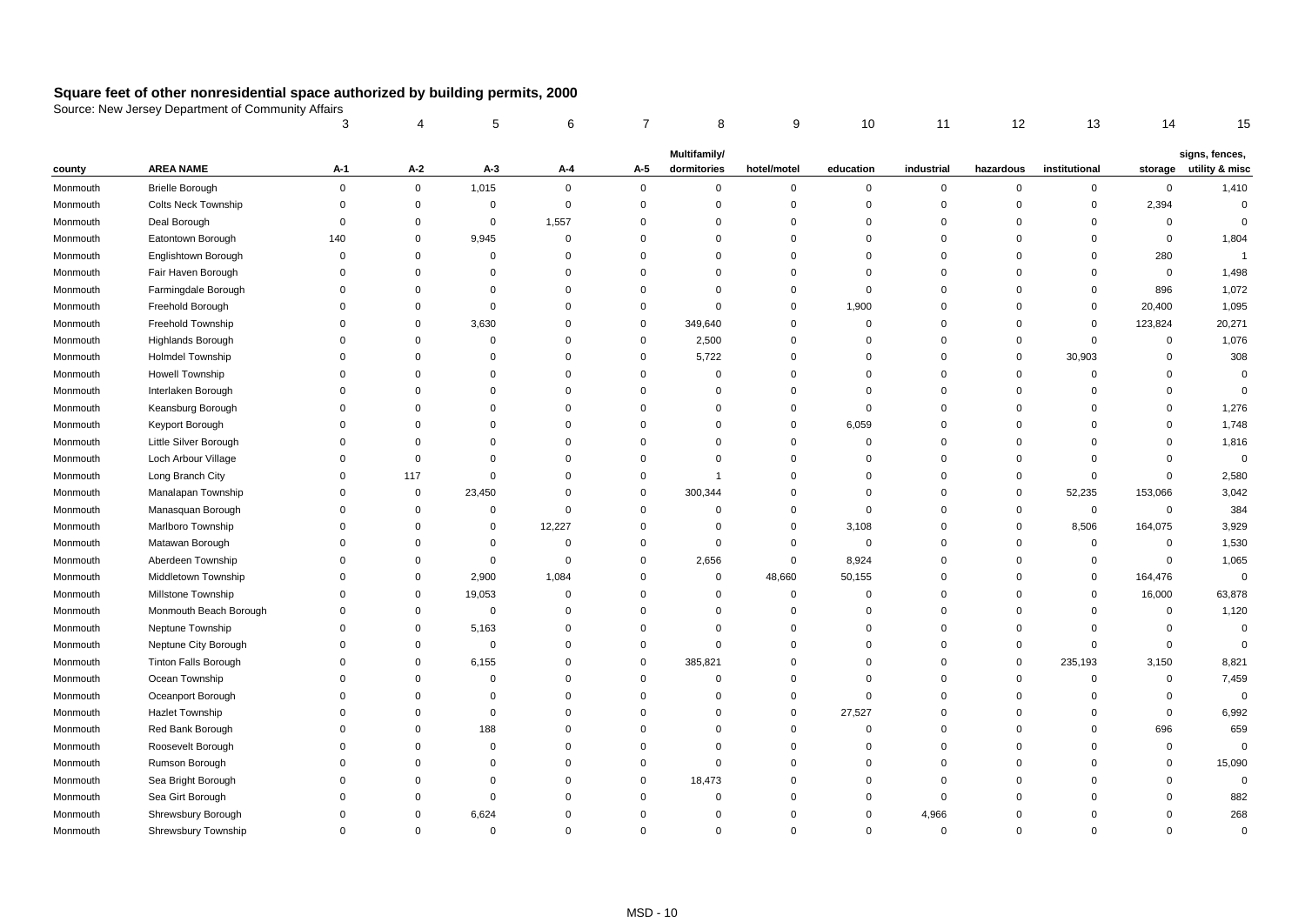|          |                             | 3              |             | 5           | 6           | 7           | 8            | 9           | 10          | 11          | 12          | 13            | 14          | 15             |
|----------|-----------------------------|----------------|-------------|-------------|-------------|-------------|--------------|-------------|-------------|-------------|-------------|---------------|-------------|----------------|
|          |                             |                |             |             |             |             | Multifamily/ |             |             |             |             |               |             | signs, fences, |
| county   | <b>AREA NAME</b>            | A-1            | A-2         | $A-3$       | A-4         | A-5         | dormitories  | hotel/motel | education   | industrial  | hazardous   | institutional | storage     | utility & misc |
| Monmouth | <b>Brielle Borough</b>      | $\mathsf 0$    | $\mathbf 0$ | 1,015       | $\mathbf 0$ | $\mathbf 0$ | 0            | $\pmb{0}$   | $\mathbf 0$ | $\pmb{0}$   | $\mathsf 0$ | $\mathbf 0$   | $\mathsf 0$ | 1,410          |
| Monmouth | <b>Colts Neck Township</b>  | $\mathbf 0$    | $\mathbf 0$ | $\mathbf 0$ | $\mathbf 0$ | $\mathsf 0$ | $\mathbf 0$  | $\mathbf 0$ | $\mathbf 0$ | $\mathbf 0$ | $\Omega$    | $\mathbf{0}$  | 2,394       | $\mathsf 0$    |
| Monmouth | Deal Borough                | $\mathbf 0$    | $\Omega$    | $\mathbf 0$ | 1,557       | $\Omega$    | $\Omega$     | $\mathbf 0$ | $\mathbf 0$ | $\Omega$    | $\Omega$    | $\mathbf 0$   | $\mathbf 0$ | $\mathbf 0$    |
| Monmouth | Eatontown Borough           | 140            | $\Omega$    | 9,945       | $\mathbf 0$ | $\Omega$    | $\Omega$     | $\mathbf 0$ | $\Omega$    | $\mathbf 0$ | $\Omega$    | $\Omega$      | $\mathbf 0$ | 1,804          |
| Monmouth | Englishtown Borough         | $\mathbf 0$    | $\Omega$    | $\mathbf 0$ | $\mathbf 0$ | $\Omega$    | $\Omega$     | $\mathbf 0$ | $\mathbf 0$ | $\mathbf 0$ | $\Omega$    | $\mathbf 0$   | 280         | $\overline{1}$ |
| Monmouth | Fair Haven Borough          | $\mathbf 0$    | $\Omega$    | $\Omega$    | $\Omega$    | $\Omega$    | $\Omega$     | $\mathbf 0$ | $\Omega$    | $\Omega$    | $\Omega$    | $\Omega$      | $\mathbf 0$ | 1,498          |
| Monmouth | Farmingdale Borough         | $\Omega$       | $\Omega$    | $\Omega$    | $\Omega$    | $\Omega$    | $\Omega$     | $\mathbf 0$ | $\Omega$    | $\Omega$    | $\Omega$    | $\mathbf 0$   | 896         | 1,072          |
| Monmouth | Freehold Borough            | $\Omega$       | $\Omega$    | $\Omega$    | $\Omega$    | $\Omega$    | $\Omega$     | $\mathbf 0$ | 1,900       | $\Omega$    | $\Omega$    | $\mathbf 0$   | 20,400      | 1,095          |
| Monmouth | Freehold Township           | $\mathbf 0$    | $\Omega$    | 3,630       | $\mathbf 0$ | $\mathbf 0$ | 349,640      | $\mathbf 0$ | $\mathbf 0$ | $\Omega$    | $\Omega$    | $\mathbf 0$   | 123,824     | 20,271         |
| Monmouth | <b>Highlands Borough</b>    | $\Omega$       | $\Omega$    | $\mathbf 0$ | $\Omega$    | $\mathbf 0$ | 2,500        | $\mathbf 0$ | $\Omega$    | $\Omega$    | $\Omega$    | $\mathbf 0$   | $\mathbf 0$ | 1,076          |
| Monmouth | Holmdel Township            | $\Omega$       | $\Omega$    | $\Omega$    | $\Omega$    | $\mathbf 0$ | 5,722        | $\mathbf 0$ | $\Omega$    | $\Omega$    | $\Omega$    | 30,903        | $\mathbf 0$ | 308            |
| Monmouth | Howell Township             | $\Omega$       | $\Omega$    | $\Omega$    | $\Omega$    | $\mathbf 0$ | $\Omega$     | $\mathbf 0$ | $\Omega$    | $\Omega$    | $\Omega$    | $\mathbf 0$   | $\mathbf 0$ | $\mathsf 0$    |
| Monmouth | Interlaken Borough          | $\mathbf 0$    | $\Omega$    | 0           | $\Omega$    | $\mathbf 0$ | $\Omega$     | $\mathbf 0$ | $\Omega$    | $\mathbf 0$ | $\Omega$    | $\Omega$      | $\mathbf 0$ | $\mathbf 0$    |
| Monmouth | Keansburg Borough           | $\mathbf 0$    | $\Omega$    | $\Omega$    | $\Omega$    | $\Omega$    | $\Omega$     | $\mathbf 0$ | $\Omega$    | $\Omega$    | $\Omega$    | $\mathbf 0$   | $\Omega$    | 1,276          |
| Monmouth | Keyport Borough             | $\mathbf 0$    | $\Omega$    | $\Omega$    | $\Omega$    | $\Omega$    | $\Omega$     | $\mathbf 0$ | 6,059       | $\Omega$    | $\Omega$    | $\Omega$      | $\Omega$    | 1,748          |
| Monmouth | Little Silver Borough       | $\Omega$       | $\Omega$    | $\Omega$    | $\Omega$    | $\Omega$    | $\Omega$     | $\mathbf 0$ | $\mathbf 0$ | $\Omega$    | $\Omega$    | $\Omega$      | $\Omega$    | 1,816          |
| Monmouth | Loch Arbour Village         | $\mathbf 0$    | $\Omega$    | $\mathbf 0$ | $\Omega$    | $\Omega$    | $\mathbf 0$  | $\mathbf 0$ | $\Omega$    | $\mathbf 0$ | $\Omega$    | $\Omega$      | $\mathbf 0$ | $\mathbf 0$    |
| Monmouth | Long Branch City            | $\mathbf 0$    | 117         | $\Omega$    | $\Omega$    | $\Omega$    | 1            | $\mathbf 0$ | $\Omega$    | $\Omega$    | $\Omega$    | $\mathbf 0$   | $\mathbf 0$ | 2,580          |
| Monmouth | Manalapan Township          | $\mathbf 0$    | 0           | 23,450      | $\Omega$    | $\mathbf 0$ | 300,344      | $\mathbf 0$ | $\Omega$    | 0           | $\Omega$    | 52,235        | 153,066     | 3,042          |
| Monmouth | Manasquan Borough           | $\Omega$       | $\Omega$    | $\mathbf 0$ | $\Omega$    | 0           | $\Omega$     | $\mathbf 0$ | $\Omega$    | $\Omega$    | $\Omega$    | 0             | $\mathbf 0$ | 384            |
| Monmouth | Marlboro Township           | $\mathbf 0$    | $\Omega$    | 0           | 12,227      | $\mathbf 0$ | 0            | $\mathbf 0$ | 3,108       | $\mathbf 0$ | $\mathbf 0$ | 8,506         | 164,075     | 3,929          |
| Monmouth | Matawan Borough             | $\Omega$       | $\Omega$    | $\mathbf 0$ | $\mathbf 0$ | $\Omega$    | $\mathbf 0$  | $\mathbf 0$ | 0           | $\mathbf 0$ | $\Omega$    | 0             | $\mathbf 0$ | 1,530          |
| Monmouth | Aberdeen Township           | $\Omega$       | $\Omega$    | 0           | $\mathbf 0$ | $\Omega$    | 2,656        | $\mathbf 0$ | 8,924       | $\Omega$    | $\Omega$    | 0             | $\mathbf 0$ | 1,065          |
| Monmouth | Middletown Township         | $\Omega$       | $\Omega$    | 2,900       | 1,084       | $\Omega$    | $\Omega$     | 48,660      | 50,155      | $\Omega$    | $\Omega$    | 0             | 164,476     | $\mathsf 0$    |
| Monmouth | Millstone Township          | $\mathbf 0$    | $\mathbf 0$ | 19,053      | $\mathbf 0$ | $\Omega$    | 0            | $\mathbf 0$ | $\mathbf 0$ | $\Omega$    | $\Omega$    | 0             | 16,000      | 63,878         |
| Monmouth | Monmouth Beach Borough      | $\Omega$       | $\Omega$    | 0           | $\Omega$    | $\Omega$    | $\Omega$     | $\mathbf 0$ | $\mathbf 0$ | $\Omega$    | $\Omega$    | $\mathbf 0$   | $\mathbf 0$ | 1,120          |
| Monmouth | Neptune Township            | $\Omega$       | $\Omega$    | 5,163       | $\mathbf 0$ | $\Omega$    | $\Omega$     | $\mathbf 0$ | $\Omega$    | $\Omega$    | $\Omega$    | $\Omega$      | $\mathbf 0$ | $\mathbf 0$    |
| Monmouth | Neptune City Borough        | $\Omega$       | $\Omega$    | $\mathbf 0$ | $\mathbf 0$ | $\Omega$    | $\Omega$     | $\mathbf 0$ | $\Omega$    | $\Omega$    | $\Omega$    | $\Omega$      | $\mathbf 0$ | $\mathbf 0$    |
| Monmouth | <b>Tinton Falls Borough</b> | $\overline{0}$ | $\Omega$    | 6,155       | $\mathbf 0$ | $\mathbf 0$ | 385,821      | $\mathbf 0$ | $\Omega$    | $\mathbf 0$ | $\mathbf 0$ | 235,193       | 3,150       | 8,821          |
| Monmouth | Ocean Township              | $\mathbf 0$    | $\Omega$    | $\mathbf 0$ | $\mathbf 0$ | 0           | $\Omega$     | $\mathbf 0$ | $\Omega$    | $\Omega$    | $\Omega$    | $\mathbf 0$   | $\mathbf 0$ | 7,459          |
| Monmouth | Oceanport Borough           | $\mathbf 0$    | $\Omega$    | $\mathbf 0$ | $\mathbf 0$ | $\Omega$    | $\Omega$     | $\mathbf 0$ | $\mathbf 0$ | $\Omega$    | $\Omega$    | $\mathbf 0$   | $\mathbf 0$ | $\mathbf 0$    |
| Monmouth | <b>Hazlet Township</b>      | $\Omega$       | $\Omega$    | 0           | $\mathbf 0$ | $\Omega$    | $\Omega$     | $\mathbf 0$ | 27,527      | $\Omega$    | $\Omega$    | $\Omega$      | $\mathbf 0$ | 6,992          |
| Monmouth | Red Bank Borough            | $\overline{0}$ | $\Omega$    | 188         | $\mathbf 0$ | $\Omega$    | $\Omega$     | $\mathbf 0$ | $\Omega$    | $\Omega$    | $\Omega$    | $\Omega$      | 696         | 659            |
| Monmouth | Roosevelt Borough           | $\mathbf 0$    | $\Omega$    | $\mathbf 0$ | $\mathbf 0$ | $\Omega$    | $\Omega$     | $\mathbf 0$ | $\Omega$    | $\Omega$    | $\Omega$    | $\Omega$      | $\mathbf 0$ | $\mathbf 0$    |
| Monmouth | Rumson Borough              | $\Omega$       | $\Omega$    | $\Omega$    | $\mathbf 0$ | $\Omega$    | $\Omega$     | $\mathbf 0$ | $\Omega$    | $\Omega$    | $\Omega$    | $\Omega$      | $\mathbf 0$ | 15,090         |
| Monmouth | Sea Bright Borough          | $\Omega$       | $\Omega$    | $\mathbf 0$ | $\mathbf 0$ | $\mathbf 0$ | 18,473       | $\mathbf 0$ | $\Omega$    | $\Omega$    | $\Omega$    | $\Omega$      | $\mathbf 0$ | $\mathbf 0$    |
| Monmouth | Sea Girt Borough            | $\Omega$       | $\Omega$    | $\mathbf 0$ | $\Omega$    | $\mathbf 0$ | $\Omega$     | $\mathbf 0$ | $\Omega$    | $\Omega$    | $\Omega$    | $\Omega$      | $\Omega$    | 882            |
| Monmouth | Shrewsbury Borough          | $\Omega$       | $\Omega$    | 6,624       | $\Omega$    | $\Omega$    | $\Omega$     | $\Omega$    | $\Omega$    | 4,966       | $\Omega$    | $\Omega$      | 0           | 268            |
| Monmouth | Shrewsbury Township         | $\Omega$       | $\Omega$    | $\mathbf 0$ | $\mathbf 0$ | $\Omega$    | $\Omega$     | $\mathbf 0$ | $\Omega$    | $\Omega$    | $\Omega$    | $\Omega$      | $\Omega$    | $\mathbf 0$    |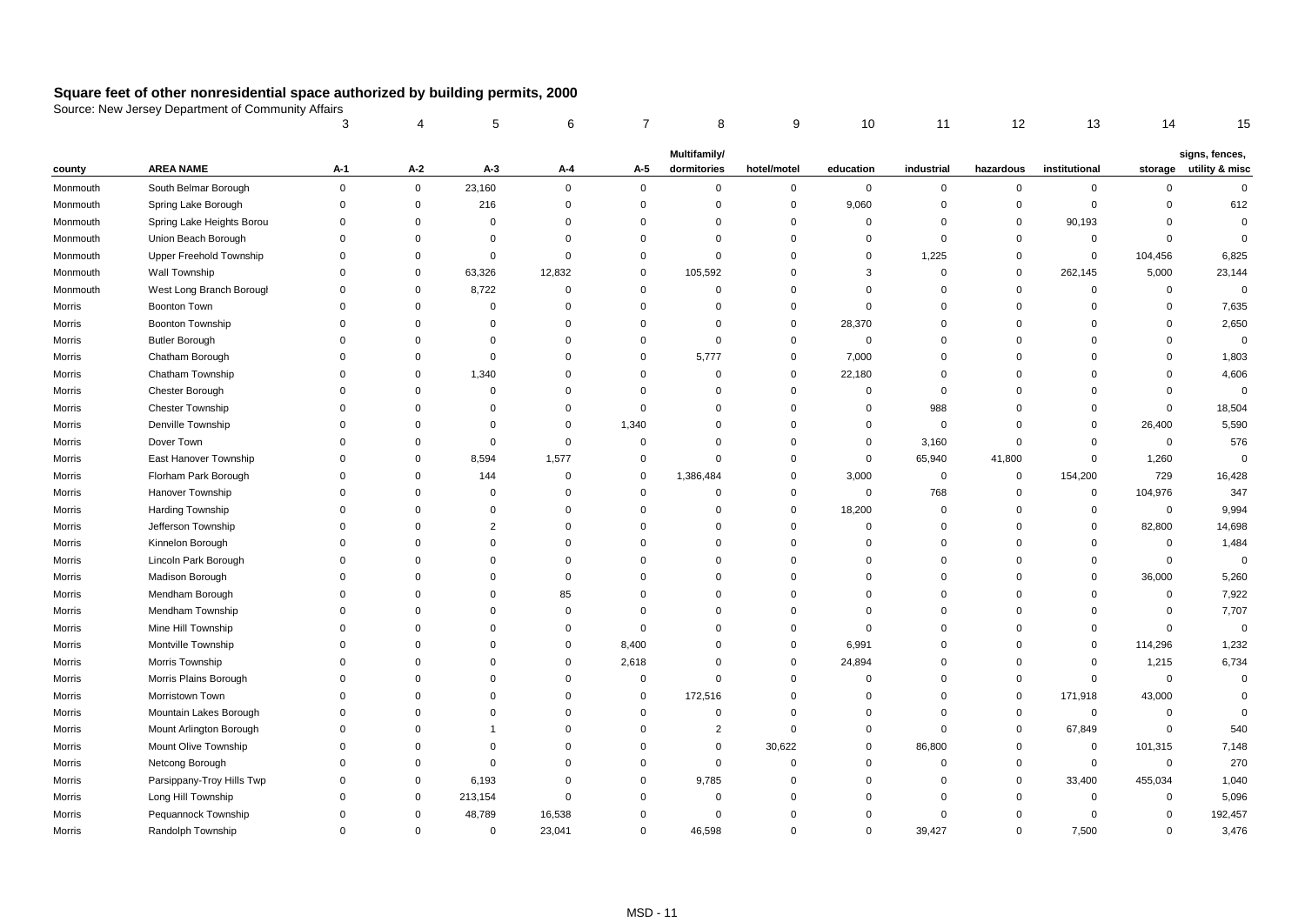|          |                           | 3              |             | 5              | 6           | 7           | 8              | 9           | 10          | 11             | 12          | 13            | 14          | 15             |
|----------|---------------------------|----------------|-------------|----------------|-------------|-------------|----------------|-------------|-------------|----------------|-------------|---------------|-------------|----------------|
|          |                           |                |             |                |             |             | Multifamily/   |             |             |                |             |               |             | signs, fences, |
| county   | <b>AREA NAME</b>          | A-1            | A-2         | $A-3$          | A-4         | A-5         | dormitories    | hotel/motel | education   | industrial     | hazardous   | institutional | storage     | utility & misc |
| Monmouth | South Belmar Borough      | $\mathbf 0$    | $\mathbf 0$ | 23,160         | $\mathbf 0$ | $\mathbf 0$ | $\mathbf{0}$   | $\mathbf 0$ | $\mathbf 0$ | $\mathbf 0$    | $\mathbf 0$ | $\mathbf 0$   | $\mathbf 0$ | $\mathbf 0$    |
| Monmouth | Spring Lake Borough       | $\Omega$       | $\mathbf 0$ | 216            | $\mathbf 0$ | $\mathbf 0$ | $\Omega$       | $\mathbf 0$ | 9,060       | $\Omega$       | $\Omega$    | $\mathbf 0$   | $\Omega$    | 612            |
| Monmouth | Spring Lake Heights Borou | $\overline{0}$ | $\Omega$    | 0              | $\mathbf 0$ | $\mathbf 0$ | $\Omega$       | $\mathbf 0$ | $\mathbf 0$ | $\Omega$       | $\Omega$    | 90,193        | $\Omega$    | $\mathbf 0$    |
| Monmouth | Union Beach Borough       | $\mathbf 0$    | $\Omega$    | $\mathbf 0$    | $\mathbf 0$ | $\mathbf 0$ | $\Omega$       | $\mathbf 0$ | $\Omega$    | $\Omega$       | $\Omega$    | $\mathbf 0$   | $\mathbf 0$ | $\mathbf 0$    |
| Monmouth | Upper Freehold Township   | $\Omega$       | $\Omega$    | $\mathbf 0$    | $\mathbf 0$ | $\Omega$    | $\Omega$       | $\mathbf 0$ | $\Omega$    | 1,225          | $\Omega$    | $\mathbf 0$   | 104,456     | 6,825          |
| Monmouth | Wall Township             | $\mathbf 0$    | $\Omega$    | 63,326         | 12,832      | 0           | 105,592        | $\mathbf 0$ | 3           | $\mathbf 0$    | $\Omega$    | 262,145       | 5,000       | 23,144         |
| Monmouth | West Long Branch Borougl  | $\mathbf 0$    | $\Omega$    | 8,722          | $\mathbf 0$ | $\mathbf 0$ | 0              | $\mathbf 0$ | $\mathbf 0$ | $\mathbf 0$    | $\Omega$    | $\mathbf 0$   | $\mathbf 0$ | $\mathbf 0$    |
| Morris   | <b>Boonton Town</b>       | $\Omega$       | $\Omega$    | $\mathbf 0$    | $\Omega$    | 0           | $\Omega$       | $\mathbf 0$ | $\Omega$    | $\Omega$       | $\Omega$    | $\mathbf 0$   | $\Omega$    | 7,635          |
| Morris   | Boonton Township          | $\mathbf 0$    | $\Omega$    | $\mathbf 0$    | $\mathbf 0$ | $\Omega$    | $\Omega$       | $\mathbf 0$ | 28,370      | $\Omega$       | $\Omega$    | $\Omega$      | $\mathbf 0$ | 2,650          |
| Morris   | <b>Butler Borough</b>     | $\mathbf 0$    | $\Omega$    | $\Omega$       | $\Omega$    | $\Omega$    | $\Omega$       | $\mathbf 0$ | $\mathbf 0$ | $\Omega$       | $\Omega$    | $\Omega$      | $\Omega$    | $\mathsf 0$    |
| Morris   | Chatham Borough           | $\Omega$       | $\Omega$    | $\Omega$       | $\Omega$    | $\Omega$    | 5,777          | $\mathbf 0$ | 7,000       | $\Omega$       | $\Omega$    | $\Omega$      | $\Omega$    | 1,803          |
| Morris   | Chatham Township          | $\Omega$       | $\Omega$    | 1,340          | $\Omega$    | $\mathbf 0$ | $\Omega$       | $\mathbf 0$ | 22,180      | $\Omega$       | $\Omega$    | $\Omega$      | $\Omega$    | 4,606          |
| Morris   | Chester Borough           | $\mathbf 0$    | $\Omega$    | $\mathbf 0$    | $\Omega$    | 0           | $\Omega$       | $\mathbf 0$ | $\mathbf 0$ | $\mathbf 0$    | $\Omega$    | $\Omega$      | $\mathbf 0$ | $\mathbf 0$    |
| Morris   | <b>Chester Township</b>   | $\Omega$       | $\Omega$    | $\Omega$       | $\Omega$    | $\mathbf 0$ | $\Omega$       | $\mathbf 0$ | $\Omega$    | 988            | $\Omega$    | $\Omega$      | $\mathbf 0$ | 18,504         |
| Morris   | Denville Township         | $\Omega$       | $\Omega$    | $\mathbf 0$    | $\mathbf 0$ | 1,340       | $\Omega$       | $\mathbf 0$ | $\Omega$    | $\overline{0}$ | $\Omega$    | $\Omega$      | 26,400      | 5,590          |
| Morris   | Dover Town                | $\Omega$       | $\Omega$    | $\Omega$       | $\mathbf 0$ | $\mathbf 0$ | $\Omega$       | $\mathbf 0$ | $\mathbf 0$ | 3,160          | $\Omega$    | $\Omega$      | $\mathbf 0$ | 576            |
| Morris   | East Hanover Township     | $\Omega$       | $\Omega$    | 8,594          | 1,577       | $\mathbf 0$ | $\Omega$       | $\mathbf 0$ | 0           | 65,940         | 41,800      | 0             | 1,260       | $\mathbf 0$    |
| Morris   | Florham Park Borough      | $\Omega$       | $\Omega$    | 144            | $\mathbf 0$ | $\mathbf 0$ | 1,386,484      | $\mathbf 0$ | 3,000       | $\mathbf 0$    | $\Omega$    | 154,200       | 729         | 16,428         |
| Morris   | Hanover Township          | $\Omega$       | $\Omega$    | $\Omega$       | $\Omega$    | $\Omega$    | $\Omega$       | $\mathbf 0$ | 0           | 768            | $\Omega$    | $\mathbf 0$   | 104,976     | 347            |
| Morris   | Harding Township          | $\Omega$       | $\Omega$    | $\Omega$       | $\Omega$    | 0           | $\Omega$       | $\mathbf 0$ | 18,200      | $\mathbf 0$    | $\Omega$    | $\mathbf 0$   | $\mathbf 0$ | 9,994          |
| Morris   | Jefferson Township        | $\mathbf 0$    | $\Omega$    | $\overline{2}$ | $\mathbf 0$ | $\mathbf 0$ | 0              | $\mathbf 0$ | $\mathbf 0$ | $\mathbf 0$    | $\mathbf 0$ | $\mathbf 0$   | 82,800      | 14,698         |
| Morris   | Kinnelon Borough          | $\Omega$       | $\Omega$    | $\Omega$       | $\Omega$    | $\Omega$    | $\Omega$       | $\mathbf 0$ | $\Omega$    | $\Omega$       | $\Omega$    | $\mathbf 0$   | $\mathbf 0$ | 1,484          |
| Morris   | Lincoln Park Borough      | $\mathbf 0$    | $\Omega$    | $\mathbf 0$    | $\Omega$    | $\mathbf 0$ | $\Omega$       | $\mathbf 0$ | $\Omega$    | $\mathbf 0$    | $\Omega$    | $\mathbf 0$   | $\mathbf 0$ | $\mathbf 0$    |
| Morris   | Madison Borough           | $\Omega$       | $\Omega$    | $\mathbf 0$    | $\mathbf 0$ | $\mathbf 0$ | $\Omega$       | $\mathbf 0$ | $\Omega$    | $\Omega$       | $\Omega$    | $\Omega$      | 36,000      | 5,260          |
| Morris   | Mendham Borough           | $\mathbf 0$    | $\Omega$    | $\mathbf 0$    | 85          | 0           | $\Omega$       | $\mathbf 0$ | $\Omega$    | $\mathbf 0$    | $\Omega$    | $\Omega$      | $\mathbf 0$ | 7,922          |
| Morris   | Mendham Township          | $\Omega$       | $\Omega$    | $\Omega$       | $\Omega$    | $\Omega$    | $\Omega$       | $\mathbf 0$ | $\Omega$    | $\Omega$       | $\Omega$    | $\Omega$      | $\mathbf 0$ | 7,707          |
| Morris   | Mine Hill Township        | $\Omega$       | $\Omega$    | 0              | $\Omega$    | 0           | $\Omega$       | $\mathbf 0$ | $\Omega$    | $\Omega$       | $\Omega$    | $\Omega$      | $\mathbf 0$ | $\mathbf 0$    |
| Morris   | Montville Township        | $\Omega$       | $\Omega$    | $\Omega$       | $\Omega$    | 8,400       | $\Omega$       | $\mathbf 0$ | 6,991       | $\Omega$       | $\Omega$    | $\Omega$      | 114,296     | 1,232          |
| Morris   | Morris Township           | $\Omega$       | $\Omega$    | 0              | $\mathbf 0$ | 2,618       | 0              | $\mathbf 0$ | 24,894      | $\Omega$       | $\Omega$    | 0             | 1,215       | 6,734          |
| Morris   | Morris Plains Borough     | $\Omega$       | $\Omega$    | $\Omega$       | $\Omega$    | $\mathbf 0$ | $\Omega$       | $\mathbf 0$ | $\Omega$    | $\Omega$       | $\Omega$    | $\mathbf 0$   | $\mathbf 0$ | $\mathbf 0$    |
| Morris   | Morristown Town           | $\Omega$       | $\Omega$    | 0              | $\Omega$    | 0           | 172,516        | $\mathbf 0$ | $\Omega$    | $\Omega$       | $\mathbf 0$ | 171,918       | 43,000      | $\mathbf 0$    |
| Morris   | Mountain Lakes Borough    | $\Omega$       | $\Omega$    | $\Omega$       | $\Omega$    | 0           | $\Omega$       | $\Omega$    | $\Omega$    | $\Omega$       | $\Omega$    | 0             | $\mathbf 0$ | $\mathbf 0$    |
| Morris   | Mount Arlington Borough   | $\mathbf 0$    | $\Omega$    | 1              | $\mathbf 0$ | 0           | $\overline{2}$ | $\mathbf 0$ | 0           | $\mathbf 0$    | $\mathbf 0$ | 67,849        | $\mathbf 0$ | 540            |
| Morris   | Mount Olive Township      | $\mathbf 0$    | $\Omega$    | $\mathbf 0$    | $\Omega$    | $\Omega$    | $\mathbf 0$    | 30,622      | 0           | 86,800         | $\mathbf 0$ | $\mathbf 0$   | 101,315     | 7,148          |
| Morris   | Netcong Borough           | $\mathbf 0$    | $\Omega$    | 0              | $\Omega$    | $\mathbf 0$ | $\mathbf 0$    | $\mathbf 0$ | $\Omega$    | $\mathbf 0$    | $\mathbf 0$ | $\mathbf 0$   | $\mathbf 0$ | 270            |
| Morris   | Parsippany-Troy Hills Twp | $\Omega$       | $\Omega$    | 6,193          | $\mathbf 0$ | $\mathbf 0$ | 9,785          | $\mathbf 0$ | $\Omega$    | $\Omega$       | $\Omega$    | 33,400        | 455,034     | 1,040          |
| Morris   | Long Hill Township        | $\mathbf 0$    | $\mathbf 0$ | 213,154        | $\mathbf 0$ | $\Omega$    | $\mathbf 0$    | $\mathbf 0$ | $\Omega$    | $\mathbf 0$    | $\Omega$    | $\mathbf 0$   | $\mathbf 0$ | 5,096          |
| Morris   | Pequannock Township       | $\Omega$       | $\mathbf 0$ | 48,789         | 16,538      | $\Omega$    | $\Omega$       | $\Omega$    | $\Omega$    | $\Omega$       | $\Omega$    | $\mathbf 0$   | $\mathbf 0$ | 192,457        |
| Morris   | Randolph Township         | $\Omega$       | $\mathbf 0$ | 0              | 23,041      | $\Omega$    | 46,598         | $\mathbf 0$ | $\mathbf 0$ | 39,427         | $\Omega$    | 7,500         | $\Omega$    | 3,476          |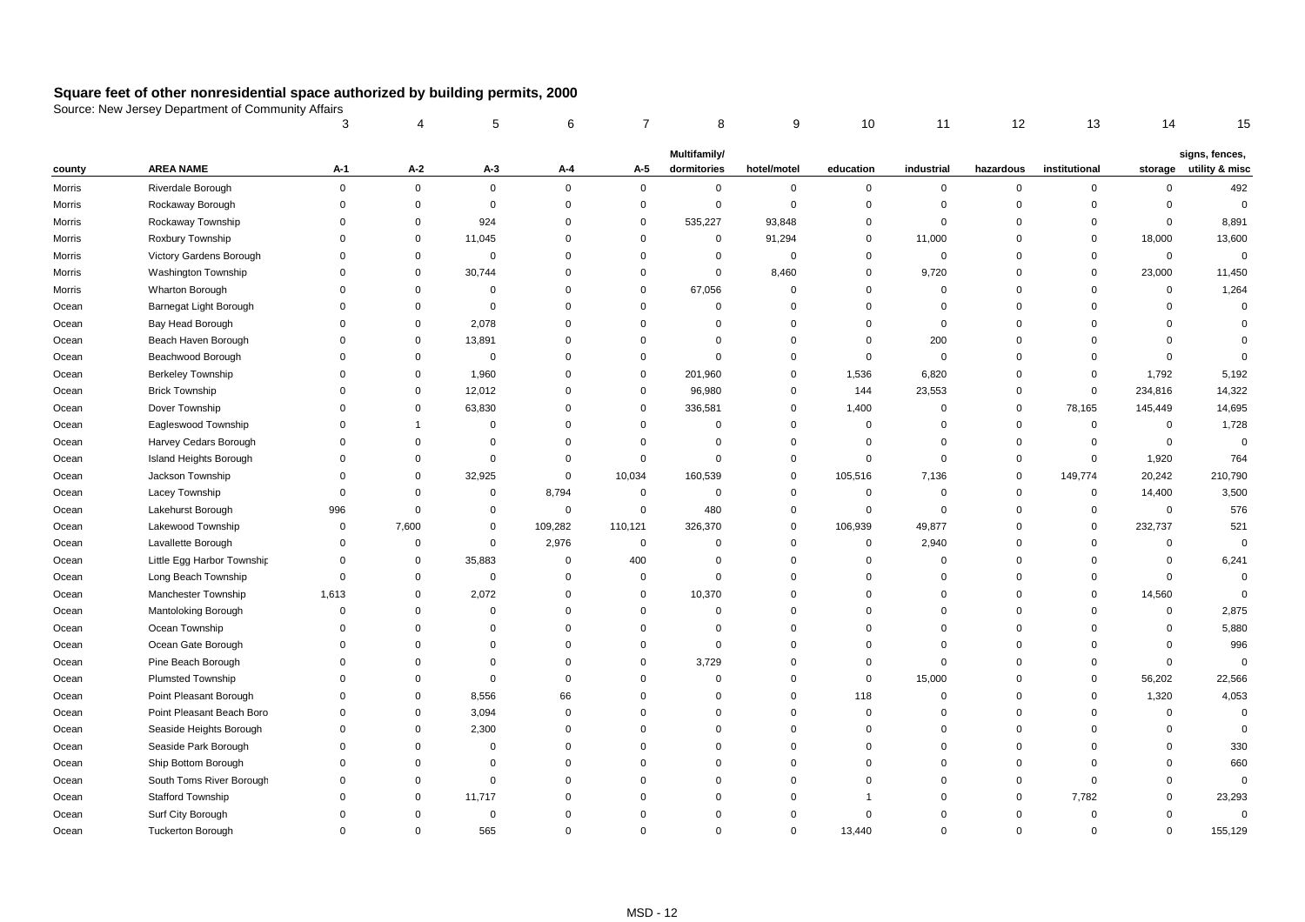|        |                            | 3              |             | 5           | 6           |             | 8            | 9           | 10          | 11             | 12          | 13            | 14          | 15             |
|--------|----------------------------|----------------|-------------|-------------|-------------|-------------|--------------|-------------|-------------|----------------|-------------|---------------|-------------|----------------|
|        |                            |                |             |             |             |             | Multifamily/ |             |             |                |             |               |             | signs, fences, |
| county | <b>AREA NAME</b>           | A-1            | A-2         | $A-3$       | A-4         | A-5         | dormitories  | hotel/motel | education   | industrial     | hazardous   | institutional | storage     | utility & misc |
| Morris | Riverdale Borough          | $\mathbf 0$    | $\mathsf 0$ | 0           | $\mathbf 0$ | $\mathbf 0$ | $\mathbf 0$  | $\mathbf 0$ | $\mathbf 0$ | $\mathbf 0$    | $\mathbf 0$ | $\mathbf 0$   | $\mathsf 0$ | 492            |
| Morris | Rockaway Borough           | $\mathbf 0$    | $\mathbf 0$ | $\mathbf 0$ | $\mathbf 0$ | $\mathbf 0$ | $\mathbf 0$  | $\mathbf 0$ | $\mathbf 0$ | 0              | $\mathbf 0$ | $\Omega$      | $\mathbf 0$ | $\mathbf 0$    |
| Morris | Rockaway Township          | $\Omega$       | $\mathbf 0$ | 924         | $\mathbf 0$ | $\mathbf 0$ | 535,227      | 93,848      | 0           | $\Omega$       | $\mathbf 0$ | $\mathbf 0$   | $\mathbf 0$ | 8,891          |
| Morris | Roxbury Township           | $\mathbf 0$    | $\mathbf 0$ | 11,045      | $\mathbf 0$ | 0           | 0            | 91,294      | 0           | 11,000         | $\mathbf 0$ | $\mathbf 0$   | 18,000      | 13,600         |
| Morris | Victory Gardens Borough    | $\mathbf 0$    | $\mathbf 0$ | $\mathbf 0$ | $\mathbf 0$ | $\Omega$    | $\mathbf 0$  | $\mathbf 0$ | 0           | $\mathbf 0$    | $\Omega$    | $\mathbf 0$   | $\mathbf 0$ | $\mathbf 0$    |
| Morris | Washington Township        | $\mathbf 0$    | $\mathbf 0$ | 30,744      | $\mathbf 0$ | $\mathbf 0$ | $\mathbf 0$  | 8,460       | $\mathbf 0$ | 9,720          | $\mathbf 0$ | $\mathbf 0$   | 23,000      | 11,450         |
| Morris | Wharton Borough            | $\Omega$       | $\mathbf 0$ | $\mathbf 0$ | $\mathbf 0$ | $\mathbf 0$ | 67,056       | $\mathbf 0$ | 0           | $\overline{0}$ | $\Omega$    | $\mathbf 0$   | $\mathbf 0$ | 1,264          |
| Ocean  | Barnegat Light Borough     | $\mathbf 0$    | $\mathbf 0$ | $\mathbf 0$ | $\mathbf 0$ | 0           | $\mathbf 0$  | $\Omega$    | $\mathbf 0$ | $\mathbf 0$    | $\mathbf 0$ | $\mathbf 0$   | $\mathbf 0$ | $\mathbf 0$    |
| Ocean  | Bay Head Borough           | $\mathbf 0$    | 0           | 2,078       | $\mathbf 0$ | $\Omega$    | $\mathbf 0$  | $\mathbf 0$ | $\mathbf 0$ | $\mathbf 0$    | $\mathbf 0$ | $\mathbf 0$   | $\mathbf 0$ | $\mathbf 0$    |
| Ocean  | Beach Haven Borough        | $\mathbf 0$    | 0           | 13,891      | $\mathbf 0$ | $\mathbf 0$ | $\mathbf 0$  | $\mathbf 0$ | $\mathbf 0$ | 200            | $\mathbf 0$ | $\mathbf 0$   | $\mathbf 0$ | $\mathbf 0$    |
| Ocean  | Beachwood Borough          | $\Omega$       | $\Omega$    | $\Omega$    | $\mathbf 0$ | $\Omega$    | $\Omega$     | $\mathbf 0$ | $\mathbf 0$ | $\Omega$       | $\Omega$    | $\Omega$      | $\mathbf 0$ | $\mathbf 0$    |
| Ocean  | <b>Berkeley Township</b>   | $\mathbf 0$    | $\Omega$    | 1,960       | $\mathbf 0$ | $\mathbf 0$ | 201,960      | $\mathbf 0$ | 1,536       | 6,820          | $\mathbf 0$ | $\mathbf 0$   | 1,792       | 5,192          |
| Ocean  | <b>Brick Township</b>      | $\Omega$       | $\mathbf 0$ | 12,012      | $\mathbf 0$ | $\mathbf 0$ | 96,980       | $\mathbf 0$ | 144         | 23,553         | $\Omega$    | $\mathbf 0$   | 234,816     | 14,322         |
| Ocean  | Dover Township             | $\Omega$       | $\mathbf 0$ | 63,830      | $\mathbf 0$ | $\mathbf 0$ | 336,581      | $\Omega$    | 1,400       | $\Omega$       | $\Omega$    | 78,165        | 145,449     | 14,695         |
| Ocean  | Eagleswood Township        | $\Omega$       | -1          | $\Omega$    | $\mathbf 0$ | $\mathbf 0$ | $\Omega$     | $\Omega$    | $\mathbf 0$ | $\Omega$       | $\Omega$    | $\mathbf 0$   | $\mathbf 0$ | 1,728          |
| Ocean  | Harvey Cedars Borough      | $\Omega$       | $\mathbf 0$ | $\Omega$    | $\mathbf 0$ | $\mathbf 0$ | $\Omega$     | $\mathbf 0$ | $\Omega$    | $\Omega$       | $\Omega$    | $\mathbf 0$   | $\mathbf 0$ | $\mathbf 0$    |
| Ocean  | Island Heights Borough     | $\Omega$       | $\Omega$    | $\Omega$    | $\mathbf 0$ | $\mathbf 0$ | $\Omega$     | $\mathbf 0$ | $\mathbf 0$ | $\Omega$       | $\Omega$    | $\mathbf 0$   | 1,920       | 764            |
| Ocean  | Jackson Township           | $\overline{0}$ | $\Omega$    | 32,925      | $\mathbf 0$ | 10,034      | 160,539      | $\mathbf 0$ | 105,516     | 7,136          | $\Omega$    | 149,774       | 20,242      | 210,790        |
| Ocean  | Lacey Township             | $\mathbf 0$    | $\mathbf 0$ | $\Omega$    | 8,794       | $\mathbf 0$ | $\Omega$     | $\mathbf 0$ | $\mathbf 0$ | $\Omega$       | $\Omega$    | $\mathbf 0$   | 14,400      | 3,500          |
| Ocean  | Lakehurst Borough          | 996            | $\mathbf 0$ | $\Omega$    | $\mathbf 0$ | $\mathbf 0$ | 480          | $\mathbf 0$ | $\Omega$    | $\Omega$       | $\Omega$    | $\mathbf 0$   | $\mathbf 0$ | 576            |
| Ocean  | Lakewood Township          | $\mathbf 0$    | 7,600       | $\Omega$    | 109,282     | 110,121     | 326,370      | $\mathbf 0$ | 106,939     | 49,877         | $\Omega$    | $\Omega$      | 232,737     | 521            |
| Ocean  | Lavallette Borough         | $\Omega$       | $\mathbf 0$ | $\Omega$    | 2,976       | $\mathbf 0$ | $\Omega$     | $\mathbf 0$ | 0           | 2,940          | $\Omega$    | $\Omega$      | $\mathbf 0$ | $\mathbf 0$    |
| Ocean  | Little Egg Harbor Township | $\Omega$       | 0           | 35,883      | $\mathbf 0$ | 400         | $\mathbf 0$  | $\mathbf 0$ | $\Omega$    | $\Omega$       | $\Omega$    | $\Omega$      | $\mathbf 0$ | 6,241          |
| Ocean  | Long Beach Township        | $\mathbf 0$    | 0           | $\Omega$    | $\mathbf 0$ | 0           | $\Omega$     | $\mathbf 0$ | $\Omega$    | $\Omega$       | $\Omega$    | $\Omega$      | $\Omega$    | $\mathbf 0$    |
| Ocean  | Manchester Township        | 1,613          | 0           | 2,072       | $\mathbf 0$ | 0           | 10,370       | $\Omega$    | $\Omega$    | $\Omega$       | $\Omega$    | $\Omega$      | 14,560      | $\mathbf 0$    |
| Ocean  | Mantoloking Borough        | $\Omega$       | $\Omega$    | $\Omega$    | $\mathbf 0$ | $\Omega$    | $\Omega$     | $\Omega$    | $\Omega$    | $\Omega$       | $\Omega$    | $\Omega$      | $\mathbf 0$ | 2,875          |
| Ocean  | Ocean Township             | $\Omega$       | $\Omega$    | $\Omega$    | $\mathbf 0$ | $\Omega$    | 0            | $\Omega$    | $\Omega$    | $\Omega$       | $\Omega$    | $\Omega$      | $\mathbf 0$ | 5,880          |
| Ocean  | Ocean Gate Borough         | $\Omega$       | $\Omega$    | $\Omega$    | $\mathbf 0$ | $\Omega$    | $\Omega$     | $\mathbf 0$ | $\Omega$    | $\Omega$       | $\Omega$    | $\Omega$      | $\mathbf 0$ | 996            |
| Ocean  | Pine Beach Borough         | $\Omega$       | $\Omega$    | $\Omega$    | $\mathbf 0$ | $\Omega$    | 3,729        | $\mathbf 0$ | 0           | $\Omega$       | $\Omega$    | $\Omega$      | $\mathbf 0$ | $\mathbf 0$    |
| Ocean  | <b>Plumsted Township</b>   | $\Omega$       | $\Omega$    | $\Omega$    | $\mathbf 0$ | $\Omega$    | $\Omega$     | $\Omega$    | 0           | 15,000         | $\Omega$    | $\Omega$      | 56,202      | 22,566         |
| Ocean  | Point Pleasant Borough     | $\Omega$       | $\mathbf 0$ | 8,556       | 66          | $\Omega$    | $\Omega$     | $\mathbf 0$ | 118         | $\Omega$       | $\Omega$    | $\Omega$      | 1,320       | 4,053          |
| Ocean  | Point Pleasant Beach Boro  | $\Omega$       | $\mathbf 0$ | 3,094       | $\mathbf 0$ | $\Omega$    | $\Omega$     | $\mathbf 0$ | $\mathbf 0$ | $\Omega$       | $\Omega$    | $\Omega$      | $\mathbf 0$ | $\mathbf 0$    |
| Ocean  | Seaside Heights Borough    | $\Omega$       | $\mathbf 0$ | 2,300       | $\mathbf 0$ | $\Omega$    | $\Omega$     | $\mathbf 0$ | $\mathbf 0$ | $\Omega$       | $\Omega$    | $\Omega$      | $\mathbf 0$ | $\mathbf 0$    |
| Ocean  | Seaside Park Borough       | $\Omega$       | $\Omega$    | $\Omega$    | $\mathbf 0$ | $\Omega$    | $\Omega$     | $\Omega$    | $\Omega$    | $\Omega$       | $\Omega$    | $\Omega$      | $\Omega$    | 330            |
| Ocean  | Ship Bottom Borough        | $\Omega$       | $\Omega$    | $\mathbf 0$ | $\mathbf 0$ | $\Omega$    | $\Omega$     | $\Omega$    | $\Omega$    | $\Omega$       | $\Omega$    | $\Omega$      | $\Omega$    | 660            |
| Ocean  | South Toms River Borough   | $\Omega$       | $\Omega$    | $\Omega$    | $\mathbf 0$ | $\Omega$    | $\Omega$     | $\Omega$    | $\Omega$    | $\Omega$       | $\Omega$    | $\Omega$      | $\Omega$    | $\mathbf 0$    |
| Ocean  | Stafford Township          | $\mathbf 0$    | $\mathbf 0$ | 11,717      | $\mathbf 0$ | $\Omega$    | $\Omega$     | $\mathbf 0$ | -1          | $\mathbf 0$    | $\mathbf 0$ | 7,782         | $\mathbf 0$ | 23,293         |
| Ocean  | Surf City Borough          | $\Omega$       | $\Omega$    | $\mathbf 0$ | $\mathbf 0$ | $\Omega$    | $\Omega$     | $\Omega$    | $\Omega$    | $\Omega$       | $\Omega$    | $\Omega$      | $\mathbf 0$ | $\mathbf 0$    |
| Ocean  | <b>Tuckerton Borough</b>   | $\mathbf 0$    | $\Omega$    | 565         | $\mathbf 0$ | $\Omega$    | $\Omega$     | $\mathbf 0$ | 13,440      | $\Omega$       | $\Omega$    | $\Omega$      | $\Omega$    | 155,129        |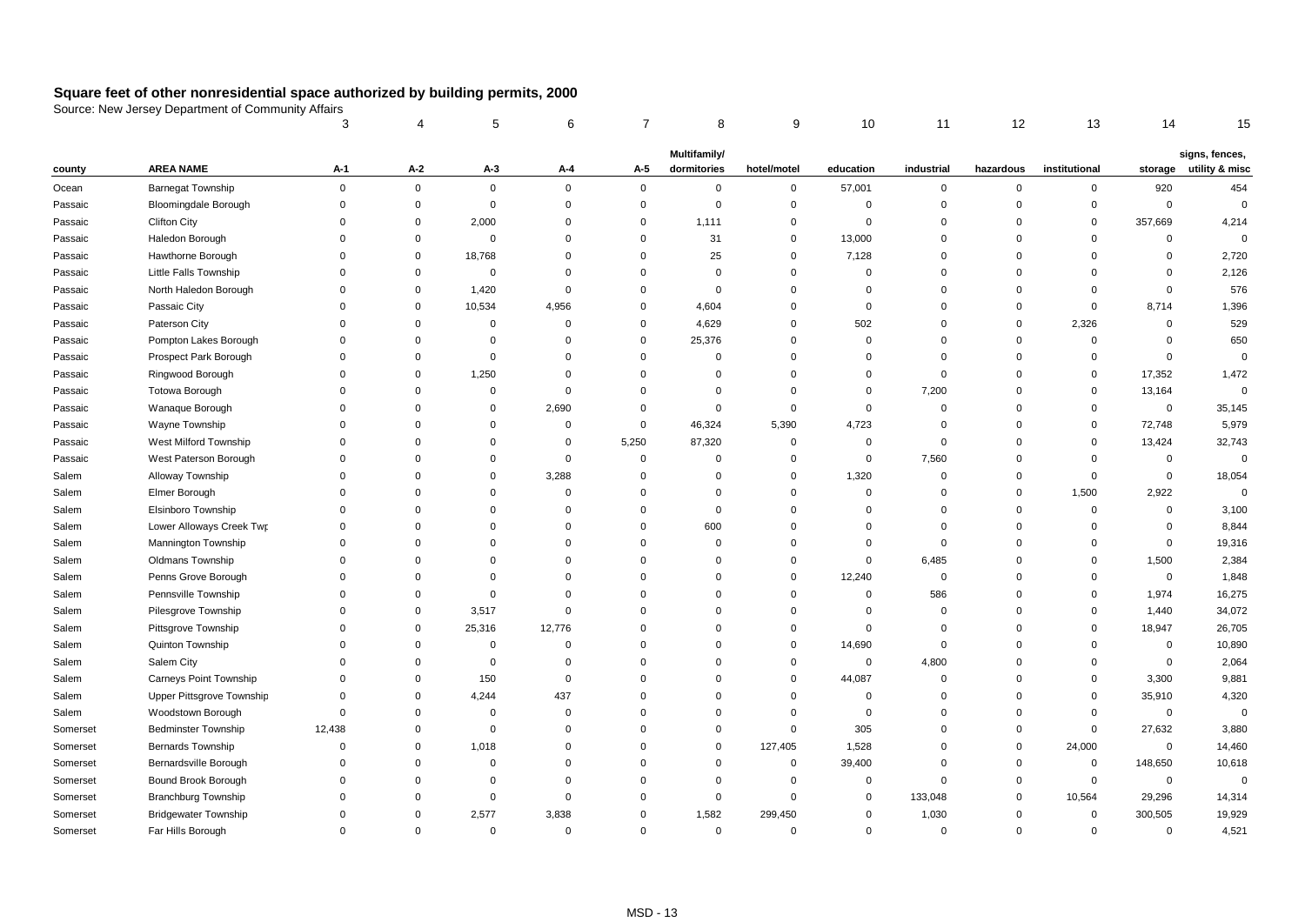|          |                             | 3              |             | 5           | 6              |             | 8            | 9              | 10          | 11          | 12          | 13            | 14          | 15                     |
|----------|-----------------------------|----------------|-------------|-------------|----------------|-------------|--------------|----------------|-------------|-------------|-------------|---------------|-------------|------------------------|
|          |                             |                |             |             |                |             | Multifamily/ |                |             |             |             |               |             | signs, fences,         |
| county   | <b>AREA NAME</b>            | $A-1$          | A-2         | $A-3$       | A-4            | A-5         | dormitories  | hotel/motel    | education   | industrial  | hazardous   | institutional |             | storage utility & misc |
| Ocean    | Barnegat Township           | $\mathbf 0$    | $\mathbf 0$ | $\mathsf 0$ | $\mathbf 0$    | $\mathbf 0$ | $\mathsf 0$  | $\pmb{0}$      | 57,001      | 0           | $\mathbf 0$ | 0             | 920         | 454                    |
| Passaic  | Bloomingdale Borough        | $\mathbf 0$    | $\mathbf 0$ | $\mathsf 0$ | $\mathbf 0$    | $\mathbf 0$ | $\mathsf 0$  | $\mathbf 0$    | $\mathbf 0$ | $\mathbf 0$ | $\mathbf 0$ | 0             | 0           | $\mathbf 0$            |
| Passaic  | <b>Clifton City</b>         | $\overline{0}$ | $\mathbf 0$ | 2,000       | $\mathbf 0$    | $\mathbf 0$ | 1,111        | $\mathbf 0$    | $\mathbf 0$ | $\mathbf 0$ | $\mathbf 0$ | 0             | 357,669     | 4,214                  |
| Passaic  | Haledon Borough             | $\mathbf 0$    | $\mathbf 0$ | $\mathbf 0$ | $\mathbf 0$    | $\mathbf 0$ | 31           | $\mathbf 0$    | 13,000      | $\mathbf 0$ | $\mathbf 0$ | $\mathbf 0$   | 0           | $\Omega$               |
| Passaic  | Hawthorne Borough           | $\mathbf 0$    | $\mathbf 0$ | 18,768      | $\overline{0}$ | $\Omega$    | 25           | $\mathbf 0$    | 7,128       | $\mathbf 0$ | $\mathbf 0$ | $\Omega$      | 0           | 2,720                  |
| Passaic  | Little Falls Township       | $\overline{0}$ | $\mathbf 0$ | $\mathsf 0$ | $\mathbf 0$    | $\mathbf 0$ | $\mathsf 0$  | $\mathbf 0$    | $\mathbf 0$ | $\mathbf 0$ | $\mathbf 0$ | $\Omega$      | 0           | 2,126                  |
| Passaic  | North Haledon Borough       | $\overline{0}$ | $\mathbf 0$ | 1,420       | $\mathbf 0$    | $\mathbf 0$ | $\mathsf 0$  | $\mathbf 0$    | $\Omega$    | $\mathbf 0$ | $\mathbf 0$ | $\Omega$      | 0           | 576                    |
| Passaic  | Passaic City                | $\overline{0}$ | $\mathbf 0$ | 10,534      | 4,956          | $\mathbf 0$ | 4,604        | $\mathbf 0$    | $\Omega$    | $\mathbf 0$ | $\mathbf 0$ | $\Omega$      | 8,714       | 1,396                  |
| Passaic  | Paterson City               | $\overline{0}$ | $\mathbf 0$ | $\mathbf 0$ | $\mathbf 0$    | $\Omega$    | 4,629        | $\mathbf 0$    | 502         | $\mathbf 0$ | $\mathbf 0$ | 2,326         | 0           | 529                    |
| Passaic  | Pompton Lakes Borough       | $\overline{0}$ | $\mathbf 0$ | $\mathsf 0$ | $\mathbf 0$    | $\mathbf 0$ | 25,376       | $\mathbf 0$    | $\Omega$    | $\mathbf 0$ | $\mathbf 0$ | $\mathbf 0$   | 0           | 650                    |
| Passaic  | Prospect Park Borough       | $\overline{0}$ | $\Omega$    | $\mathsf 0$ | $\mathbf 0$    | $\Omega$    | $\mathbf 0$  | $\mathbf 0$    | $\Omega$    | $\mathbf 0$ | $\mathbf 0$ | $\Omega$      | 0           | $\mathbf 0$            |
| Passaic  | Ringwood Borough            | $\mathbf 0$    | $\mathbf 0$ | 1,250       | $\mathbf 0$    | $\mathbf 0$ | $\mathsf 0$  | $\mathbf 0$    | $\Omega$    | $\mathbf 0$ | $\mathbf 0$ | $\mathbf 0$   | 17,352      | 1,472                  |
| Passaic  | <b>Totowa Borough</b>       | $\mathbf 0$    | $\Omega$    | $\mathbf 0$ | $\mathbf 0$    | $\Omega$    | $\mathbf 0$  | $\mathbf 0$    | $\Omega$    | 7,200       | $\mathbf 0$ | $\mathbf 0$   | 13,164      | $\mathbf 0$            |
| Passaic  | Wanaque Borough             | $\Omega$       | $\Omega$    | $\mathbf 0$ | 2,690          | $\Omega$    | $\mathbf 0$  | $\mathbf 0$    | $\Omega$    | $\Omega$    | $\Omega$    | $\Omega$      | $\mathbf 0$ | 35,145                 |
| Passaic  | Wayne Township              | $\Omega$       | $\Omega$    | $\mathbf 0$ | $\mathbf 0$    | $\mathbf 0$ | 46,324       | 5,390          | 4,723       | $\mathbf 0$ | $\Omega$    | $\mathbf 0$   | 72,748      | 5,979                  |
| Passaic  | West Milford Township       | $\Omega$       | $\Omega$    | $\mathbf 0$ | $\mathbf 0$    | 5,250       | 87,320       | $\mathbf 0$    | $\mathbf 0$ | $\Omega$    | $\mathbf 0$ | $\mathbf 0$   | 13,424      | 32,743                 |
| Passaic  | West Paterson Borough       | $\mathbf 0$    | $\Omega$    | $\Omega$    | $\mathbf 0$    | $\mathbf 0$ | $\mathbf 0$  | $\mathbf 0$    | $\mathbf 0$ | 7,560       | $\mathbf 0$ | $\Omega$      | $\mathbf 0$ | $\mathbf 0$            |
| Salem    | Alloway Township            | $\Omega$       | $\Omega$    | $\Omega$    | 3,288          | $\Omega$    | $\Omega$     | $\mathbf 0$    | 1,320       | $\mathbf 0$ | $\Omega$    | $\Omega$      | $\mathbf 0$ | 18,054                 |
| Salem    | Elmer Borough               | $\Omega$       | $\Omega$    | $\mathbf 0$ | $\mathbf 0$    | $\Omega$    | $\mathbf 0$  | $\mathbf 0$    | $\Omega$    | $\Omega$    | $\mathbf 0$ | 1,500         | 2,922       | $\mathbf 0$            |
| Salem    | Elsinboro Township          | $\Omega$       | $\Omega$    | $\mathbf 0$ | $\overline{0}$ | $\Omega$    | $\mathbf 0$  | $\mathbf 0$    | $\Omega$    | $\Omega$    | $\Omega$    | $\mathbf 0$   | 0           | 3,100                  |
| Salem    | Lower Alloways Creek Twr    | $\mathbf 0$    | $\Omega$    | 0           | $\mathbf 0$    | $\Omega$    | 600          | $\mathbf 0$    | $\Omega$    | 0           | $\mathbf 0$ | $\Omega$      | 0           | 8,844                  |
| Salem    | <b>Mannington Township</b>  | $\mathbf 0$    | $\Omega$    | $\Omega$    | $\mathbf 0$    | $\Omega$    | 0            | $\mathbf 0$    | $\Omega$    | $\mathbf 0$ | $\Omega$    | $\Omega$      | 0           | 19,316                 |
| Salem    | Oldmans Township            | $\Omega$       | $\Omega$    | $\Omega$    | $\mathbf 0$    | $\Omega$    | 0            | $\mathbf 0$    | $\Omega$    | 6,485       | $\Omega$    | $\mathbf 0$   | 1,500       | 2,384                  |
| Salem    | Penns Grove Borough         | $\Omega$       | $\Omega$    | $\mathbf 0$ | $\Omega$       | $\Omega$    | $\mathbf 0$  | $\mathbf 0$    | 12,240      | $\mathbf 0$ | $\Omega$    | $\Omega$      | $\mathbf 0$ | 1,848                  |
| Salem    | Pennsville Township         | $\mathbf 0$    | $\Omega$    | 0           | $\mathbf 0$    | $\Omega$    | 0            | 0              | $\Omega$    | 586         | $\mathbf 0$ | $\mathbf 0$   | 1,974       | 16,275                 |
| Salem    | Pilesgrove Township         | $\mathbf 0$    | $\Omega$    | 3,517       | $\mathbf 0$    | $\Omega$    | $\Omega$     | $\mathbf 0$    | $\Omega$    | $\mathbf 0$ | $\Omega$    | $\Omega$      | 1,440       | 34,072                 |
| Salem    | Pittsgrove Township         | $\mathbf 0$    | $\mathbf 0$ | 25,316      | 12,776         | $\Omega$    | $\Omega$     | $\mathbf 0$    | $\Omega$    | $\mathbf 0$ | $\Omega$    | $\mathbf 0$   | 18,947      | 26,705                 |
| Salem    | Quinton Township            | $\Omega$       | $\mathbf 0$ | 0           | $\mathbf 0$    | $\Omega$    | $\mathbf 0$  | $\mathbf 0$    | 14,690      | $\mathbf 0$ | $\Omega$    | $\Omega$      | 0           | 10,890                 |
| Salem    | Salem City                  | $\mathbf 0$    | $\mathbf 0$ | 0           | $\overline{0}$ | $\Omega$    | 0            | $\overline{0}$ | $\mathbf 0$ | 4,800       | $\mathbf 0$ | $\Omega$      | $\mathbf 0$ | 2,064                  |
| Salem    | Carneys Point Township      | $\Omega$       | $\mathbf 0$ | 150         | $\overline{0}$ | $\Omega$    | $\mathbf 0$  | $\overline{0}$ | 44,087      | $\mathbf 0$ | $\Omega$    | 0             | 3,300       | 9,881                  |
| Salem    | Upper Pittsgrove Township   | $\mathbf 0$    | $\mathbf 0$ | 4,244       | 437            | $\Omega$    | 0            | $\mathbf 0$    | $\mathbf 0$ | 0           | $\mathbf 0$ | 0             | 35,910      | 4,320                  |
| Salem    | Woodstown Borough           | $\mathbf 0$    | $\Omega$    | $\mathbf 0$ | $\overline{0}$ | $\Omega$    | $\mathbf 0$  | $\overline{0}$ | $\Omega$    | $\mathbf 0$ | $\Omega$    | 0             | 0           | $\mathbf 0$            |
| Somerset | <b>Bedminster Township</b>  | 12,438         | $\mathbf 0$ | $\mathbf 0$ | $\mathbf 0$    | $\Omega$    | 0            | $\mathbf 0$    | 305         | 0           | $\mathbf 0$ | 0             | 27,632      | 3,880                  |
| Somerset | <b>Bernards Township</b>    | $\mathbf 0$    | $\Omega$    | 1,018       | $\mathbf 0$    | $\Omega$    | $\mathbf 0$  | 127,405        | 1,528       | $\Omega$    | $\mathbf 0$ | 24,000        | $\mathbf 0$ | 14,460                 |
| Somerset | Bernardsville Borough       | $\Omega$       | $\Omega$    | $\mathbf 0$ | $\overline{0}$ | $\Omega$    | $\mathbf 0$  | $\mathbf 0$    | 39,400      | $\mathbf 0$ | $\mathbf 0$ | $\mathbf 0$   | 148,650     | 10,618                 |
| Somerset | Bound Brook Borough         | $\Omega$       | $\Omega$    | $\mathbf 0$ | $\overline{0}$ | $\Omega$    | $\mathbf 0$  | $\overline{0}$ | 0           | $\mathbf 0$ | $\mathbf 0$ | $\mathbf 0$   | 0           | $\mathbf 0$            |
| Somerset | <b>Branchburg Township</b>  | $\Omega$       | $\mathbf 0$ | $\mathbf 0$ | $\mathbf 0$    | $\mathbf 0$ | $\mathbf 0$  | $\mathbf 0$    | 0           | 133,048     | $\mathbf 0$ | 10,564        | 29,296      | 14,314                 |
| Somerset | <b>Bridgewater Township</b> | $\Omega$       | $\Omega$    | 2,577       | 3,838          | $\Omega$    | 1,582        | 299,450        | $\Omega$    | 1,030       | $\mathbf 0$ | $\Omega$      | 300,505     | 19,929                 |
| Somerset | Far Hills Borough           | $\overline{0}$ | $\Omega$    | $\mathbf 0$ | $\overline{0}$ | $\mathbf 0$ | $\mathbf 0$  | $\overline{0}$ | $\mathbf 0$ | $\mathbf 0$ | $\mathbf 0$ | $\mathbf 0$   | 0           | 4,521                  |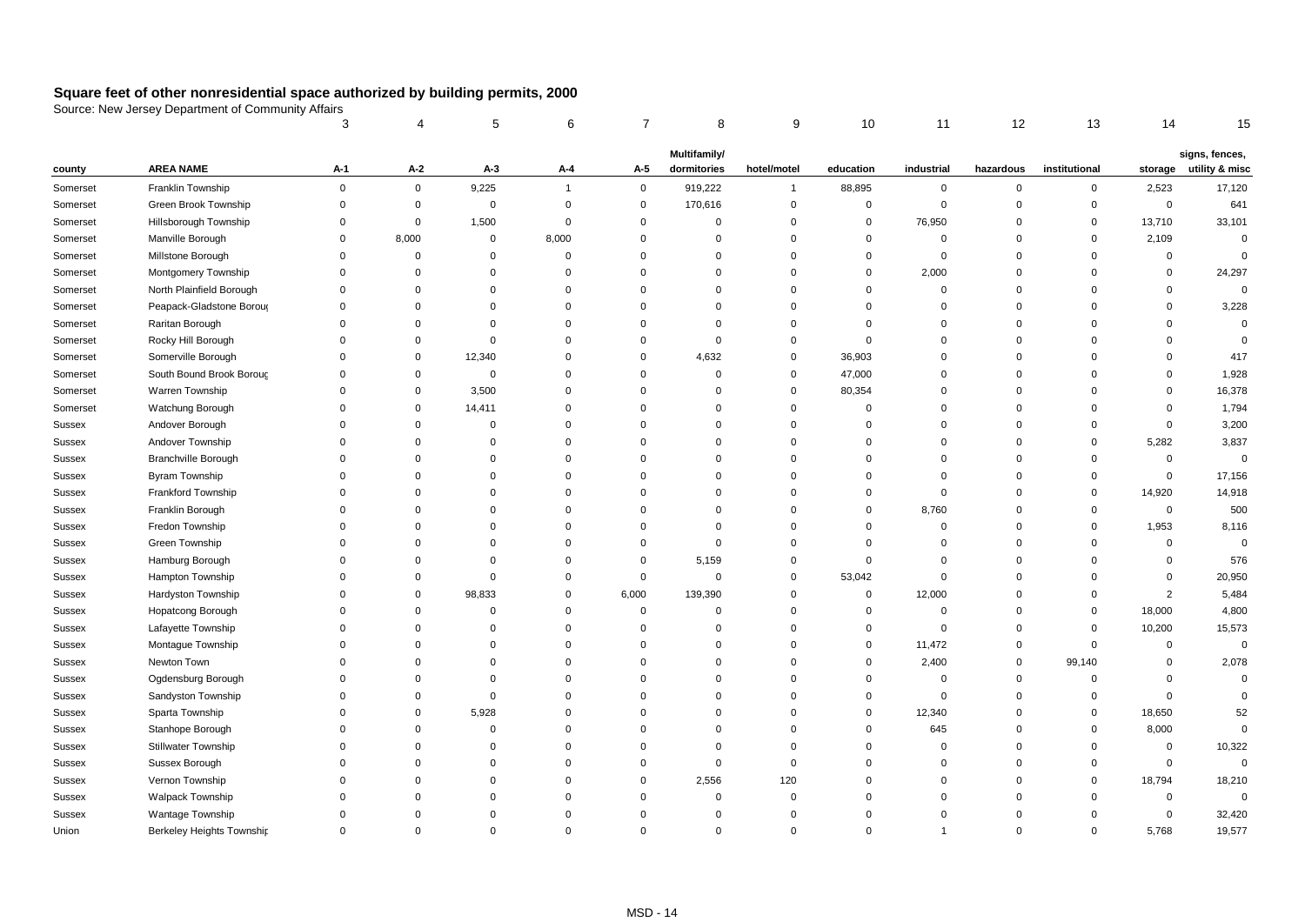|          |                            | 3              |             | 5           | 6              |             | 8            | 9            | 10          | 11             | 12          | 13            | 14          | 15                     |
|----------|----------------------------|----------------|-------------|-------------|----------------|-------------|--------------|--------------|-------------|----------------|-------------|---------------|-------------|------------------------|
|          |                            |                |             |             |                |             | Multifamily/ |              |             |                |             |               |             | signs, fences,         |
| county   | <b>AREA NAME</b>           | A-1            | $A-2$       | $A-3$       | A-4            | $A-5$       | dormitories  | hotel/motel  | education   | industrial     | hazardous   | institutional |             | storage utility & misc |
| Somerset | Franklin Township          | $\mathbf 0$    | $\mathsf 0$ | 9,225       | $\overline{1}$ | $\mathsf 0$ | 919,222      | $\mathbf{1}$ | 88,895      | $\mathbf 0$    | $\mathbf 0$ | $\mathbf 0$   | 2,523       | 17,120                 |
| Somerset | Green Brook Township       | $\mathbf 0$    | $\mathbf 0$ | $\mathbf 0$ | $\mathbf 0$    | $\mathbf 0$ | 170,616      | $\mathbf 0$  | $\mathbf 0$ | $\overline{0}$ | $\mathbf 0$ | $\mathbf 0$   | $\mathbf 0$ | 641                    |
| Somerset | Hillsborough Township      | $\mathbf 0$    | $\mathbf 0$ | 1,500       | $\mathbf 0$    | $\mathbf 0$ | $\mathbf 0$  | $\mathbf 0$  | 0           | 76,950         | $\mathbf 0$ | $\mathbf 0$   | 13,710      | 33,101                 |
| Somerset | Manville Borough           | $\mathbf 0$    | 8,000       | $\mathbf 0$ | 8,000          | $\mathbf 0$ | $\mathbf 0$  | $\mathbf 0$  | $\mathbf 0$ | $\mathbf 0$    | $\mathbf 0$ | $\mathbf 0$   | 2,109       | $\mathbf 0$            |
| Somerset | Millstone Borough          | $\mathbf 0$    | $\mathbf 0$ | $\Omega$    | $\mathbf 0$    | $\Omega$    | $\mathbf 0$  | $\Omega$     | $\mathbf 0$ | $\mathbf 0$    | $\Omega$    | $\mathbf 0$   | $\mathbf 0$ | $\mathbf 0$            |
| Somerset | Montgomery Township        | $\overline{0}$ | $\mathbf 0$ | $\Omega$    | $\mathbf 0$    | $\Omega$    | $\Omega$     | $\Omega$     | $\mathbf 0$ | 2,000          | $\Omega$    | $\mathbf 0$   | $\mathbf 0$ | 24,297                 |
| Somerset | North Plainfield Borough   | $\Omega$       | $\Omega$    | $\Omega$    | $\mathbf 0$    | $\Omega$    | $\Omega$     | $\Omega$     | $\mathbf 0$ | $\mathbf 0$    | $\Omega$    | $\Omega$      | $\mathbf 0$ | $\mathbf 0$            |
| Somerset | Peapack-Gladstone Boroug   | $\overline{0}$ | $\Omega$    | $\Omega$    | $\mathbf 0$    | $\Omega$    | $\Omega$     | $\Omega$     | $\mathbf 0$ | $\mathbf 0$    | $\Omega$    | $\Omega$      | $\mathbf 0$ | 3,228                  |
| Somerset | Raritan Borough            | $\overline{0}$ | $\Omega$    | $\Omega$    | $\mathbf 0$    | $\Omega$    | $\Omega$     | $\mathbf 0$  | $\mathbf 0$ | 0              | $\Omega$    | $\Omega$      | $\mathbf 0$ | $\mathbf 0$            |
| Somerset | Rocky Hill Borough         | $\overline{0}$ | $\Omega$    | $\Omega$    | $\mathbf 0$    | $\Omega$    | $\mathbf 0$  | $\mathbf 0$  | $\mathbf 0$ | $\Omega$       | $\Omega$    | $\Omega$      | $\mathbf 0$ | $\mathbf 0$            |
| Somerset | Somerville Borough         | $\Omega$       | $\mathbf 0$ | 12,340      | $\mathbf 0$    | $\Omega$    | 4,632        | $\mathbf 0$  | 36,903      | $\Omega$       | $\Omega$    | $\Omega$      | $\Omega$    | 417                    |
| Somerset | South Bound Brook Boroug   | $\overline{0}$ | $\mathbf 0$ | $\mathbf 0$ | $\mathbf 0$    | $\mathbf 0$ | $\mathbf 0$  | $\mathbf 0$  | 47,000      | $\mathbf 0$    | $\Omega$    | $\mathbf 0$   | $\mathbf 0$ | 1,928                  |
| Somerset | Warren Township            | $\Omega$       | 0           | 3,500       | $\mathbf 0$    | $\Omega$    | $\Omega$     | $\mathbf 0$  | 80,354      | $\Omega$       | $\Omega$    | $\Omega$      | $\mathbf 0$ | 16,378                 |
| Somerset | Watchung Borough           | $\Omega$       | $\mathbf 0$ | 14,411      | $\mathbf 0$    | $\Omega$    | $\Omega$     | $\Omega$     | $\mathbf 0$ | $\Omega$       | $\Omega$    | $\Omega$      | $\Omega$    | 1,794                  |
| Sussex   | Andover Borough            | $\Omega$       | $\mathbf 0$ | $\Omega$    | $\mathbf 0$    | $\Omega$    | $\Omega$     | $\mathbf 0$  | $\mathbf 0$ | $\Omega$       | $\Omega$    | $\Omega$      | $\mathbf 0$ | 3,200                  |
| Sussex   | Andover Township           | $\Omega$       | $\Omega$    | $\Omega$    | $\mathbf 0$    | $\Omega$    | $\Omega$     | $\Omega$     | $\Omega$    | $\Omega$       | $\Omega$    | $\Omega$      | 5,282       | 3,837                  |
| Sussex   | Branchville Borough        | $\Omega$       | $\Omega$    | $\Omega$    | $\mathbf 0$    | $\Omega$    | $\Omega$     | $\Omega$     | $\Omega$    | $\Omega$       | $\Omega$    | $\Omega$      | $\mathbf 0$ | $\mathsf 0$            |
| Sussex   | Byram Township             | $\Omega$       | $\Omega$    | $\Omega$    | $\mathbf 0$    | $\Omega$    | $\Omega$     | $\Omega$     | $\Omega$    | $\Omega$       | $\Omega$    | $\Omega$      | $\mathbf 0$ | 17,156                 |
| Sussex   | Frankford Township         | $\Omega$       | $\Omega$    | $\Omega$    | $\mathbf 0$    | $\Omega$    | $\Omega$     | $\Omega$     | $\Omega$    | $\Omega$       | $\Omega$    | $\Omega$      | 14,920      | 14,918                 |
| Sussex   | Franklin Borough           | $\Omega$       | $\Omega$    | $\Omega$    | $\mathbf 0$    | $\Omega$    | $\Omega$     | $\Omega$     | $\Omega$    | 8,760          | $\Omega$    | $\Omega$      | $\mathbf 0$ | 500                    |
| Sussex   | Fredon Township            | $\Omega$       | $\Omega$    | $\Omega$    | $\mathbf 0$    | $\Omega$    | 0            | $\Omega$     | 0           | 0              | $\Omega$    | $\mathbf 0$   | 1,953       | 8,116                  |
| Sussex   | Green Township             | $\Omega$       | $\Omega$    | $\Omega$    | $\mathbf 0$    | $\Omega$    | $\mathbf 0$  | $\Omega$     | $\Omega$    | $\Omega$       | $\Omega$    | $\Omega$      | $\mathbf 0$ | $\mathbf 0$            |
| Sussex   | Hamburg Borough            | $\Omega$       | $\Omega$    | $\Omega$    | $\mathbf 0$    | 0           | 5,159        | $\mathbf 0$  | $\mathbf 0$ | $\Omega$       | $\Omega$    | $\Omega$      | $\mathbf 0$ | 576                    |
| Sussex   | Hampton Township           | $\Omega$       | $\Omega$    | $\Omega$    | $\mathbf 0$    | 0           | $\mathbf 0$  | $\mathbf 0$  | 53,042      | $\Omega$       | $\Omega$    | $\Omega$      | $\Omega$    | 20,950                 |
| Sussex   | Hardyston Township         | $\Omega$       | $\mathbf 0$ | 98,833      | $\mathbf 0$    | 6,000       | 139,390      | $\mathbf 0$  | 0           | 12,000         | $\Omega$    | $\Omega$      | 2           | 5,484                  |
| Sussex   | Hopatcong Borough          | $\Omega$       | $\Omega$    | $\Omega$    | $\mathbf 0$    | 0           | 0            | $\Omega$     | 0           | $\Omega$       | $\Omega$    | $\mathbf 0$   | 18,000      | 4,800                  |
| Sussex   | Lafayette Township         | $\Omega$       | $\Omega$    | $\Omega$    | $\mathbf 0$    | 0           | 0            | $\Omega$     | $\mathbf 0$ | $\mathbf 0$    | $\Omega$    | $\Omega$      | 10,200      | 15,573                 |
| Sussex   | Montague Township          | $\Omega$       | $\Omega$    | $\Omega$    | $\mathbf 0$    | $\Omega$    | $\Omega$     | $\Omega$     | 0           | 11,472         | $\Omega$    | $\Omega$      | $\mathbf 0$ | $\mathbf 0$            |
| Sussex   | Newton Town                | $\Omega$       | $\Omega$    | $\Omega$    | $\mathbf 0$    | $\Omega$    | 0            | $\Omega$     | 0           | 2,400          | 0           | 99,140        | $\mathbf 0$ | 2,078                  |
| Sussex   | Ogdensburg Borough         | $\Omega$       | $\Omega$    | $\Omega$    | $\mathbf 0$    | $\Omega$    | $\Omega$     | $\Omega$     | $\mathbf 0$ | $\Omega$       | $\Omega$    | $\mathbf 0$   | $\mathbf 0$ | $\mathbf 0$            |
| Sussex   | Sandyston Township         | $\Omega$       | $\Omega$    | $\mathbf 0$ | $\mathbf 0$    | $\Omega$    | $\Omega$     | $\Omega$     | $\mathbf 0$ | $\Omega$       | $\mathbf 0$ | $\mathbf 0$   | $\mathbf 0$ | $\mathbf 0$            |
| Sussex   | Sparta Township            | $\Omega$       | $\Omega$    | 5,928       | $\mathbf 0$    | $\Omega$    | $\Omega$     | $\Omega$     | 0           | 12,340         | $\Omega$    | 0             | 18,650      | 52                     |
| Sussex   | Stanhope Borough           | $\Omega$       | $\Omega$    | $\mathbf 0$ | $\mathbf 0$    | $\Omega$    | 0            | $\mathbf 0$  | $\mathbf 0$ | 645            | $\Omega$    | $\mathbf 0$   | 8,000       | $\mathbf 0$            |
| Sussex   | <b>Stillwater Township</b> | $\Omega$       | $\Omega$    | $\Omega$    | $\mathbf 0$    | $\Omega$    | $\Omega$     | $\Omega$     | $\mathbf 0$ | $\Omega$       | $\Omega$    | $\Omega$      | $\mathbf 0$ | 10,322                 |
| Sussex   | Sussex Borough             | $\Omega$       | $\Omega$    | $\Omega$    | $\mathbf 0$    | $\Omega$    | 0            | $\mathbf 0$  | $\Omega$    | $\Omega$       | $\Omega$    | $\Omega$      | $\mathbf 0$ | $\mathbf 0$            |
| Sussex   | Vernon Township            | $\Omega$       | $\Omega$    | $\Omega$    | $\mathbf 0$    | $\mathbf 0$ | 2,556        | 120          | $\Omega$    | $\Omega$       | $\Omega$    | $\Omega$      | 18,794      | 18,210                 |
| Sussex   | <b>Walpack Township</b>    | $\Omega$       | $\Omega$    | $\Omega$    | $\mathbf 0$    | $\mathbf 0$ | $\mathbf 0$  | $\Omega$     | $\Omega$    | 0              | $\Omega$    | $\Omega$      | $\mathbf 0$ | $\mathbf 0$            |
| Sussex   | Wantage Township           | $\Omega$       | $\Omega$    | $\Omega$    | $\Omega$       | $\Omega$    | $\Omega$     | $\Omega$     | $\Omega$    | 0              | $\Omega$    | $\Omega$      | $\mathbf 0$ | 32,420                 |
| Union    | Berkeley Heights Township  | $\Omega$       | $\Omega$    | $\mathbf 0$ | $\mathbf 0$    | $\Omega$    | $\Omega$     | $\Omega$     | $\Omega$    | 1              | $\Omega$    | $\Omega$      | 5,768       | 19,577                 |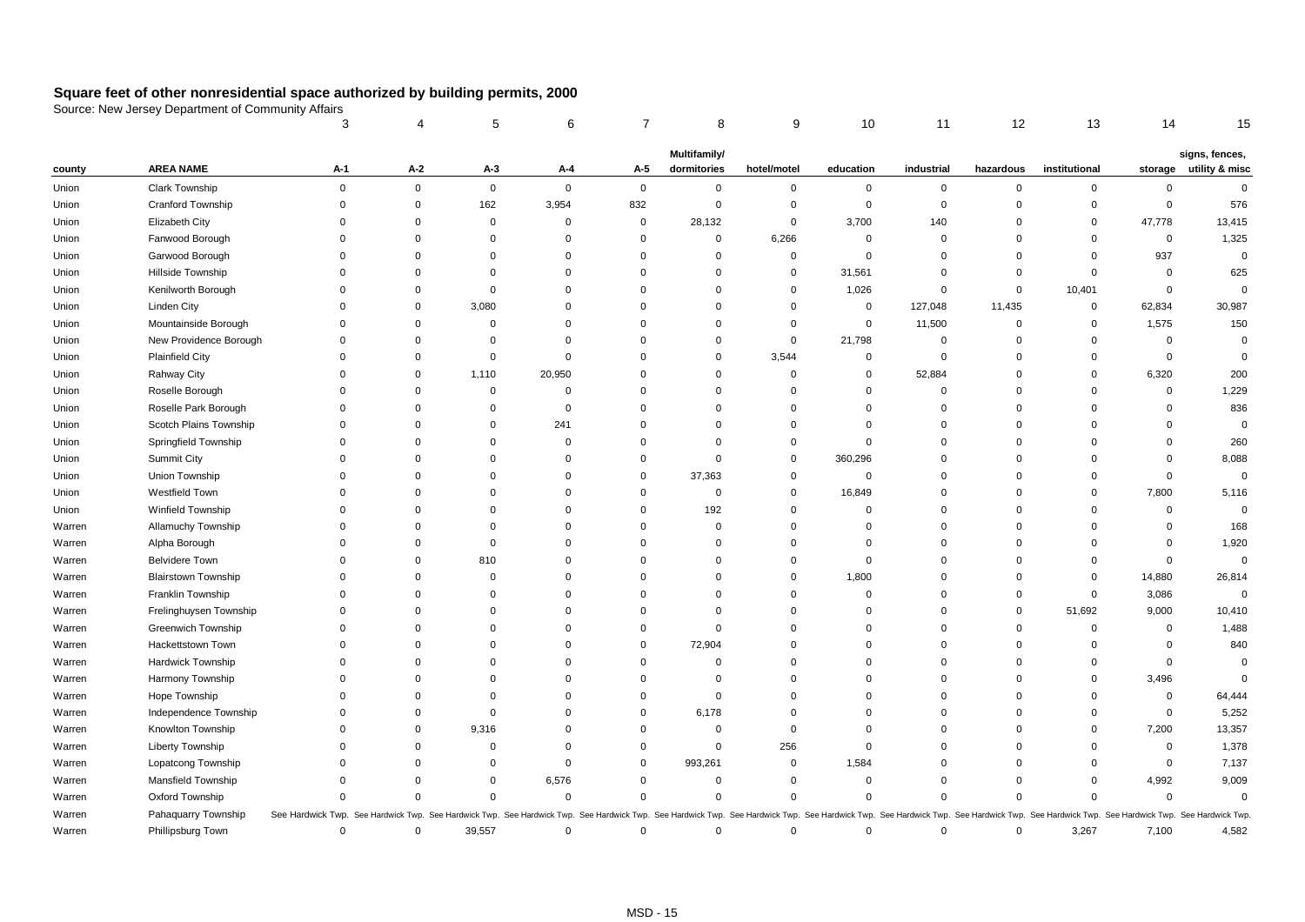|        |                            | 3                 |             | 5           | 6              | 7                                                                                         | 8            | 9           | 10                                                    | 11             | 12          | 13                                                                     | 14          | 15             |
|--------|----------------------------|-------------------|-------------|-------------|----------------|-------------------------------------------------------------------------------------------|--------------|-------------|-------------------------------------------------------|----------------|-------------|------------------------------------------------------------------------|-------------|----------------|
|        |                            |                   |             |             |                |                                                                                           | Multifamily/ |             |                                                       |                |             |                                                                        |             | signs, fences, |
| county | <b>AREA NAME</b>           | A-1               | A-2         | $A-3$       | A-4            | A-5                                                                                       | dormitories  | hotel/motel | education                                             | industrial     | hazardous   | institutional                                                          | storage     | utility & misc |
| Union  | <b>Clark Township</b>      | $\mathbf{0}$      | $\mathbf 0$ | $\mathbf 0$ | $\mathbf 0$    | $\mathbf 0$                                                                               | $\mathbf 0$  | $\mathbf 0$ | $\mathbf 0$                                           | $\mathbf 0$    | $\mathbf 0$ | $\mathbf 0$                                                            | $\mathbf 0$ | $\mathbf 0$    |
| Union  | <b>Cranford Township</b>   | $\mathbf 0$       | $\mathbf 0$ | 162         | 3,954          | 832                                                                                       | $\mathbf 0$  | $\mathbf 0$ | $\mathbf 0$                                           | $\overline{0}$ | $\Omega$    | $\mathbf 0$                                                            | $\mathbf 0$ | 576            |
| Union  | <b>Elizabeth City</b>      | $\Omega$          | $\mathbf 0$ | $\mathbf 0$ | $\mathbf 0$    | $\mathbf 0$                                                                               | 28,132       | $\mathbf 0$ | 3,700                                                 | 140            | $\Omega$    | $\mathbf 0$                                                            | 47,778      | 13,415         |
| Union  | Fanwood Borough            | $\mathbf 0$       | $\mathbf 0$ | $\mathbf 0$ | $\mathbf 0$    | $\mathbf 0$                                                                               | $\mathbf 0$  | 6,266       | $\mathbf 0$                                           | $\overline{0}$ | $\Omega$    | 0                                                                      | $\mathbf 0$ | 1,325          |
| Union  | Garwood Borough            | $\Omega$          | $\Omega$    | $\mathbf 0$ | $\mathbf 0$    | $\Omega$                                                                                  | $\mathbf 0$  | $\mathbf 0$ | $\mathbf 0$                                           | $\Omega$       | $\Omega$    | $\mathbf 0$                                                            | 937         | $\mathbf 0$    |
| Union  | Hillside Township          | $\Omega$          | $\Omega$    | $\mathbf 0$ | $\overline{0}$ | $\Omega$                                                                                  | $\Omega$     | $\mathbf 0$ | 31,561                                                | $\Omega$       | $\Omega$    | $\mathbf 0$                                                            | $\mathbf 0$ | 625            |
| Union  | Kenilworth Borough         | $\Omega$          | $\mathbf 0$ | $\mathbf 0$ | $\overline{0}$ | $\Omega$                                                                                  | $\mathbf 0$  | $\mathbf 0$ | 1,026                                                 | $\mathbf 0$    | $\mathbf 0$ | 10,401                                                                 | $\mathbf 0$ | $\mathbf 0$    |
| Union  | <b>Linden City</b>         | $\Omega$          | $\mathbf 0$ | 3,080       | $\overline{0}$ | $\Omega$                                                                                  | $\Omega$     | $\mathbf 0$ | 0                                                     | 127,048        | 11,435      | 0                                                                      | 62,834      | 30,987         |
| Union  | Mountainside Borough       | $\Omega$          | $\mathbf 0$ | $\mathbf 0$ | $\mathbf 0$    | $\Omega$                                                                                  | $\mathbf 0$  | $\mathbf 0$ | $\mathbf 0$                                           | 11,500         | $\mathbf 0$ | 0                                                                      | 1,575       | 150            |
| Union  | New Providence Borough     | $\mathbf 0$       | $\mathbf 0$ | $\mathbf 0$ | $\mathbf 0$    | $\Omega$                                                                                  | $\mathbf 0$  | $\mathbf 0$ | 21,798                                                | $\overline{0}$ | $\Omega$    | $\mathbf 0$                                                            | $\mathbf 0$ | $\mathbf 0$    |
| Union  | <b>Plainfield City</b>     | $\Omega$          | $\mathbf 0$ | $\mathbf 0$ | $\mathbf 0$    | $\Omega$                                                                                  | $\Omega$     | 3,544       | $\mathbf 0$                                           | $\Omega$       | $\Omega$    | $\mathbf 0$                                                            | $\mathbf 0$ | $\mathbf 0$    |
| Union  | <b>Rahway City</b>         | $\Omega$          | $\mathbf 0$ | 1,110       | 20,950         | $\Omega$                                                                                  | $\mathbf 0$  | $\mathbf 0$ | $\mathbf 0$                                           | 52,884         | $\Omega$    | $\mathbf 0$                                                            | 6,320       | 200            |
| Union  | Roselle Borough            | $\Omega$          | $\Omega$    | 0           | $\mathbf 0$    | $\Omega$                                                                                  | $\Omega$     | $\mathbf 0$ | $\Omega$                                              | $\Omega$       | $\Omega$    | $\mathbf 0$                                                            | $\mathbf 0$ | 1,229          |
| Union  | Roselle Park Borough       | $\Omega$          | $\Omega$    | $\mathbf 0$ | $\mathbf 0$    | $\Omega$                                                                                  | $\Omega$     | $\mathbf 0$ | $\Omega$                                              | $\Omega$       | $\Omega$    | $\Omega$                                                               | $\Omega$    | 836            |
| Union  | Scotch Plains Township     | $\Omega$          | $\Omega$    | $\mathbf 0$ | 241            | $\Omega$                                                                                  | $\Omega$     | $\mathbf 0$ | $\Omega$                                              | $\Omega$       | $\Omega$    | $\Omega$                                                               | $\Omega$    | $\mathbf 0$    |
| Union  | Springfield Township       | $\mathbf 0$       | $\mathbf 0$ | $\mathbf 0$ | $\mathbf 0$    | $\Omega$                                                                                  | $\mathbf 0$  | $\mathbf 0$ | $\mathbf 0$                                           | $\overline{0}$ | $\Omega$    | $\mathbf 0$                                                            | $\mathbf 0$ | 260            |
| Union  | Summit City                | $\Omega$          | $\Omega$    | $\mathbf 0$ | $\mathbf 0$    | $\Omega$                                                                                  | $\mathbf 0$  | $\mathbf 0$ | 360,296                                               | $\Omega$       | $\Omega$    | $\mathbf 0$                                                            | $\mathbf 0$ | 8,088          |
| Union  | Union Township             | $\Omega$          | $\mathbf 0$ | $\mathbf 0$ | $\mathbf 0$    | 0                                                                                         | 37,363       | $\mathbf 0$ | $\mathbf 0$                                           | $\Omega$       | $\Omega$    | $\mathbf 0$                                                            | $\mathbf 0$ | $\mathbf 0$    |
| Union  | Westfield Town             | $\Omega$          | $\Omega$    | $\mathbf 0$ | $\Omega$       | $\Omega$                                                                                  | $\mathbf 0$  | $\mathbf 0$ | 16,849                                                | $\Omega$       | $\Omega$    | $\mathbf 0$                                                            | 7,800       | 5,116          |
| Union  | Winfield Township          | $\Omega$          | $\mathbf 0$ | 0           | $\Omega$       | $\Omega$                                                                                  | 192          | $\mathbf 0$ | $\Omega$                                              | $\Omega$       | $\Omega$    | $\mathbf 0$                                                            | $\mathbf 0$ | $\mathbf 0$    |
| Warren | Allamuchy Township         | $\Omega$          | $\Omega$    | $\mathbf 0$ | $\Omega$       | $\Omega$                                                                                  | $\Omega$     | $\mathbf 0$ | $\Omega$                                              | $\Omega$       | $\Omega$    | $\Omega$                                                               | $\mathbf 0$ | 168            |
| Warren | Alpha Borough              | $\Omega$          | $\Omega$    | $\mathbf 0$ | $\Omega$       | $\Omega$                                                                                  | $\Omega$     | $\mathbf 0$ | $\Omega$                                              | $\Omega$       | $\Omega$    | $\Omega$                                                               | $\Omega$    | 1,920          |
| Warren | <b>Belvidere Town</b>      | $\Omega$          | $\mathbf 0$ | 810         | $\overline{0}$ | $\Omega$                                                                                  | $\mathbf 0$  | $\mathbf 0$ | $\mathbf 0$                                           | $\Omega$       | $\Omega$    | 0                                                                      | $\mathbf 0$ | $\mathbf 0$    |
| Warren | <b>Blairstown Township</b> | $\mathbf 0$       | 0           | $\mathbf 0$ | $\overline{0}$ | $\Omega$                                                                                  | $\mathbf 0$  | $\mathbf 0$ | 1,800                                                 | $\overline{0}$ | $\mathbf 0$ | $\mathbf 0$                                                            | 14,880      | 26,814         |
| Warren | Franklin Township          | $\Omega$          | $\Omega$    | $\mathbf 0$ | $\Omega$       | $\Omega$                                                                                  | $\Omega$     | $\mathbf 0$ | $\Omega$                                              | $\Omega$       | $\Omega$    | $\mathbf 0$                                                            | 3,086       | $\mathbf 0$    |
| Warren | Frelinghuysen Township     | $\Omega$          | $\Omega$    | $\mathbf 0$ | $\Omega$       | $\Omega$                                                                                  | $\Omega$     | $\mathbf 0$ | $\Omega$                                              | $\Omega$       | $\Omega$    | 51,692                                                                 | 9,000       | 10,410         |
| Warren | <b>Greenwich Township</b>  | $\Omega$          | $\Omega$    | $\mathbf 0$ | $\Omega$       | $\Omega$                                                                                  | $\Omega$     | $\mathbf 0$ | $\Omega$                                              | $\Omega$       | $\Omega$    | 0                                                                      | $\mathbf 0$ | 1,488          |
| Warren | Hackettstown Town          | $\Omega$          | $\mathbf 0$ | $\mathbf 0$ | $\Omega$       | 0                                                                                         | 72,904       | $\mathbf 0$ | $\Omega$                                              | $\Omega$       | $\Omega$    | $\Omega$                                                               | $\mathbf 0$ | 840            |
| Warren | <b>Hardwick Township</b>   | $\Omega$          | $\Omega$    | $\mathbf 0$ | $\Omega$       | $\Omega$                                                                                  | $\Omega$     | $\mathbf 0$ | $\Omega$                                              | $\Omega$       | $\Omega$    | $\Omega$                                                               | $\mathbf 0$ | $\mathbf 0$    |
| Warren | Harmony Township           | $\Omega$          | $\Omega$    | $\mathbf 0$ | $\overline{0}$ | $\mathbf 0$                                                                               | $\mathbf 0$  | $\mathbf 0$ | $\mathbf 0$                                           | $\mathbf 0$    | $\Omega$    | $\mathbf 0$                                                            | 3,496       | $\mathbf 0$    |
| Warren | Hope Township              | $\Omega$          | $\mathbf 0$ | $\mathbf 0$ | $\overline{0}$ | $\Omega$                                                                                  | $\mathbf 0$  | $\mathbf 0$ | $\Omega$                                              | $\Omega$       | $\Omega$    | $\mathbf 0$                                                            | $\mathbf 0$ | 64,444         |
| Warren | Independence Township      | $\mathbf 0$       | 0           | $\mathbf 0$ | $\mathbf 0$    | 0                                                                                         | 6,178        | $\mathbf 0$ | $\Omega$                                              | $\overline{0}$ | $\Omega$    | $\mathbf 0$                                                            | $\mathbf 0$ | 5,252          |
| Warren | Knowlton Township          | $\Omega$          | $\mathbf 0$ | 9,316       | $\Omega$       | $\Omega$                                                                                  | $\mathbf 0$  | $\mathbf 0$ | $\Omega$                                              | $\Omega$       | $\Omega$    | $\mathbf 0$                                                            | 7,200       | 13,357         |
| Warren | <b>Liberty Township</b>    | $\Omega$          | $\Omega$    | 0           | $\mathbf{0}$   | $\Omega$                                                                                  | $\mathbf 0$  | 256         | $\mathbf 0$                                           | $\Omega$       | $\Omega$    | $\Omega$                                                               | $\mathbf 0$ | 1,378          |
| Warren | Lopatcong Township         | $\Omega$          | $\Omega$    | $\mathbf 0$ | $\overline{0}$ | $\mathbf 0$                                                                               | 993,261      | $\mathbf 0$ | 1,584                                                 | $\Omega$       | $\Omega$    | $\mathbf 0$                                                            | $\mathbf 0$ | 7,137          |
| Warren | Mansfield Township         | $\Omega$          | $\Omega$    | $\mathbf 0$ | 6,576          | $\Omega$                                                                                  | $\mathbf 0$  | $\mathbf 0$ | $\mathbf 0$                                           | $\Omega$       | $\Omega$    | $\Omega$                                                               | 4,992       | 9,009          |
| Warren | Oxford Township            | $\Omega$          | $\mathbf 0$ | $\mathbf 0$ | $\mathbf 0$    | $\Omega$                                                                                  | $\mathbf 0$  | $\mathbf 0$ | $\mathbf 0$                                           | $\Omega$       | $\Omega$    | $\Omega$                                                               | $\mathbf 0$ | $\mathbf 0$    |
| Warren | Pahaquarry Township        | See Hardwick Twp. |             |             |                | See Hardwick Twp. See Hardwick Twp. See Hardwick Twp. See Hardwick Twp. See Hardwick Twp. |              |             | See Hardwick Twp. See Hardwick Twp. See Hardwick Twp. |                |             | See Hardwick Twp. See Hardwick Twp. See Hardwick Twp. See Hardwick Twp |             |                |
| Warren | Phillipsburg Town          | $\mathbf 0$       | $\mathbf 0$ | 39,557      | $\mathbf 0$    | $\mathbf 0$                                                                               | $\mathbf 0$  | $\mathbf 0$ | $\mathbf 0$                                           | $\mathbf 0$    | $\mathbf 0$ | 3,267                                                                  | 7,100       | 4,582          |